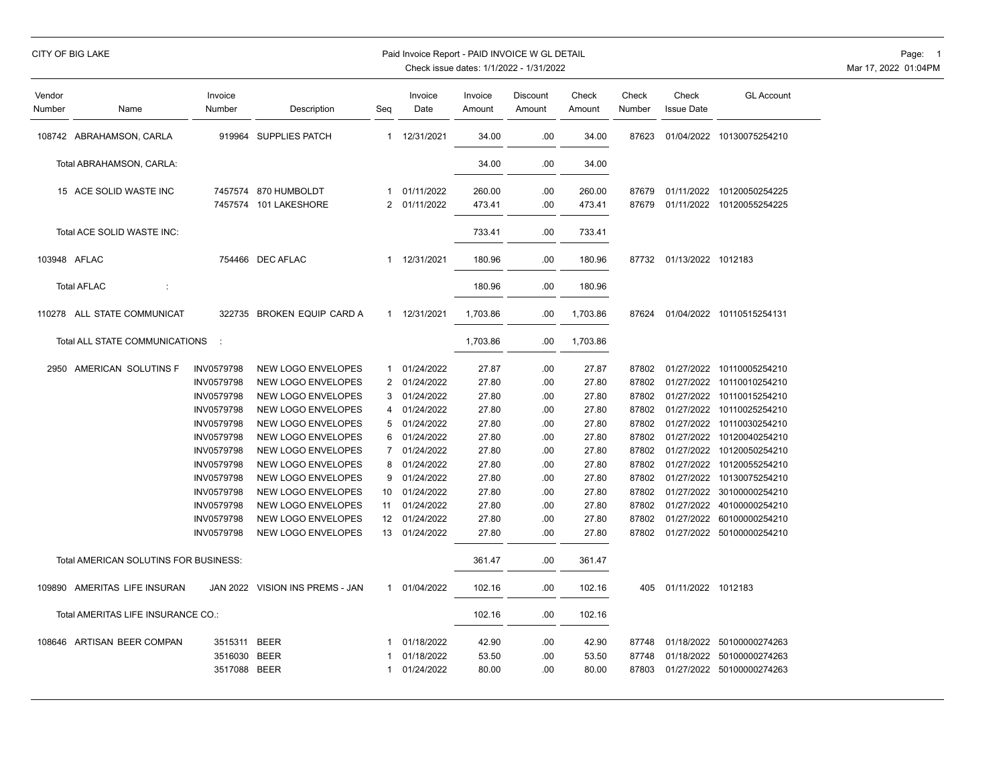# CITY OF BIG LAKE **Example 20 State 1 CITY OF BIG LAKE** Page: 1

| Vendor<br>Number | Name                                  | Invoice<br>Number | Description                     | Seg            | Invoice<br>Date | Invoice<br>Amount | Discount<br>Amount | Check<br>Amount | Check<br>Number | Check<br><b>Issue Date</b> | <b>GL Account</b>         |
|------------------|---------------------------------------|-------------------|---------------------------------|----------------|-----------------|-------------------|--------------------|-----------------|-----------------|----------------------------|---------------------------|
|                  | 108742 ABRAHAMSON, CARLA              |                   | 919964 SUPPLIES PATCH           | $\mathbf{1}$   | 12/31/2021      | 34.00             | .00                | 34.00           | 87623           |                            | 01/04/2022 10130075254210 |
|                  | Total ABRAHAMSON, CARLA:              |                   |                                 |                |                 | 34.00             | .00                | 34.00           |                 |                            |                           |
|                  | 15 ACE SOLID WASTE INC                |                   | 7457574 870 HUMBOLDT            | $\mathbf{1}$   | 01/11/2022      | 260.00            | .00                | 260.00          | 87679           |                            | 01/11/2022 10120050254225 |
|                  |                                       |                   | 7457574 101 LAKESHORE           | $\overline{2}$ | 01/11/2022      | 473.41            | .00                | 473.41          | 87679           |                            | 01/11/2022 10120055254225 |
|                  | Total ACE SOLID WASTE INC:            |                   |                                 |                |                 | 733.41            | .00                | 733.41          |                 |                            |                           |
| 103948 AFLAC     |                                       |                   | 754466 DEC AFLAC                | $\mathbf{1}$   | 12/31/2021      | 180.96            | .00                | 180.96          |                 | 87732 01/13/2022 1012183   |                           |
|                  | <b>Total AFLAC</b><br>÷               |                   |                                 |                |                 | 180.96            | .00                | 180.96          |                 |                            |                           |
|                  | 110278 ALL STATE COMMUNICAT           | 322735            | BROKEN EQUIP CARD A             | $\mathbf{1}$   | 12/31/2021      | 1,703.86          | .00                | 1,703.86        | 87624           |                            | 01/04/2022 10110515254131 |
|                  | Total ALL STATE COMMUNICATIONS        |                   |                                 |                |                 | 1,703.86          | .00                | 1,703.86        |                 |                            |                           |
|                  | 2950 AMERICAN SOLUTINS F              | INV0579798        | NEW LOGO ENVELOPES              | 1              | 01/24/2022      | 27.87             | .00.               | 27.87           | 87802           |                            | 01/27/2022 10110005254210 |
|                  |                                       | INV0579798        | NEW LOGO ENVELOPES              | 2              | 01/24/2022      | 27.80             | .00.               | 27.80           | 87802           |                            | 01/27/2022 10110010254210 |
|                  |                                       | INV0579798        | NEW LOGO ENVELOPES              | 3              | 01/24/2022      | 27.80             | .00.               | 27.80           | 87802           |                            | 01/27/2022 10110015254210 |
|                  |                                       | <b>INV0579798</b> | <b>NEW LOGO ENVELOPES</b>       | 4              | 01/24/2022      | 27.80             | .00                | 27.80           | 87802           |                            | 01/27/2022 10110025254210 |
|                  |                                       | INV0579798        | NEW LOGO ENVELOPES              | 5              | 01/24/2022      | 27.80             | .00                | 27.80           | 87802           |                            | 01/27/2022 10110030254210 |
|                  |                                       | INV0579798        | NEW LOGO ENVELOPES              | 6              | 01/24/2022      | 27.80             | .00                | 27.80           | 87802           | 01/27/2022                 | 10120040254210            |
|                  |                                       | INV0579798        | NEW LOGO ENVELOPES              | 7              | 01/24/2022      | 27.80             | .00                | 27.80           | 87802           |                            | 01/27/2022 10120050254210 |
|                  |                                       | <b>INV0579798</b> | NEW LOGO ENVELOPES              | 8              | 01/24/2022      | 27.80             | .00                | 27.80           | 87802           | 01/27/2022                 | 10120055254210            |
|                  |                                       | INV0579798        | NEW LOGO ENVELOPES              | 9              | 01/24/2022      | 27.80             | .00                | 27.80           | 87802           |                            | 01/27/2022 10130075254210 |
|                  |                                       | <b>INV0579798</b> | NEW LOGO ENVELOPES              | 10             | 01/24/2022      | 27.80             | .00                | 27.80           | 87802           | 01/27/2022                 | 30100000254210            |
|                  |                                       | INV0579798        | NEW LOGO ENVELOPES              | 11             | 01/24/2022      | 27.80             | .00                | 27.80           | 87802           |                            | 01/27/2022 40100000254210 |
|                  |                                       | <b>INV0579798</b> | NEW LOGO ENVELOPES              | 12             | 01/24/2022      | 27.80             | .00                | 27.80           | 87802           |                            | 01/27/2022 60100000254210 |
|                  |                                       | INV0579798        | <b>NEW LOGO ENVELOPES</b>       | 13             | 01/24/2022      | 27.80             | .00                | 27.80           | 87802           |                            | 01/27/2022 50100000254210 |
|                  | Total AMERICAN SOLUTINS FOR BUSINESS: |                   |                                 |                |                 | 361.47            | .00                | 361.47          |                 |                            |                           |
|                  | 109890 AMERITAS LIFE INSURAN          |                   | JAN 2022 VISION INS PREMS - JAN | $\mathbf{1}$   | 01/04/2022      | 102.16            | .00                | 102.16          | 405             | 01/11/2022 1012183         |                           |
|                  | Total AMERITAS LIFE INSURANCE CO.:    |                   |                                 |                |                 | 102.16            | .00                | 102.16          |                 |                            |                           |
|                  | 108646 ARTISAN BEER COMPAN            | 3515311 BEER      |                                 |                | 01/18/2022      | 42.90             | .00                | 42.90           | 87748           |                            | 01/18/2022 50100000274263 |
|                  |                                       | 3516030           | <b>BEER</b>                     |                | 01/18/2022      | 53.50             | .00                | 53.50           | 87748           |                            | 01/18/2022 50100000274263 |
|                  |                                       | 3517088 BEER      |                                 | -1             | 01/24/2022      | 80.00             | .00                | 80.00           | 87803           |                            | 01/27/2022 50100000274263 |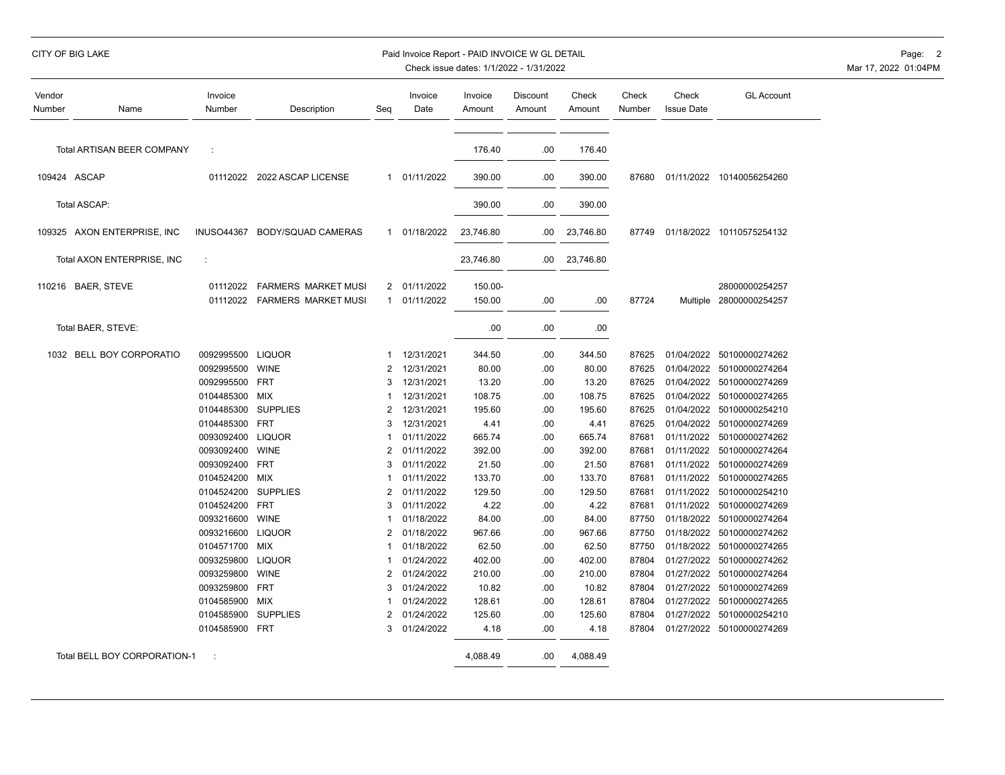| CITY OF BIG LAKE |  |  |  |  |
|------------------|--|--|--|--|
|                  |  |  |  |  |
|                  |  |  |  |  |

#### Paid Invoice Report - PAID INVOICE W GL DETAIL **CONSERVANCE AND A CONSERVANCE OF A CONSE**

| Vendor<br>Number | Name                         | Invoice<br>Number        | Description                                       | Seq            | Invoice<br>Date            | Invoice<br>Amount | <b>Discount</b><br>Amount | Check<br>Amount  | Check<br>Number | Check<br><b>Issue Date</b> | <b>GL Account</b>                         |
|------------------|------------------------------|--------------------------|---------------------------------------------------|----------------|----------------------------|-------------------|---------------------------|------------------|-----------------|----------------------------|-------------------------------------------|
|                  | Total ARTISAN BEER COMPANY   | ÷                        |                                                   |                |                            | 176.40            | .00                       | 176.40           |                 |                            |                                           |
|                  | 109424 ASCAP                 | 01112022                 | 2022 ASCAP LICENSE                                |                | 1 01/11/2022               | 390.00            | .00                       | 390.00           | 87680           |                            | 01/11/2022 10140056254260                 |
|                  | Total ASCAP:                 |                          |                                                   |                |                            | 390.00            | .00                       | 390.00           |                 |                            |                                           |
|                  | 109325 AXON ENTERPRISE, INC  | <b>INUSO44367</b>        | BODY/SQUAD CAMERAS                                | $\mathbf{1}$   | 01/18/2022                 | 23,746.80         | .00                       | 23,746.80        | 87749           |                            | 01/18/2022 10110575254132                 |
|                  | Total AXON ENTERPRISE, INC   | ÷                        |                                                   |                |                            | 23,746.80         | .00                       | 23,746.80        |                 |                            |                                           |
|                  | 110216 BAER, STEVE           | 01112022<br>01112022     | FARMERS MARKET MUSI<br><b>FARMERS MARKET MUSI</b> | $\mathbf{1}$   | 2 01/11/2022<br>01/11/2022 | 150.00-<br>150.00 | .00                       | .00              | 87724           |                            | 28000000254257<br>Multiple 28000000254257 |
|                  | Total BAER, STEVE:           |                          |                                                   |                |                            | .00               | .00                       | .00              |                 |                            |                                           |
|                  | 1032 BELL BOY CORPORATIO     | 0092995500               | <b>LIQUOR</b>                                     | 1              | 12/31/2021                 | 344.50            | .00                       | 344.50           | 87625           | 01/04/2022                 | 50100000274262                            |
|                  |                              | 0092995500               | <b>WINE</b>                                       | $\overline{2}$ | 12/31/2021                 | 80.00             | .00                       | 80.00            | 87625           | 01/04/2022                 | 50100000274264                            |
|                  |                              | 0092995500               | <b>FRT</b>                                        | 3              | 12/31/2021                 | 13.20             | .00                       | 13.20            | 87625           | 01/04/2022                 | 50100000274269                            |
|                  |                              | 0104485300               | MIX                                               |                | 12/31/2021                 | 108.75            | .00                       | 108.75           | 87625           | 01/04/2022                 | 50100000274265                            |
|                  |                              | 0104485300               | <b>SUPPLIES</b>                                   | $\overline{2}$ | 12/31/2021                 | 195.60            | .00                       | 195.60           | 87625           | 01/04/2022                 | 50100000254210                            |
|                  |                              | 0104485300               | <b>FRT</b>                                        | 3              | 12/31/2021                 | 4.41              | .00                       | 4.41             | 87625           | 01/04/2022                 | 50100000274269                            |
|                  |                              | 0093092400               | <b>LIQUOR</b>                                     |                | 01/11/2022                 | 665.74            | .00                       | 665.74           | 87681           | 01/11/2022                 | 50100000274262                            |
|                  |                              | 0093092400               | <b>WINE</b><br><b>FRT</b>                         | 2<br>3         | 01/11/2022                 | 392.00            | .00                       | 392.00           | 87681           | 01/11/2022                 | 50100000274264                            |
|                  |                              | 0093092400               |                                                   |                | 01/11/2022                 | 21.50             | .00                       | 21.50            | 87681           | 01/11/2022                 | 50100000274269                            |
|                  |                              | 0104524200<br>0104524200 | MIX<br><b>SUPPLIES</b>                            | 2              | 01/11/2022<br>01/11/2022   | 133.70<br>129.50  | .00<br>.00                | 133.70<br>129.50 | 87681<br>87681  | 01/11/2022<br>01/11/2022   | 50100000274265<br>50100000254210          |
|                  |                              | 0104524200               | <b>FRT</b>                                        | 3              | 01/11/2022                 | 4.22              | .00                       | 4.22             | 87681           | 01/11/2022                 | 50100000274269                            |
|                  |                              | 0093216600               | <b>WINE</b>                                       |                | 01/18/2022                 | 84.00             | .00                       | 84.00            | 87750           |                            | 01/18/2022 50100000274264                 |
|                  |                              | 0093216600               | <b>LIQUOR</b>                                     | $\overline{2}$ | 01/18/2022                 | 967.66            | .00                       | 967.66           | 87750           | 01/18/2022                 | 50100000274262                            |
|                  |                              | 0104571700               | <b>MIX</b>                                        |                | 01/18/2022                 | 62.50             | .00                       | 62.50            | 87750           |                            | 01/18/2022 50100000274265                 |
|                  |                              | 0093259800               | <b>LIQUOR</b>                                     |                | 01/24/2022                 | 402.00            | .00                       | 402.00           | 87804           |                            | 01/27/2022 50100000274262                 |
|                  |                              | 0093259800               | <b>WINE</b>                                       | 2              | 01/24/2022                 | 210.00            | .00                       | 210.00           | 87804           |                            | 01/27/2022 50100000274264                 |
|                  |                              | 0093259800               | <b>FRT</b>                                        | 3              | 01/24/2022                 | 10.82             | .00                       | 10.82            | 87804           |                            | 01/27/2022 50100000274269                 |
|                  |                              | 0104585900               | MIX                                               |                | 01/24/2022                 | 128.61            | .00                       | 128.61           | 87804           |                            | 01/27/2022 50100000274265                 |
|                  |                              | 0104585900               | <b>SUPPLIES</b>                                   | 2              | 01/24/2022                 | 125.60            | .00                       | 125.60           | 87804           |                            | 01/27/2022 50100000254210                 |
|                  |                              | 0104585900 FRT           |                                                   | 3              | 01/24/2022                 | 4.18              | .00                       | 4.18             | 87804           |                            | 01/27/2022 50100000274269                 |
|                  | Total BELL BOY CORPORATION-1 | ÷                        |                                                   |                |                            | 4,088.49          | .00                       | 4,088.49         |                 |                            |                                           |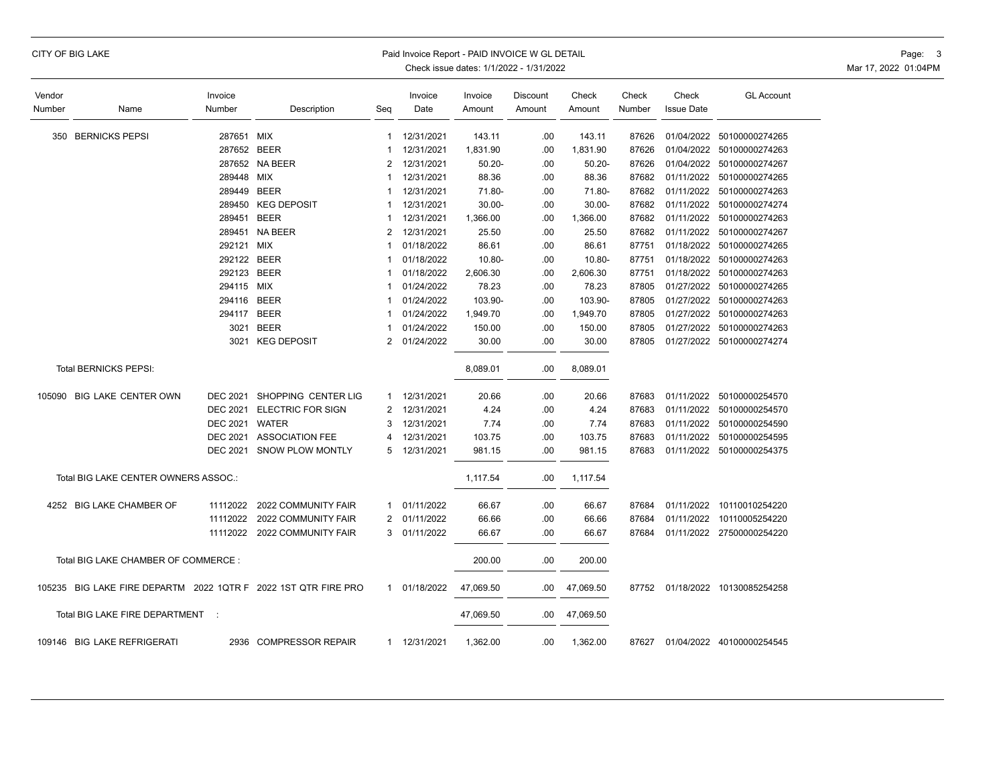#### CITY OF BIG LAKE **Example 2008 CITY OF BIG LAKE** Page: 3 Paid Invoice Report - PAID INVOICE W GL DETAIL

| Vendor |                                                                | Invoice         |                           |                | Invoice      | Invoice   | Discount | Check     | Check  | Check             | <b>GL Account</b>               |
|--------|----------------------------------------------------------------|-----------------|---------------------------|----------------|--------------|-----------|----------|-----------|--------|-------------------|---------------------------------|
| Number | Name                                                           | Number          | Description               | Seq            | Date         | Amount    | Amount   | Amount    | Number | <b>Issue Date</b> |                                 |
|        | 350 BERNICKS PEPSI                                             | 287651 MIX      |                           | $\mathbf{1}$   | 12/31/2021   | 143.11    | .00      | 143.11    | 87626  |                   | 01/04/2022 50100000274265       |
|        |                                                                | 287652 BEER     |                           | 1              | 12/31/2021   | 1,831.90  | .00      | 1,831.90  | 87626  |                   | 01/04/2022 50100000274263       |
|        |                                                                |                 | 287652 NA BEER            | 2              | 12/31/2021   | $50.20 -$ | .00      | $50.20 -$ | 87626  |                   | 01/04/2022 50100000274267       |
|        |                                                                | 289448 MIX      |                           | 1              | 12/31/2021   | 88.36     | .00      | 88.36     | 87682  |                   | 01/11/2022 50100000274265       |
|        |                                                                | 289449          | <b>BEER</b>               | 1              | 12/31/2021   | 71.80-    | .00      | 71.80-    | 87682  |                   | 01/11/2022 50100000274263       |
|        |                                                                | 289450          | <b>KEG DEPOSIT</b>        | 1              | 12/31/2021   | $30.00 -$ | .00      | $30.00 -$ | 87682  |                   | 01/11/2022 50100000274274       |
|        |                                                                | 289451          | <b>BEER</b>               | 1              | 12/31/2021   | 1,366.00  | .00      | 1,366.00  | 87682  |                   | 01/11/2022 50100000274263       |
|        |                                                                | 289451          | <b>NA BEER</b>            | $\overline{2}$ | 12/31/2021   | 25.50     | .00      | 25.50     | 87682  | 01/11/2022        | 50100000274267                  |
|        |                                                                | 292121 MIX      |                           | 1              | 01/18/2022   | 86.61     | .00      | 86.61     | 87751  |                   | 01/18/2022 50100000274265       |
|        |                                                                | 292122 BEER     |                           |                | 01/18/2022   | 10.80-    | .00      | 10.80-    | 87751  |                   | 01/18/2022 50100000274263       |
|        |                                                                | 292123          | BEER                      | 1              | 01/18/2022   | 2,606.30  | .00      | 2,606.30  | 87751  |                   | 01/18/2022 50100000274263       |
|        |                                                                | 294115 MIX      |                           | 1              | 01/24/2022   | 78.23     | .00      | 78.23     | 87805  |                   | 01/27/2022 50100000274265       |
|        |                                                                | 294116          | <b>BEER</b>               | 1              | 01/24/2022   | 103.90-   | .00      | 103.90-   | 87805  |                   | 01/27/2022 50100000274263       |
|        |                                                                | 294117          | <b>BEER</b>               | 1              | 01/24/2022   | 1,949.70  | .00      | 1,949.70  | 87805  |                   | 01/27/2022 50100000274263       |
|        |                                                                | 3021            | <b>BEER</b>               |                | 01/24/2022   | 150.00    | .00      | 150.00    | 87805  |                   | 01/27/2022 50100000274263       |
|        |                                                                | 3021            | <b>KEG DEPOSIT</b>        | $\overline{2}$ | 01/24/2022   | 30.00     | .00      | 30.00     | 87805  |                   | 01/27/2022 50100000274274       |
|        | Total BERNICKS PEPSI:                                          |                 |                           |                |              | 8,089.01  | .00      | 8,089.01  |        |                   |                                 |
|        | 105090 BIG LAKE CENTER OWN                                     | DEC 2021        | SHOPPING CENTER LIG       |                | 1 12/31/2021 | 20.66     | .00      | 20.66     | 87683  |                   | 01/11/2022 50100000254570       |
|        |                                                                | <b>DEC 2021</b> | <b>ELECTRIC FOR SIGN</b>  | 2              | 12/31/2021   | 4.24      | .00.     | 4.24      | 87683  |                   | 01/11/2022 50100000254570       |
|        |                                                                | <b>DEC 2021</b> | WATER                     | 3              | 12/31/2021   | 7.74      | .00      | 7.74      | 87683  |                   | 01/11/2022 50100000254590       |
|        |                                                                |                 | DEC 2021 ASSOCIATION FEE  | 4              | 12/31/2021   | 103.75    | .00.     | 103.75    | 87683  |                   | 01/11/2022 50100000254595       |
|        |                                                                |                 | DEC 2021 SNOW PLOW MONTLY | 5              | 12/31/2021   | 981.15    | .00.     | 981.15    | 87683  |                   | 01/11/2022 50100000254375       |
|        | Total BIG LAKE CENTER OWNERS ASSOC.:                           |                 |                           |                |              | 1,117.54  | .00      | 1,117.54  |        |                   |                                 |
|        | 4252 BIG LAKE CHAMBER OF                                       | 11112022        | 2022 COMMUNITY FAIR       | 1              | 01/11/2022   | 66.67     | .00      | 66.67     | 87684  |                   | 01/11/2022 10110010254220       |
|        |                                                                | 11112022        | 2022 COMMUNITY FAIR       | $\overline{2}$ | 01/11/2022   | 66.66     | .00      | 66.66     | 87684  | 01/11/2022        | 10110005254220                  |
|        |                                                                | 11112022        | 2022 COMMUNITY FAIR       | 3              | 01/11/2022   | 66.67     | .00      | 66.67     | 87684  |                   | 01/11/2022 27500000254220       |
|        | Total BIG LAKE CHAMBER OF COMMERCE:                            |                 |                           |                |              | 200.00    | .00      | 200.00    |        |                   |                                 |
|        | 105235 BIG LAKE FIRE DEPARTM 2022 1QTR F 2022 1ST QTR FIRE PRO |                 |                           | $\mathbf{1}$   | 01/18/2022   | 47,069.50 | .00.     | 47,069.50 |        |                   | 87752 01/18/2022 10130085254258 |
|        | Total BIG LAKE FIRE DEPARTMENT :                               |                 |                           |                |              | 47,069.50 | .00      | 47,069.50 |        |                   |                                 |
|        | 109146 BIG LAKE REFRIGERATI                                    |                 | 2936 COMPRESSOR REPAIR    |                | 1 12/31/2021 | 1,362.00  | .00      | 1,362.00  | 87627  |                   | 01/04/2022 40100000254545       |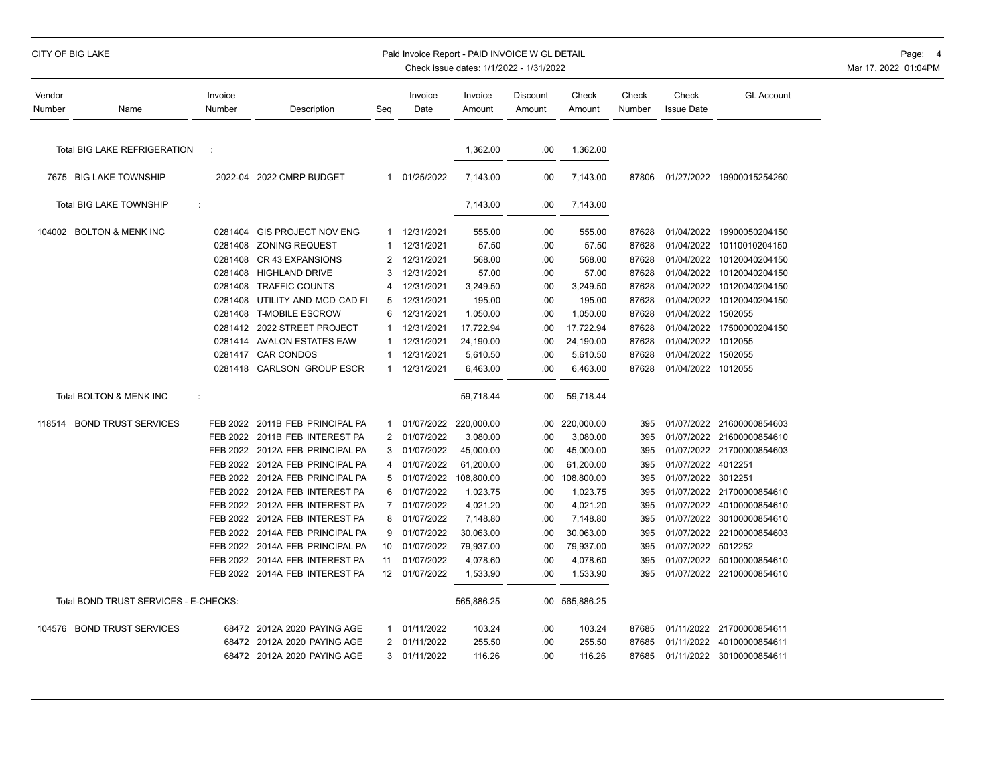# CITY OF BIG LAKE PAID INVOICE WORLD DETAIL PAID INVOICE WORLD DETAIL PAID INVOICE WORLD DETAIL PAGE: 4

| Vendor<br>Number | Name                                  | Invoice<br>Number | Description                    | Seg            | Invoice<br>Date       | Invoice<br>Amount | Discount<br>Amount | Check<br>Amount | Check<br>Number | Check<br><b>Issue Date</b> | <b>GL Account</b>         |
|------------------|---------------------------------------|-------------------|--------------------------------|----------------|-----------------------|-------------------|--------------------|-----------------|-----------------|----------------------------|---------------------------|
|                  |                                       |                   |                                |                |                       |                   |                    |                 |                 |                            |                           |
|                  | <b>Total BIG LAKE REFRIGERATION</b>   |                   |                                |                |                       | 1,362.00          | .00                | 1,362.00        |                 |                            |                           |
|                  | 7675 BIG LAKE TOWNSHIP                |                   | 2022-04 2022 CMRP BUDGET       |                | 1 01/25/2022          | 7,143.00          | .00                | 7,143.00        | 87806           |                            | 01/27/2022 19900015254260 |
|                  | Total BIG LAKE TOWNSHIP<br>÷          |                   |                                |                |                       | 7,143.00          | .00                | 7,143.00        |                 |                            |                           |
|                  | 104002 BOLTON & MENK INC              |                   | 0281404 GIS PROJECT NOV ENG    | 1              | 12/31/2021            | 555.00            | .00                | 555.00          | 87628           |                            | 01/04/2022 19900050204150 |
|                  |                                       |                   | 0281408 ZONING REQUEST         |                | 12/31/2021            | 57.50             | .00                | 57.50           | 87628           |                            | 01/04/2022 10110010204150 |
|                  |                                       | 0281408           | <b>CR 43 EXPANSIONS</b>        | 2              | 12/31/2021            | 568.00            | .00                | 568.00          | 87628           | 01/04/2022                 | 10120040204150            |
|                  |                                       |                   | 0281408 HIGHLAND DRIVE         | 3              | 12/31/2021            | 57.00             | .00                | 57.00           | 87628           | 01/04/2022                 | 10120040204150            |
|                  |                                       | 0281408           | <b>TRAFFIC COUNTS</b>          | 4              | 12/31/2021            | 3,249.50          | .00                | 3,249.50        | 87628           | 01/04/2022                 | 10120040204150            |
|                  |                                       | 0281408           | UTILITY AND MCD CAD FI         | 5              | 12/31/2021            | 195.00            | .00                | 195.00          | 87628           | 01/04/2022                 | 10120040204150            |
|                  |                                       | 0281408           | <b>T-MOBILE ESCROW</b>         | 6              | 12/31/2021            | 1,050.00          | .00                | 1,050.00        | 87628           | 01/04/2022                 | 1502055                   |
|                  |                                       |                   | 0281412 2022 STREET PROJECT    |                | 12/31/2021            | 17,722.94         | .00                | 17,722.94       | 87628           |                            | 01/04/2022 17500000204150 |
|                  |                                       |                   | 0281414 AVALON ESTATES EAW     |                | 12/31/2021            | 24,190.00         | .00                | 24,190.00       | 87628           | 01/04/2022 1012055         |                           |
|                  |                                       |                   | 0281417 CAR CONDOS             |                | 12/31/2021            | 5,610.50          | .00                | 5,610.50        | 87628           | 01/04/2022 1502055         |                           |
|                  |                                       |                   | 0281418 CARLSON GROUP ESCR     | -1             | 12/31/2021            | 6,463.00          | .00                | 6,463.00        | 87628           | 01/04/2022 1012055         |                           |
|                  | Total BOLTON & MENK INC<br>÷          |                   |                                |                |                       | 59,718.44         | .00                | 59,718.44       |                 |                            |                           |
| 118514           | <b>BOND TRUST SERVICES</b>            | FEB 2022          | 2011B FEB PRINCIPAL PA         | 1              | 01/07/2022 220,000.00 |                   | .00                | 220,000.00      | 395             |                            | 01/07/2022 21600000854603 |
|                  |                                       |                   | FEB 2022 2011B FEB INTEREST PA | $\overline{2}$ | 01/07/2022            | 3,080.00          | .00                | 3,080.00        | 395             |                            | 01/07/2022 21600000854610 |
|                  |                                       | <b>FEB 2022</b>   | 2012A FEB PRINCIPAL PA         | 3              | 01/07/2022            | 45,000.00         | .00                | 45,000.00       | 395             |                            | 01/07/2022 21700000854603 |
|                  |                                       | <b>FEB 2022</b>   | 2012A FEB PRINCIPAL PA         | 4              | 01/07/2022            | 61,200.00         | .00                | 61,200.00       | 395             | 01/07/2022 4012251         |                           |
|                  |                                       | <b>FEB 2022</b>   | 2012A FEB PRINCIPAL PA         | 5              | 01/07/2022            | 108,800.00        | .00                | 108,800.00      | 395             | 01/07/2022 3012251         |                           |
|                  |                                       | FEB 2022          | 2012A FEB INTEREST PA          | 6              | 01/07/2022            | 1,023.75          | .00                | 1,023.75        | 395             | 01/07/2022                 | 21700000854610            |
|                  |                                       |                   | FEB 2022 2012A FEB INTEREST PA | $\overline{7}$ | 01/07/2022            | 4,021.20          | .00                | 4,021.20        | 395             | 01/07/2022                 | 40100000854610            |
|                  |                                       | FEB 2022          | 2012A FEB INTEREST PA          | 8              | 01/07/2022            | 7,148.80          | .00                | 7,148.80        | 395             | 01/07/2022                 | 30100000854610            |
|                  |                                       | <b>FEB 2022</b>   | 2014A FEB PRINCIPAL PA         | 9              | 01/07/2022            | 30,063.00         | .00                | 30,063.00       | 395             |                            | 01/07/2022 22100000854603 |
|                  |                                       | FEB 2022          | 2014A FEB PRINCIPAL PA         | 10             | 01/07/2022            | 79,937.00         | .00                | 79,937.00       | 395             | 01/07/2022 5012252         |                           |
|                  |                                       |                   | FEB 2022 2014A FEB INTEREST PA | 11             | 01/07/2022            | 4,078.60          | .00                | 4,078.60        | 395             | 01/07/2022                 | 50100000854610            |
|                  |                                       |                   | FEB 2022 2014A FEB INTEREST PA | 12             | 01/07/2022            | 1,533.90          | .00                | 1,533.90        | 395             |                            | 01/07/2022 22100000854610 |
|                  | Total BOND TRUST SERVICES - E-CHECKS: |                   |                                |                |                       | 565,886.25        | .00.               | 565,886.25      |                 |                            |                           |
|                  | 104576 BOND TRUST SERVICES            |                   | 68472 2012A 2020 PAYING AGE    | 1              | 01/11/2022            | 103.24            | .00                | 103.24          | 87685           | 01/11/2022                 | 21700000854611            |
|                  |                                       | 68472             | 2012A 2020 PAYING AGE          | 2              | 01/11/2022            | 255.50            | .00                | 255.50          | 87685           | 01/11/2022                 | 40100000854611            |
|                  |                                       |                   | 68472 2012A 2020 PAYING AGE    | 3              | 01/11/2022            | 116.26            | .00                | 116.26          | 87685           |                            | 01/11/2022 30100000854611 |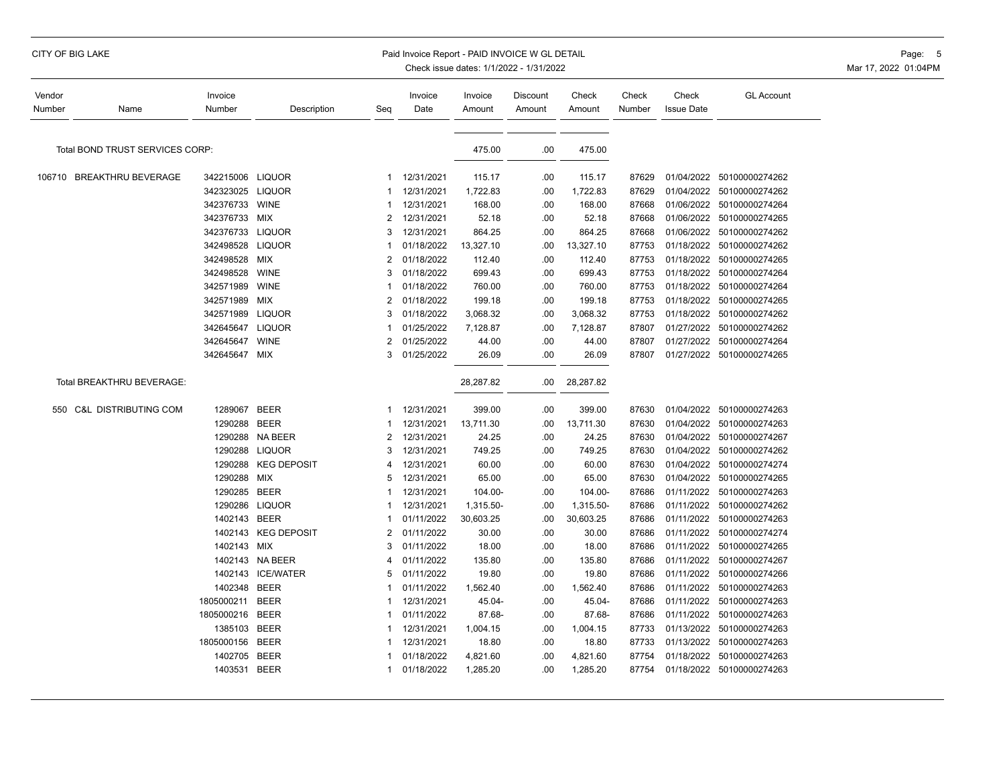| Vendor<br>Number | Name                            | Invoice<br>Number | Description        | Seq            | Invoice<br>Date | Invoice<br>Amount | Discount<br>Amount | Check<br>Amount | Check<br>Number | Check<br><b>Issue Date</b> | <b>GL Account</b>         |
|------------------|---------------------------------|-------------------|--------------------|----------------|-----------------|-------------------|--------------------|-----------------|-----------------|----------------------------|---------------------------|
|                  |                                 |                   |                    |                |                 |                   |                    |                 |                 |                            |                           |
|                  | Total BOND TRUST SERVICES CORP: |                   |                    |                |                 | 475.00            | .00                | 475.00          |                 |                            |                           |
|                  | 106710 BREAKTHRU BEVERAGE       | 342215006 LIQUOR  |                    | 1              | 12/31/2021      | 115.17            | .00                | 115.17          | 87629           | 01/04/2022                 | 50100000274262            |
|                  |                                 | 342323025 LIQUOR  |                    | 1              | 12/31/2021      | 1,722.83          | .00                | 1,722.83        | 87629           | 01/04/2022                 | 50100000274262            |
|                  |                                 | 342376733         | <b>WINE</b>        | 1              | 12/31/2021      | 168.00            | .00                | 168.00          | 87668           | 01/06/2022                 | 50100000274264            |
|                  |                                 | 342376733         | MIX                | 2              | 12/31/2021      | 52.18             | .00                | 52.18           | 87668           |                            | 01/06/2022 50100000274265 |
|                  |                                 | 342376733         | <b>LIQUOR</b>      | 3              | 12/31/2021      | 864.25            | .00                | 864.25          | 87668           | 01/06/2022                 | 50100000274262            |
|                  |                                 | 342498528         | <b>LIQUOR</b>      |                | 01/18/2022      | 13,327.10         | .00                | 13,327.10       | 87753           | 01/18/2022                 | 50100000274262            |
|                  |                                 | 342498528         | <b>MIX</b>         | 2              | 01/18/2022      | 112.40            | .00                | 112.40          | 87753           | 01/18/2022                 | 50100000274265            |
|                  |                                 | 342498528         | <b>WINE</b>        | 3              | 01/18/2022      | 699.43            | .00                | 699.43          | 87753           | 01/18/2022                 | 50100000274264            |
|                  |                                 | 342571989         | <b>WINE</b>        | 1              | 01/18/2022      | 760.00            | .00                | 760.00          | 87753           | 01/18/2022                 | 50100000274264            |
|                  |                                 | 342571989         | MIX                | 2              | 01/18/2022      | 199.18            | .00                | 199.18          | 87753           | 01/18/2022                 | 50100000274265            |
|                  |                                 | 342571989         | <b>LIQUOR</b>      | 3              | 01/18/2022      | 3,068.32          | .00                | 3,068.32        | 87753           | 01/18/2022                 | 50100000274262            |
|                  |                                 | 342645647         | <b>LIQUOR</b>      | 1              | 01/25/2022      | 7,128.87          | .00                | 7,128.87        | 87807           | 01/27/2022                 | 50100000274262            |
|                  |                                 | 342645647         | <b>WINE</b>        | $\overline{2}$ | 01/25/2022      | 44.00             | .00                | 44.00           | 87807           | 01/27/2022                 | 50100000274264            |
|                  |                                 | 342645647 MIX     |                    | 3              | 01/25/2022      | 26.09             | .00                | 26.09           | 87807           |                            | 01/27/2022 50100000274265 |
|                  |                                 |                   |                    |                |                 |                   |                    |                 |                 |                            |                           |
|                  | Total BREAKTHRU BEVERAGE:       |                   |                    |                |                 | 28,287.82         | .00                | 28,287.82       |                 |                            |                           |
|                  | 550 C&L DISTRIBUTING COM        | 1289067 BEER      |                    | 1              | 12/31/2021      | 399.00            | .00                | 399.00          | 87630           | 01/04/2022                 | 50100000274263            |
|                  |                                 | 1290288           | <b>BEER</b>        |                | 12/31/2021      | 13,711.30         | .00                | 13,711.30       | 87630           |                            | 01/04/2022 50100000274263 |
|                  |                                 | 1290288           | <b>NA BEER</b>     | 2              | 12/31/2021      | 24.25             | .00                | 24.25           | 87630           | 01/04/2022                 | 50100000274267            |
|                  |                                 | 1290288           | <b>LIQUOR</b>      | 3              | 12/31/2021      | 749.25            | .00                | 749.25          | 87630           | 01/04/2022                 | 50100000274262            |
|                  |                                 | 1290288           | <b>KEG DEPOSIT</b> | 4              | 12/31/2021      | 60.00             | .00                | 60.00           | 87630           | 01/04/2022                 | 50100000274274            |
|                  |                                 | 1290288           | <b>MIX</b>         | 5              | 12/31/2021      | 65.00             | .00                | 65.00           | 87630           | 01/04/2022                 | 50100000274265            |
|                  |                                 | 1290285 BEER      |                    |                | 12/31/2021      | 104.00-           | .00                | 104.00-         | 87686           | 01/11/2022                 | 50100000274263            |
|                  |                                 | 1290286           | <b>LIQUOR</b>      |                | 12/31/2021      | 1,315.50-         | .00                | 1,315.50-       | 87686           | 01/11/2022                 | 50100000274262            |
|                  |                                 | 1402143           | <b>BEER</b>        |                | 01/11/2022      | 30,603.25         | .00                | 30,603.25       | 87686           | 01/11/2022                 | 50100000274263            |
|                  |                                 | 1402143           | <b>KEG DEPOSIT</b> | 2              | 01/11/2022      | 30.00             | .00                | 30.00           | 87686           | 01/11/2022                 | 50100000274274            |
|                  |                                 | 1402143 MIX       |                    | 3              | 01/11/2022      | 18.00             | .00                | 18.00           | 87686           | 01/11/2022                 | 50100000274265            |
|                  |                                 | 1402143           | NA BEER            | 4              | 01/11/2022      | 135.80            | .00                | 135.80          | 87686           | 01/11/2022                 | 50100000274267            |
|                  |                                 | 1402143           | <b>ICE/WATER</b>   | 5              | 01/11/2022      | 19.80             | .00                | 19.80           | 87686           | 01/11/2022                 | 50100000274266            |
|                  |                                 | 1402348           | <b>BEER</b>        | 1              | 01/11/2022      | 1,562.40          | .00                | 1,562.40        | 87686           | 01/11/2022                 | 50100000274263            |
|                  |                                 | 1805000211        | <b>BEER</b>        |                | 12/31/2021      | 45.04-            | .00                | 45.04-          | 87686           | 01/11/2022                 | 50100000274263            |
|                  |                                 | 1805000216 BEER   |                    | 1              | 01/11/2022      | 87.68-            | .00                | 87.68-          | 87686           | 01/11/2022                 | 50100000274263            |
|                  |                                 | 1385103           | <b>BEER</b>        |                | 12/31/2021      | 1,004.15          | .00                | 1,004.15        | 87733           | 01/13/2022                 | 50100000274263            |
|                  |                                 | 1805000156        | <b>BEER</b>        | 1              | 12/31/2021      | 18.80             | .00                | 18.80           | 87733           | 01/13/2022                 | 50100000274263            |
|                  |                                 | 1402705           | <b>BEER</b>        |                | 01/18/2022      | 4,821.60          | .00                | 4,821.60        | 87754           | 01/18/2022                 | 50100000274263            |
|                  |                                 | 1403531           | <b>BEER</b>        | 1              | 01/18/2022      | 1,285.20          | .00                | 1,285.20        | 87754           |                            | 01/18/2022 50100000274263 |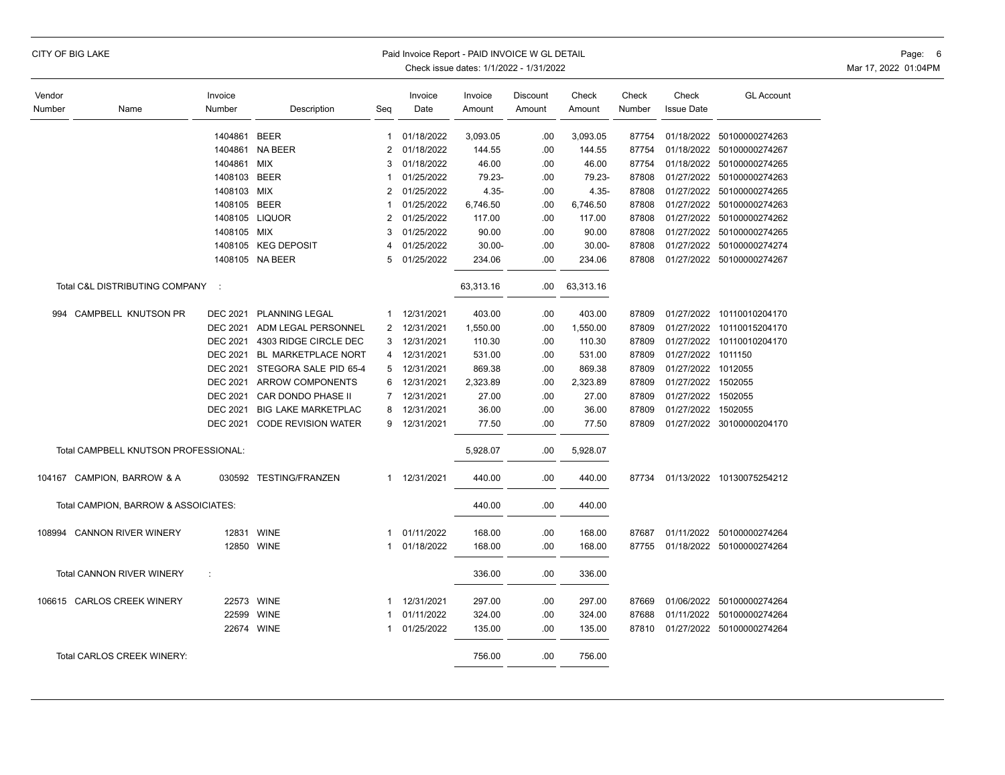| CITY OF BIG LAKE |  |  |
|------------------|--|--|
|------------------|--|--|

#### Paid Invoice Report - PAID INVOICE W GL DETAIL **CONSERVANCE WITH A CONSERVANCE WITH A CONSERVANCE W** GL DETAIL

| Vendor |                                      | Invoice         |                            |                | Invoice      | Invoice   | Discount | Check     | Check  | Check              | <b>GL Account</b>         |
|--------|--------------------------------------|-----------------|----------------------------|----------------|--------------|-----------|----------|-----------|--------|--------------------|---------------------------|
| Number | Name                                 | Number          | Description                | Seg            | Date         | Amount    | Amount   | Amount    | Number | <b>Issue Date</b>  |                           |
|        |                                      |                 |                            |                |              |           |          |           |        |                    |                           |
|        |                                      | 1404861         | <b>BEER</b>                | $\mathbf{1}$   | 01/18/2022   | 3,093.05  | .00      | 3,093.05  | 87754  |                    | 01/18/2022 50100000274263 |
|        |                                      | 1404861         | <b>NA BEER</b>             | $\overline{2}$ | 01/18/2022   | 144.55    | .00      | 144.55    | 87754  |                    | 01/18/2022 50100000274267 |
|        |                                      | 1404861         | <b>MIX</b>                 | 3              | 01/18/2022   | 46.00     | .00      | 46.00     | 87754  |                    | 01/18/2022 50100000274265 |
|        |                                      | 1408103         | <b>BEER</b>                | 1              | 01/25/2022   | 79.23-    | .00      | 79.23-    | 87808  |                    | 01/27/2022 50100000274263 |
|        |                                      | 1408103 MIX     |                            | 2              | 01/25/2022   | $4.35 -$  | .00      | $4.35 -$  | 87808  |                    | 01/27/2022 50100000274265 |
|        |                                      | 1408105 BEER    |                            | 1              | 01/25/2022   | 6,746.50  | .00      | 6,746.50  | 87808  |                    | 01/27/2022 50100000274263 |
|        |                                      |                 | 1408105 LIQUOR             | $\overline{2}$ | 01/25/2022   | 117.00    | .00      | 117.00    | 87808  |                    | 01/27/2022 50100000274262 |
|        |                                      | 1408105 MIX     |                            | 3              | 01/25/2022   | 90.00     | .00.     | 90.00     | 87808  |                    | 01/27/2022 50100000274265 |
|        |                                      |                 | 1408105 KEG DEPOSIT        | 4              | 01/25/2022   | $30.00 -$ | .00      | $30.00 -$ | 87808  |                    | 01/27/2022 50100000274274 |
|        |                                      |                 | 1408105 NA BEER            | 5              | 01/25/2022   | 234.06    | .00      | 234.06    | 87808  |                    | 01/27/2022 50100000274267 |
|        | Total C&L DISTRIBUTING COMPANY       | - 1             |                            |                |              | 63,313.16 | .00      | 63,313.16 |        |                    |                           |
| 994    | CAMPBELL KNUTSON PR                  |                 | DEC 2021 PLANNING LEGAL    | 1              | 12/31/2021   | 403.00    | .00      | 403.00    | 87809  |                    | 01/27/2022 10110010204170 |
|        |                                      | <b>DEC 2021</b> | ADM LEGAL PERSONNEL        | 2              | 12/31/2021   | 1,550.00  | .00      | 1,550.00  | 87809  |                    | 01/27/2022 10110015204170 |
|        |                                      | <b>DEC 2021</b> | 4303 RIDGE CIRCLE DEC      | 3              | 12/31/2021   | 110.30    | .00      | 110.30    | 87809  |                    | 01/27/2022 10110010204170 |
|        |                                      | <b>DEC 2021</b> | <b>BL MARKETPLACE NORT</b> | 4              | 12/31/2021   | 531.00    | .00      | 531.00    | 87809  | 01/27/2022 1011150 |                           |
|        |                                      | DEC 2021        | STEGORA SALE PID 65-4      | 5              | 12/31/2021   | 869.38    | .00      | 869.38    | 87809  | 01/27/2022 1012055 |                           |
|        |                                      | <b>DEC 2021</b> | <b>ARROW COMPONENTS</b>    | 6              | 12/31/2021   | 2,323.89  | .00      | 2,323.89  | 87809  | 01/27/2022 1502055 |                           |
|        |                                      | <b>DEC 2021</b> | CAR DONDO PHASE II         | $\overline{7}$ | 12/31/2021   | 27.00     | .00      | 27.00     | 87809  | 01/27/2022 1502055 |                           |
|        |                                      | <b>DEC 2021</b> | <b>BIG LAKE MARKETPLAC</b> | 8              | 12/31/2021   | 36.00     | .00      | 36.00     | 87809  | 01/27/2022 1502055 |                           |
|        |                                      | DEC 2021        | <b>CODE REVISION WATER</b> | 9              | 12/31/2021   | 77.50     | .00      | 77.50     | 87809  |                    | 01/27/2022 30100000204170 |
|        |                                      |                 |                            |                |              |           |          |           |        |                    |                           |
|        | Total CAMPBELL KNUTSON PROFESSIONAL: |                 |                            |                |              | 5,928.07  | .00      | 5,928.07  |        |                    |                           |
|        | 104167 CAMPION, BARROW & A           |                 | 030592 TESTING/FRANZEN     |                | 1 12/31/2021 | 440.00    | .00      | 440.00    | 87734  |                    | 01/13/2022 10130075254212 |
|        | Total CAMPION, BARROW & ASSOICIATES: |                 |                            |                |              | 440.00    | .00      | 440.00    |        |                    |                           |
| 108994 | <b>CANNON RIVER WINERY</b>           |                 | 12831 WINE                 | 1              | 01/11/2022   | 168.00    | .00      | 168.00    | 87687  |                    | 01/11/2022 50100000274264 |
|        |                                      |                 | 12850 WINE                 | 1              | 01/18/2022   | 168.00    | .00      | 168.00    | 87755  |                    | 01/18/2022 50100000274264 |
|        |                                      |                 |                            |                |              |           |          |           |        |                    |                           |
|        | Total CANNON RIVER WINERY            | ÷               |                            |                |              | 336.00    | .00      | 336.00    |        |                    |                           |
|        | 106615 CARLOS CREEK WINERY           |                 | 22573 WINE                 | 1              | 12/31/2021   | 297.00    | .00      | 297.00    | 87669  |                    | 01/06/2022 50100000274264 |
|        |                                      | 22599           | <b>WINE</b>                | 1              | 01/11/2022   | 324.00    | .00      | 324.00    | 87688  |                    | 01/11/2022 50100000274264 |
|        |                                      |                 | 22674 WINE                 | 1              | 01/25/2022   | 135.00    | .00      | 135.00    | 87810  |                    | 01/27/2022 50100000274264 |
|        | Total CARLOS CREEK WINERY:           |                 |                            |                |              | 756.00    | .00      | 756.00    |        |                    |                           |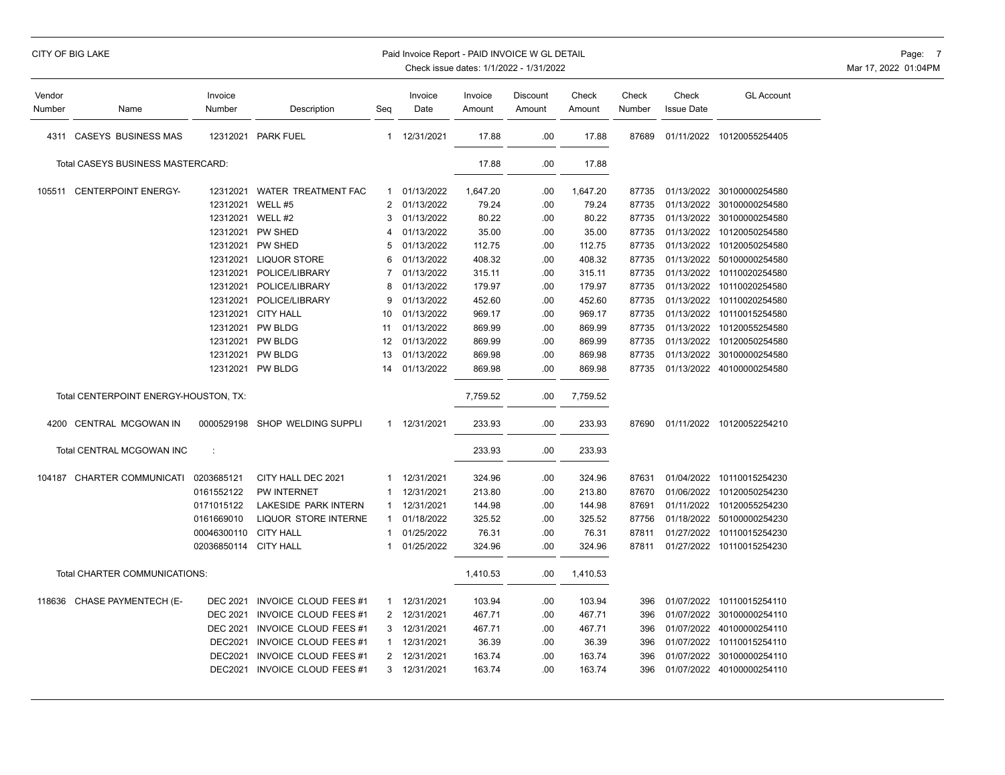| Vendor |                                       | Invoice<br>Number |                                |                | Invoice    | Invoice  | Discount | Check    | Check  | Check             | <b>GL Account</b>         |
|--------|---------------------------------------|-------------------|--------------------------------|----------------|------------|----------|----------|----------|--------|-------------------|---------------------------|
| Number | Name                                  |                   | Description                    | Seq            | Date       | Amount   | Amount   | Amount   | Number | <b>Issue Date</b> |                           |
| 4311   | <b>CASEYS BUSINESS MAS</b>            | 12312021          | <b>PARK FUEL</b>               | $\mathbf{1}$   | 12/31/2021 | 17.88    | .00      | 17.88    | 87689  |                   | 01/11/2022 10120055254405 |
|        | Total CASEYS BUSINESS MASTERCARD:     |                   |                                |                |            | 17.88    | .00      | 17.88    |        |                   |                           |
|        | 105511 CENTERPOINT ENERGY-            | 12312021          | WATER TREATMENT FAC            | $\mathbf{1}$   | 01/13/2022 | 1,647.20 | .00      | 1,647.20 | 87735  |                   | 01/13/2022 30100000254580 |
|        |                                       | 12312021          | WELL #5                        | $\overline{2}$ | 01/13/2022 | 79.24    | .00      | 79.24    | 87735  |                   | 01/13/2022 30100000254580 |
|        |                                       | 12312021          | WELL #2                        | 3              | 01/13/2022 | 80.22    | .00      | 80.22    | 87735  |                   | 01/13/2022 30100000254580 |
|        |                                       | 12312021          | PW SHED                        | 4              | 01/13/2022 | 35.00    | .00      | 35.00    | 87735  |                   | 01/13/2022 10120050254580 |
|        |                                       | 12312021          | PW SHED                        | 5              | 01/13/2022 | 112.75   | .00      | 112.75   | 87735  | 01/13/2022        | 10120050254580            |
|        |                                       | 12312021          | <b>LIQUOR STORE</b>            | 6              | 01/13/2022 | 408.32   | .00      | 408.32   | 87735  |                   | 01/13/2022 50100000254580 |
|        |                                       | 12312021          | POLICE/LIBRARY                 | 7              | 01/13/2022 | 315.11   | .00      | 315.11   | 87735  | 01/13/2022        | 10110020254580            |
|        |                                       | 12312021          | POLICE/LIBRARY                 | 8              | 01/13/2022 | 179.97   | .00      | 179.97   | 87735  | 01/13/2022        | 10110020254580            |
|        |                                       | 12312021          | POLICE/LIBRARY                 | 9              | 01/13/2022 | 452.60   | .00      | 452.60   | 87735  | 01/13/2022        | 10110020254580            |
|        |                                       | 12312021          | <b>CITY HALL</b>               | 10             | 01/13/2022 | 969.17   | .00      | 969.17   | 87735  |                   | 01/13/2022 10110015254580 |
|        |                                       | 12312021          | <b>PW BLDG</b>                 | 11             | 01/13/2022 | 869.99   | .00      | 869.99   | 87735  |                   | 01/13/2022 10120055254580 |
|        |                                       | 12312021          | <b>PW BLDG</b>                 | 12             | 01/13/2022 | 869.99   | .00      | 869.99   | 87735  |                   | 01/13/2022 10120050254580 |
|        |                                       | 12312021          | <b>PW BLDG</b>                 | 13             | 01/13/2022 | 869.98   | .00      | 869.98   | 87735  |                   | 01/13/2022 30100000254580 |
|        |                                       | 12312021          | <b>PW BLDG</b>                 | 14             | 01/13/2022 | 869.98   | .00      | 869.98   | 87735  |                   | 01/13/2022 40100000254580 |
|        | Total CENTERPOINT ENERGY-HOUSTON, TX: |                   |                                |                |            | 7,759.52 | .00      | 7,759.52 |        |                   |                           |
|        | 4200 CENTRAL MCGOWAN IN               |                   | 0000529198 SHOP WELDING SUPPLI | $\mathbf{1}$   | 12/31/2021 | 233.93   | .00      | 233.93   | 87690  |                   | 01/11/2022 10120052254210 |
|        | Total CENTRAL MCGOWAN INC             | d                 |                                |                |            | 233.93   | .00      | 233.93   |        |                   |                           |
|        | 104187 CHARTER COMMUNICATI            | 0203685121        | CITY HALL DEC 2021             | -1             | 12/31/2021 | 324.96   | .00      | 324.96   | 87631  |                   | 01/04/2022 10110015254230 |
|        |                                       | 0161552122        | <b>PW INTERNET</b>             |                | 12/31/2021 | 213.80   | .00      | 213.80   | 87670  |                   | 01/06/2022 10120050254230 |
|        |                                       | 0171015122        | LAKESIDE PARK INTERN           | 1              | 12/31/2021 | 144.98   | .00      | 144.98   | 87691  |                   | 01/11/2022 10120055254230 |
|        |                                       | 0161669010        | <b>LIQUOR STORE INTERNE</b>    | 1              | 01/18/2022 | 325.52   | .00      | 325.52   | 87756  |                   | 01/18/2022 50100000254230 |
|        |                                       | 00046300110       | <b>CITY HALL</b>               | 1              | 01/25/2022 | 76.31    | .00      | 76.31    | 87811  |                   | 01/27/2022 10110015254230 |
|        |                                       | 02036850114       | <b>CITY HALL</b>               | 1              | 01/25/2022 | 324.96   | .00      | 324.96   | 87811  |                   | 01/27/2022 10110015254230 |
|        | Total CHARTER COMMUNICATIONS:         |                   |                                |                |            | 1,410.53 | .00      | 1,410.53 |        |                   |                           |
|        | 118636 CHASE PAYMENTECH (E-           | <b>DEC 2021</b>   | <b>INVOICE CLOUD FEES #1</b>   | 1              | 12/31/2021 | 103.94   | .00      | 103.94   | 396    |                   | 01/07/2022 10110015254110 |
|        |                                       | <b>DEC 2021</b>   | INVOICE CLOUD FEES #1          | $\overline{2}$ | 12/31/2021 | 467.71   | .00      | 467.71   | 396    |                   | 01/07/2022 30100000254110 |
|        |                                       | <b>DEC 2021</b>   | INVOICE CLOUD FEES #1          | 3              | 12/31/2021 | 467.71   | .00      | 467.71   | 396    |                   | 01/07/2022 40100000254110 |
|        |                                       | <b>DEC2021</b>    | <b>INVOICE CLOUD FEES #1</b>   | 1              | 12/31/2021 | 36.39    | .00      | 36.39    | 396    |                   | 01/07/2022 10110015254110 |
|        |                                       | <b>DEC2021</b>    | <b>INVOICE CLOUD FEES #1</b>   | $\overline{2}$ | 12/31/2021 | 163.74   | .00      | 163.74   | 396    |                   | 01/07/2022 30100000254110 |
|        |                                       | <b>DEC2021</b>    | INVOICE CLOUD FEES #1          | 3              | 12/31/2021 | 163.74   | .00      | 163.74   | 396    |                   | 01/07/2022 40100000254110 |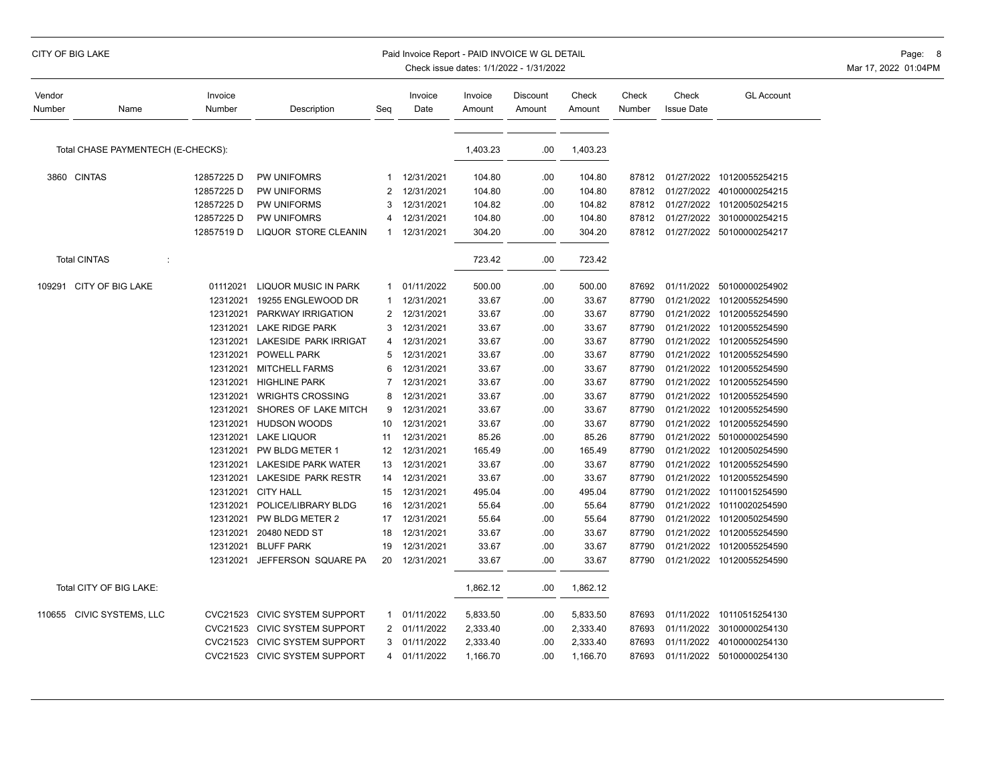| Vendor<br>Number | Name                               | Invoice<br>Number | Description                   | Seg            | Invoice<br>Date | Invoice<br>Amount | Discount<br>Amount | Check<br>Amount | Check<br>Number | Check<br><b>Issue Date</b> | <b>GL Account</b>               |
|------------------|------------------------------------|-------------------|-------------------------------|----------------|-----------------|-------------------|--------------------|-----------------|-----------------|----------------------------|---------------------------------|
|                  |                                    |                   |                               |                |                 |                   |                    |                 |                 |                            |                                 |
|                  | Total CHASE PAYMENTECH (E-CHECKS): |                   |                               |                |                 | 1,403.23          | .00                | 1,403.23        |                 |                            |                                 |
|                  | 3860 CINTAS                        | 12857225 D        | <b>PW UNIFOMRS</b>            | 1              | 12/31/2021      | 104.80            | .00                | 104.80          |                 |                            | 87812 01/27/2022 10120055254215 |
|                  |                                    | 12857225 D        | PW UNIFORMS                   | 2              | 12/31/2021      | 104.80            | .00                | 104.80          | 87812           | 01/27/2022                 | 40100000254215                  |
|                  |                                    | 12857225 D        | PW UNIFORMS                   | 3              | 12/31/2021      | 104.82            | .00                | 104.82          | 87812           |                            | 01/27/2022 10120050254215       |
|                  |                                    | 12857225 D        | PW UNIFOMRS                   | 4              | 12/31/2021      | 104.80            | .00                | 104.80          | 87812           |                            | 01/27/2022 30100000254215       |
|                  |                                    | 12857519 D        | LIQUOR STORE CLEANIN          | -1             | 12/31/2021      | 304.20            | .00                | 304.20          |                 |                            | 87812 01/27/2022 50100000254217 |
|                  | <b>Total CINTAS</b><br>÷           |                   |                               |                |                 | 723.42            | .00                | 723.42          |                 |                            |                                 |
|                  | 109291 CITY OF BIG LAKE            | 01112021          | <b>LIQUOR MUSIC IN PARK</b>   | 1              | 01/11/2022      | 500.00            | .00                | 500.00          | 87692           |                            | 01/11/2022 50100000254902       |
|                  |                                    | 12312021          | 19255 ENGLEWOOD DR            | 1              | 12/31/2021      | 33.67             | .00                | 33.67           | 87790           |                            | 01/21/2022 10120055254590       |
|                  |                                    | 12312021          | <b>PARKWAY IRRIGATION</b>     | 2              | 12/31/2021      | 33.67             | .00                | 33.67           | 87790           | 01/21/2022                 | 10120055254590                  |
|                  |                                    | 12312021          | <b>LAKE RIDGE PARK</b>        | 3              | 12/31/2021      | 33.67             | .00                | 33.67           | 87790           |                            | 01/21/2022 10120055254590       |
|                  |                                    | 12312021          | LAKESIDE PARK IRRIGAT         | 4              | 12/31/2021      | 33.67             | .00                | 33.67           | 87790           |                            | 01/21/2022 10120055254590       |
|                  |                                    | 12312021          | <b>POWELL PARK</b>            | 5              | 12/31/2021      | 33.67             | .00                | 33.67           | 87790           |                            | 01/21/2022 10120055254590       |
|                  |                                    | 12312021          | <b>MITCHELL FARMS</b>         | 6              | 12/31/2021      | 33.67             | .00                | 33.67           | 87790           | 01/21/2022                 | 10120055254590                  |
|                  |                                    | 12312021          | <b>HIGHLINE PARK</b>          | 7              | 12/31/2021      | 33.67             | .00                | 33.67           | 87790           |                            | 01/21/2022 10120055254590       |
|                  |                                    | 12312021          | <b>WRIGHTS CROSSING</b>       | 8              | 12/31/2021      | 33.67             | .00                | 33.67           | 87790           | 01/21/2022                 | 10120055254590                  |
|                  |                                    | 12312021          | SHORES OF LAKE MITCH          | 9              | 12/31/2021      | 33.67             | .00                | 33.67           | 87790           | 01/21/2022                 | 10120055254590                  |
|                  |                                    | 12312021          | <b>HUDSON WOODS</b>           | 10             | 12/31/2021      | 33.67             | .00                | 33.67           | 87790           | 01/21/2022                 | 10120055254590                  |
|                  |                                    | 12312021          | <b>LAKE LIQUOR</b>            | 11             | 12/31/2021      | 85.26             | .00                | 85.26           | 87790           | 01/21/2022                 | 50100000254590                  |
|                  |                                    | 12312021          | PW BLDG METER 1               | 12             | 12/31/2021      | 165.49            | .00                | 165.49          | 87790           | 01/21/2022                 | 10120050254590                  |
|                  |                                    | 12312021          | <b>LAKESIDE PARK WATER</b>    | 13             | 12/31/2021      | 33.67             | .00                | 33.67           | 87790           | 01/21/2022                 | 10120055254590                  |
|                  |                                    |                   | 12312021 LAKESIDE PARK RESTR  | 14             | 12/31/2021      | 33.67             | .00                | 33.67           | 87790           |                            | 01/21/2022 10120055254590       |
|                  |                                    | 12312021          | <b>CITY HALL</b>              | 15             | 12/31/2021      | 495.04            | .00                | 495.04          | 87790           | 01/21/2022                 | 10110015254590                  |
|                  |                                    | 12312021          | POLICE/LIBRARY BLDG           | 16             | 12/31/2021      | 55.64             | .00                | 55.64           | 87790           |                            | 01/21/2022 10110020254590       |
|                  |                                    | 12312021          | PW BLDG METER 2               | 17             | 12/31/2021      | 55.64             | .00                | 55.64           | 87790           | 01/21/2022                 | 10120050254590                  |
|                  |                                    | 12312021          | 20480 NEDD ST                 | 18             | 12/31/2021      | 33.67             | .00                | 33.67           | 87790           |                            | 01/21/2022 10120055254590       |
|                  |                                    | 12312021          | <b>BLUFF PARK</b>             | 19             | 12/31/2021      | 33.67             | .00                | 33.67           | 87790           | 01/21/2022                 | 10120055254590                  |
|                  |                                    | 12312021          | JEFFERSON SQUARE PA           | 20             | 12/31/2021      | 33.67             | .00                | 33.67           | 87790           |                            | 01/21/2022 10120055254590       |
|                  | Total CITY OF BIG LAKE:            |                   |                               |                |                 | 1,862.12          | .00                | 1,862.12        |                 |                            |                                 |
|                  | 110655 CIVIC SYSTEMS, LLC          | CVC21523          | <b>CIVIC SYSTEM SUPPORT</b>   | 1              | 01/11/2022      | 5,833.50          | .00                | 5,833.50        | 87693           | 01/11/2022                 | 10110515254130                  |
|                  |                                    | CVC21523          | <b>CIVIC SYSTEM SUPPORT</b>   | 2              | 01/11/2022      | 2,333.40          | .00                | 2,333.40        | 87693           | 01/11/2022                 | 30100000254130                  |
|                  |                                    | CVC21523          | <b>CIVIC SYSTEM SUPPORT</b>   | 3              | 01/11/2022      | 2,333.40          | .00                | 2,333.40        | 87693           | 01/11/2022                 | 40100000254130                  |
|                  |                                    |                   | CVC21523 CIVIC SYSTEM SUPPORT | $\overline{4}$ | 01/11/2022      | 1,166.70          | .00                | 1,166.70        | 87693           |                            | 01/11/2022 50100000254130       |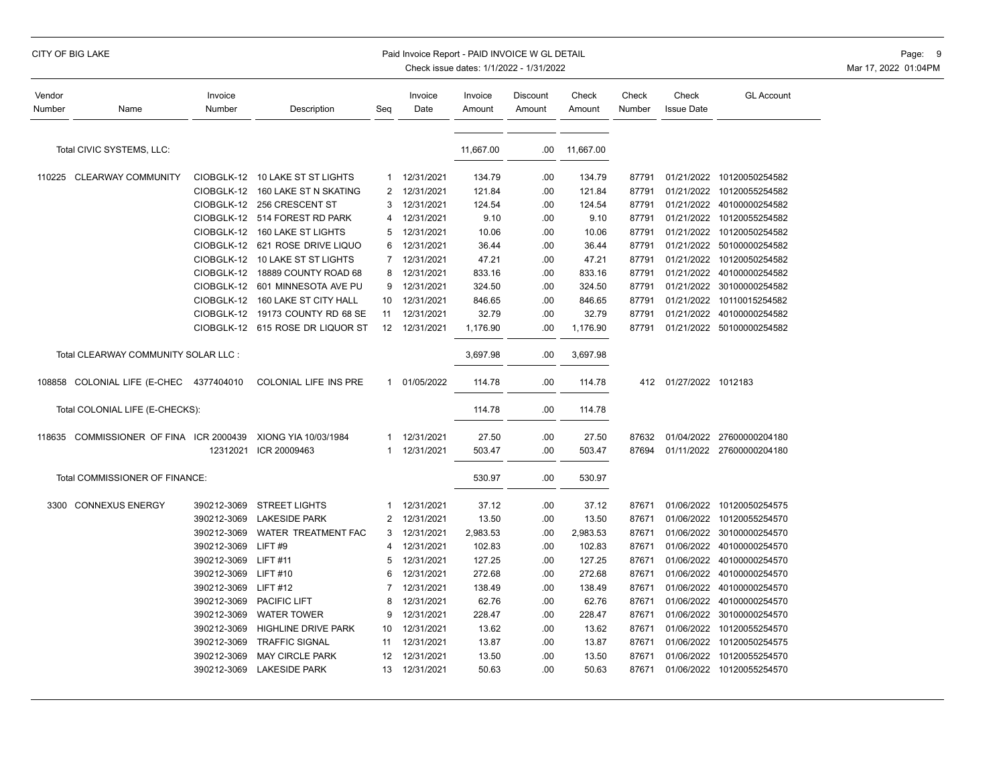# CITY OF BIG LAKE PAID INVOICE W GL DETAIL PAID INVOICE W GL DETAIL PAID INVOICE W GL DETAIL PAGE: 9

| Vendor<br>Number | Name                                    | Invoice<br>Number        | Description                              | Seq          | Invoice<br>Date          | Invoice<br>Amount | Discount<br>Amount | Check<br>Amount | Check<br>Number | Check<br><b>Issue Date</b> | <b>GL Account</b>         |
|------------------|-----------------------------------------|--------------------------|------------------------------------------|--------------|--------------------------|-------------------|--------------------|-----------------|-----------------|----------------------------|---------------------------|
|                  | Total CIVIC SYSTEMS, LLC:               |                          |                                          |              |                          | 11,667.00         | .00                | 11,667.00       |                 |                            |                           |
|                  |                                         |                          |                                          |              |                          |                   |                    |                 |                 |                            |                           |
|                  | 110225 CLEARWAY COMMUNITY               | CIOBGLK-12               | 10 LAKE ST ST LIGHTS                     | $\mathbf{1}$ | 12/31/2021               | 134.79            | .00                | 134.79          | 87791           |                            | 01/21/2022 10120050254582 |
|                  |                                         | CIOBGLK-12               | 160 LAKE ST N SKATING<br>256 CRESCENT ST | 2<br>3       | 12/31/2021               | 121.84            | .00                | 121.84          | 87791           | 01/21/2022                 | 01/21/2022 10120055254582 |
|                  |                                         | CIOBGLK-12<br>CIOBGLK-12 | 514 FOREST RD PARK                       | 4            | 12/31/2021<br>12/31/2021 | 124.54            | .00                | 124.54          | 87791           |                            | 40100000254582            |
|                  |                                         |                          |                                          | 5            |                          | 9.10              | .00                | 9.10            | 87791<br>87791  |                            | 01/21/2022 10120055254582 |
|                  |                                         | CIOBGLK-12               | 160 LAKE ST LIGHTS                       |              | 12/31/2021               | 10.06             | .00                | 10.06           |                 | 01/21/2022                 | 10120050254582            |
|                  |                                         | CIOBGLK-12               | 621 ROSE DRIVE LIQUO                     | 6            | 12/31/2021               | 36.44             | .00                | 36.44           | 87791           | 01/21/2022                 | 50100000254582            |
|                  |                                         | CIOBGLK-12               | 10 LAKE ST ST LIGHTS                     | 7            | 12/31/2021               | 47.21             | .00                | 47.21           | 87791           | 01/21/2022                 | 10120050254582            |
|                  |                                         | CIOBGLK-12               | 18889 COUNTY ROAD 68                     | 8            | 12/31/2021               | 833.16            | .00                | 833.16          | 87791           | 01/21/2022                 | 40100000254582            |
|                  |                                         | CIOBGLK-12               | 601 MINNESOTA AVE PU                     | 9            | 12/31/2021               | 324.50            | .00                | 324.50          | 87791           | 01/21/2022                 | 30100000254582            |
|                  |                                         | CIOBGLK-12               | 160 LAKE ST CITY HALL                    | 10           | 12/31/2021               | 846.65            | .00                | 846.65          | 87791           | 01/21/2022                 | 10110015254582            |
|                  |                                         | CIOBGLK-12               | 19173 COUNTY RD 68 SE                    | 11           | 12/31/2021               | 32.79             | .00                | 32.79           | 87791           |                            | 01/21/2022 40100000254582 |
|                  |                                         | CIOBGLK-12               | 615 ROSE DR LIQUOR ST                    | 12           | 12/31/2021               | 1,176.90          | .00                | 1,176.90        | 87791           |                            | 01/21/2022 50100000254582 |
|                  | Total CLEARWAY COMMUNITY SOLAR LLC :    |                          |                                          |              |                          | 3,697.98          | .00                | 3,697.98        |                 |                            |                           |
|                  | 108858 COLONIAL LIFE (E-CHEC            | 4377404010               | COLONIAL LIFE INS PRE                    |              | 1 01/05/2022             | 114.78            | .00                | 114.78          |                 | 412 01/27/2022 1012183     |                           |
|                  | Total COLONIAL LIFE (E-CHECKS):         |                          |                                          |              |                          | 114.78            | .00                | 114.78          |                 |                            |                           |
|                  | 118635 COMMISSIONER OF FINA ICR 2000439 |                          | XIONG YIA 10/03/1984                     | 1            | 12/31/2021               | 27.50             | .00                | 27.50           | 87632           |                            | 01/04/2022 27600000204180 |
|                  |                                         | 12312021                 | ICR 20009463                             | 1            | 12/31/2021               | 503.47            | .00                | 503.47          | 87694           |                            | 01/11/2022 27600000204180 |
|                  |                                         |                          |                                          |              |                          |                   |                    |                 |                 |                            |                           |
|                  | Total COMMISSIONER OF FINANCE:          |                          |                                          |              |                          | 530.97            | .00                | 530.97          |                 |                            |                           |
|                  | 3300 CONNEXUS ENERGY                    | 390212-3069              | <b>STREET LIGHTS</b>                     | 1            | 12/31/2021               | 37.12             | .00                | 37.12           | 87671           |                            | 01/06/2022 10120050254575 |
|                  |                                         | 390212-3069              | <b>LAKESIDE PARK</b>                     | 2            | 12/31/2021               | 13.50             | .00                | 13.50           | 87671           |                            | 01/06/2022 10120055254570 |
|                  |                                         | 390212-3069              | WATER TREATMENT FAC                      | 3            | 12/31/2021               | 2,983.53          | .00                | 2,983.53        | 87671           | 01/06/2022                 | 30100000254570            |
|                  |                                         | 390212-3069              | LIFT#9                                   | 4            | 12/31/2021               | 102.83            | .00                | 102.83          | 87671           | 01/06/2022                 | 40100000254570            |
|                  |                                         | 390212-3069              | <b>LIFT#11</b>                           | 5            | 12/31/2021               | 127.25            | .00                | 127.25          | 87671           | 01/06/2022                 | 40100000254570            |
|                  |                                         | 390212-3069              | <b>LIFT#10</b>                           | 6            | 12/31/2021               | 272.68            | .00                | 272.68          | 87671           | 01/06/2022                 | 40100000254570            |
|                  |                                         | 390212-3069              | <b>LIFT#12</b>                           | 7            | 12/31/2021               | 138.49            | .00                | 138.49          | 87671           | 01/06/2022                 | 40100000254570            |
|                  |                                         | 390212-3069              | PACIFIC LIFT                             | 8            | 12/31/2021               | 62.76             | .00                | 62.76           | 87671           | 01/06/2022                 | 40100000254570            |
|                  |                                         | 390212-3069              | <b>WATER TOWER</b>                       | 9            | 12/31/2021               | 228.47            | .00                | 228.47          | 87671           | 01/06/2022                 | 30100000254570            |
|                  |                                         | 390212-3069              | HIGHLINE DRIVE PARK                      | 10           | 12/31/2021               | 13.62             | .00                | 13.62           | 87671           | 01/06/2022                 | 10120055254570            |
|                  |                                         | 390212-3069              | <b>TRAFFIC SIGNAL</b>                    | 11           | 12/31/2021               | 13.87             | .00                | 13.87           | 87671           | 01/06/2022                 | 10120050254575            |
|                  |                                         | 390212-3069              | <b>MAY CIRCLE PARK</b>                   | 12           | 12/31/2021               | 13.50             | .00                | 13.50           | 87671           | 01/06/2022                 | 10120055254570            |
|                  |                                         | 390212-3069              | <b>LAKESIDE PARK</b>                     | 13           | 12/31/2021               | 50.63             | .00                | 50.63           | 87671           |                            | 01/06/2022 10120055254570 |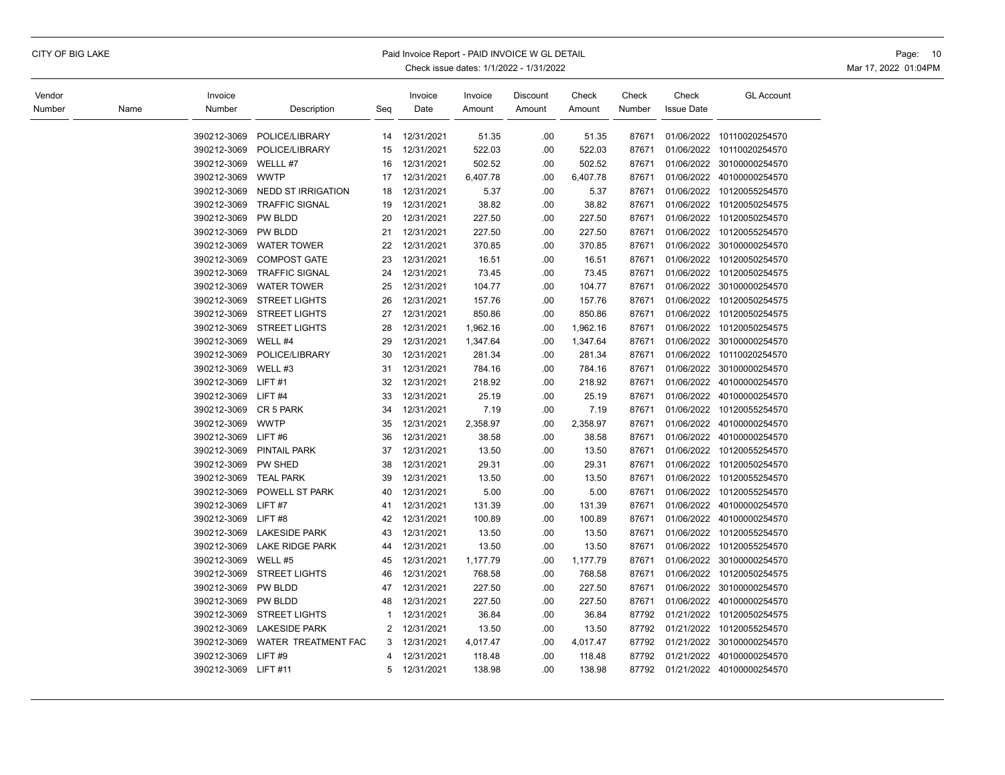# CITY OF BIG LAKE PAID INVOICE WORLD EXAMPLE PAID INVOICE WORLD DETAIL PAID INVOICE WORLD DETAIL PAGE: 10

| Vendor<br>Number | Name | Invoice<br>Number | Description               | Seq            | Invoice<br>Date | Invoice<br>Amount | Discount<br>Amount | Check<br>Amount | Check<br>Number | Check<br><b>Issue Date</b> | <b>GL Account</b> |
|------------------|------|-------------------|---------------------------|----------------|-----------------|-------------------|--------------------|-----------------|-----------------|----------------------------|-------------------|
|                  |      |                   |                           |                |                 |                   |                    |                 |                 |                            |                   |
|                  |      | 390212-3069       | POLICE/LIBRARY            | 14             | 12/31/2021      | 51.35             | .00                | 51.35           | 87671           | 01/06/2022                 | 10110020254570    |
|                  |      | 390212-3069       | POLICE/LIBRARY            | 15             | 12/31/2021      | 522.03            | .00                | 522.03          | 87671           | 01/06/2022                 | 10110020254570    |
|                  |      | 390212-3069       | WELLL #7                  | 16             | 12/31/2021      | 502.52            | .00                | 502.52          | 87671           | 01/06/2022                 | 30100000254570    |
|                  |      | 390212-3069       | <b>WWTP</b>               | 17             | 12/31/2021      | 6,407.78          | .00                | 6,407.78        | 87671           | 01/06/2022                 | 40100000254570    |
|                  |      | 390212-3069       | <b>NEDD ST IRRIGATION</b> | 18             | 12/31/2021      | 5.37              | .00                | 5.37            | 87671           | 01/06/2022                 | 10120055254570    |
|                  |      | 390212-3069       | <b>TRAFFIC SIGNAL</b>     | 19             | 12/31/2021      | 38.82             | .00                | 38.82           | 87671           | 01/06/2022                 | 10120050254575    |
|                  |      | 390212-3069       | PW BLDD                   | 20             | 12/31/2021      | 227.50            | .00                | 227.50          | 87671           | 01/06/2022                 | 10120050254570    |
|                  |      | 390212-3069       | PW BLDD                   | 21             | 12/31/2021      | 227.50            | .00                | 227.50          | 87671           | 01/06/2022                 | 10120055254570    |
|                  |      | 390212-3069       | <b>WATER TOWER</b>        | 22             | 12/31/2021      | 370.85            | .00                | 370.85          | 87671           | 01/06/2022                 | 30100000254570    |
|                  |      | 390212-3069       | <b>COMPOST GATE</b>       | 23             | 12/31/2021      | 16.51             | .00.               | 16.51           | 87671           | 01/06/2022                 | 10120050254570    |
|                  |      | 390212-3069       | <b>TRAFFIC SIGNAL</b>     | 24             | 12/31/2021      | 73.45             | .00                | 73.45           | 87671           | 01/06/2022                 | 10120050254575    |
|                  |      | 390212-3069       | <b>WATER TOWER</b>        | 25             | 12/31/2021      | 104.77            | .00                | 104.77          | 87671           | 01/06/2022                 | 30100000254570    |
|                  |      | 390212-3069       | <b>STREET LIGHTS</b>      | 26             | 12/31/2021      | 157.76            | .00                | 157.76          | 87671           | 01/06/2022                 | 10120050254575    |
|                  |      | 390212-3069       | <b>STREET LIGHTS</b>      | 27             | 12/31/2021      | 850.86            | .00                | 850.86          | 87671           | 01/06/2022                 | 10120050254575    |
|                  |      | 390212-3069       | <b>STREET LIGHTS</b>      | 28             | 12/31/2021      | 1,962.16          | .00                | 1,962.16        | 87671           | 01/06/2022                 | 10120050254575    |
|                  |      | 390212-3069       | WELL #4                   | 29             | 12/31/2021      | 1,347.64          | .00                | 1,347.64        | 87671           | 01/06/2022                 | 30100000254570    |
|                  |      | 390212-3069       | POLICE/LIBRARY            | 30             | 12/31/2021      | 281.34            | .00                | 281.34          | 87671           | 01/06/2022                 | 10110020254570    |
|                  |      | 390212-3069       | WELL #3                   | 31             | 12/31/2021      | 784.16            | .00                | 784.16          | 87671           | 01/06/2022                 | 30100000254570    |
|                  |      | 390212-3069       | LIFT#1                    | 32             | 12/31/2021      | 218.92            | .00                | 218.92          | 87671           | 01/06/2022                 | 40100000254570    |
|                  |      | 390212-3069       | LIFT#4                    | 33             | 12/31/2021      | 25.19             | .00                | 25.19           | 87671           | 01/06/2022                 | 40100000254570    |
|                  |      | 390212-3069       | CR 5 PARK                 | 34             | 12/31/2021      | 7.19              | .00                | 7.19            | 87671           | 01/06/2022                 | 10120055254570    |
|                  |      | 390212-3069       | <b>WWTP</b>               | 35             | 12/31/2021      | 2,358.97          | .00                | 2,358.97        | 87671           | 01/06/2022                 | 40100000254570    |
|                  |      | 390212-3069       | LIFT#6                    | 36             | 12/31/2021      | 38.58             | .00                | 38.58           | 87671           | 01/06/2022                 | 40100000254570    |
|                  |      | 390212-3069       | <b>PINTAIL PARK</b>       | 37             | 12/31/2021      | 13.50             | .00                | 13.50           | 87671           | 01/06/2022                 | 10120055254570    |
|                  |      | 390212-3069       | PW SHED                   | 38             | 12/31/2021      | 29.31             | .00                | 29.31           | 87671           | 01/06/2022                 | 10120050254570    |
|                  |      | 390212-3069       | <b>TEAL PARK</b>          | 39             | 12/31/2021      | 13.50             | .00                | 13.50           | 87671           | 01/06/2022                 | 10120055254570    |
|                  |      | 390212-3069       | POWELL ST PARK            | 40             | 12/31/2021      | 5.00              | .00                | 5.00            | 87671           | 01/06/2022                 | 10120055254570    |
|                  |      | 390212-3069       | LIFT#7                    | 41             | 12/31/2021      | 131.39            | .00                | 131.39          | 87671           | 01/06/2022                 | 40100000254570    |
|                  |      | 390212-3069       | LIFT#8                    | 42             | 12/31/2021      | 100.89            | .00                | 100.89          | 87671           | 01/06/2022                 | 40100000254570    |
|                  |      | 390212-3069       | <b>LAKESIDE PARK</b>      | 43             | 12/31/2021      | 13.50             | .00                | 13.50           | 87671           | 01/06/2022                 | 10120055254570    |
|                  |      | 390212-3069       | <b>LAKE RIDGE PARK</b>    | 44             | 12/31/2021      | 13.50             | .00.               | 13.50           | 87671           | 01/06/2022                 | 10120055254570    |
|                  |      | 390212-3069       | WELL #5                   | 45             | 12/31/2021      | 1,177.79          | .00                | 1,177.79        | 87671           | 01/06/2022                 | 30100000254570    |
|                  |      | 390212-3069       | <b>STREET LIGHTS</b>      | 46             | 12/31/2021      | 768.58            | .00                | 768.58          | 87671           | 01/06/2022                 | 10120050254575    |
|                  |      | 390212-3069       | PW BLDD                   | 47             | 12/31/2021      | 227.50            | .00                | 227.50          | 87671           | 01/06/2022                 | 30100000254570    |
|                  |      | 390212-3069       | PW BLDD                   | 48             | 12/31/2021      | 227.50            | .00                | 227.50          | 87671           | 01/06/2022                 | 40100000254570    |
|                  |      | 390212-3069       | <b>STREET LIGHTS</b>      | 1              | 12/31/2021      | 36.84             | .00                | 36.84           | 87792           | 01/21/2022                 | 10120050254575    |
|                  |      | 390212-3069       | <b>LAKESIDE PARK</b>      | $\overline{2}$ | 12/31/2021      | 13.50             | .00.               | 13.50           | 87792           | 01/21/2022                 | 10120055254570    |
|                  |      | 390212-3069       | WATER TREATMENT FAC       | 3              | 12/31/2021      | 4,017.47          | .00                | 4,017.47        | 87792           | 01/21/2022                 | 30100000254570    |
|                  |      | 390212-3069       | LIFT#9                    | 4              | 12/31/2021      | 118.48            | .00                | 118.48          | 87792           | 01/21/2022                 | 40100000254570    |
|                  |      | 390212-3069       | <b>LIFT #11</b>           | 5              | 12/31/2021      | 138.98            | .00                | 138.98          | 87792           | 01/21/2022                 | 40100000254570    |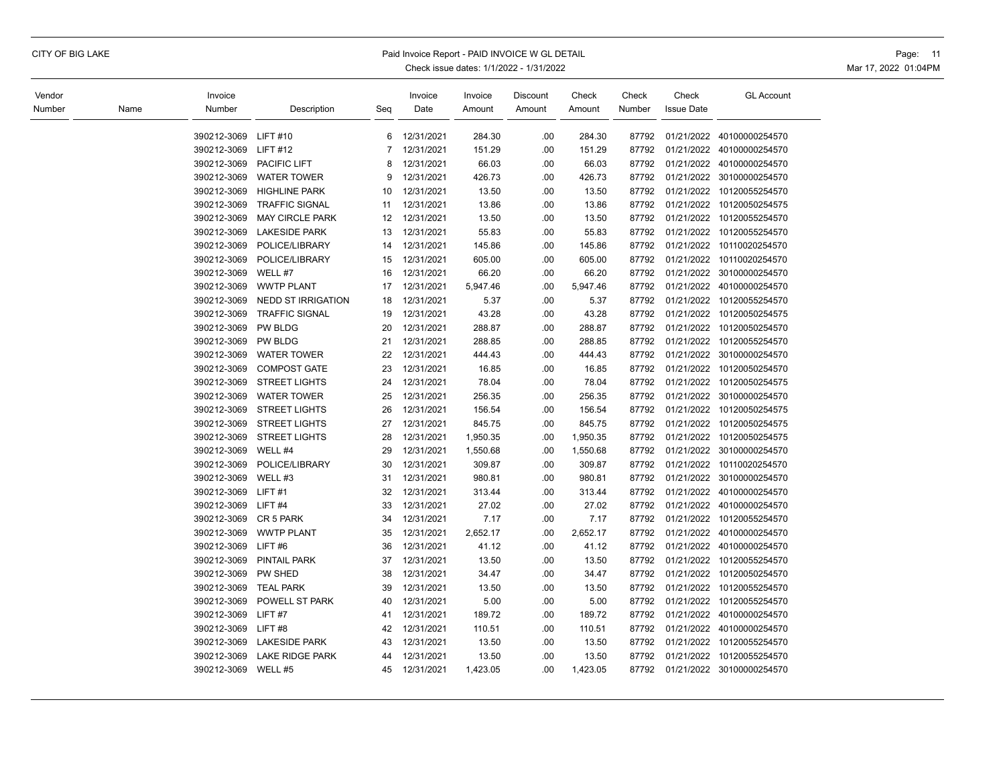| Vendor<br>Number | Name | Invoice<br>Number          | Description               | Seg            | Invoice<br>Date          | Invoice<br>Amount | Discount<br>Amount | Check<br>Amount  | Check<br>Number | Check<br><b>Issue Date</b> | <b>GL Account</b>         |
|------------------|------|----------------------------|---------------------------|----------------|--------------------------|-------------------|--------------------|------------------|-----------------|----------------------------|---------------------------|
|                  |      |                            | <b>LIFT#10</b>            | 6              |                          |                   |                    |                  |                 |                            | 01/21/2022 40100000254570 |
|                  |      | 390212-3069<br>390212-3069 | <b>LIFT #12</b>           | $\overline{7}$ | 12/31/2021<br>12/31/2021 | 284.30<br>151.29  | .00<br>.00         | 284.30<br>151.29 | 87792<br>87792  | 01/21/2022                 | 40100000254570            |
|                  |      | 390212-3069                | <b>PACIFIC LIFT</b>       | 8              | 12/31/2021               | 66.03             | .00                | 66.03            | 87792           | 01/21/2022                 | 40100000254570            |
|                  |      | 390212-3069                | <b>WATER TOWER</b>        | 9              | 12/31/2021               | 426.73            | .00                | 426.73           | 87792           | 01/21/2022                 | 30100000254570            |
|                  |      | 390212-3069                | <b>HIGHLINE PARK</b>      | 10             | 12/31/2021               | 13.50             | .00                | 13.50            | 87792           | 01/21/2022                 | 10120055254570            |
|                  |      | 390212-3069                | <b>TRAFFIC SIGNAL</b>     | 11             | 12/31/2021               | 13.86             | .00                | 13.86            | 87792           | 01/21/2022                 | 10120050254575            |
|                  |      | 390212-3069                | <b>MAY CIRCLE PARK</b>    | 12             | 12/31/2021               | 13.50             | .00                | 13.50            | 87792           | 01/21/2022                 | 10120055254570            |
|                  |      | 390212-3069                | <b>LAKESIDE PARK</b>      | 13             | 12/31/2021               | 55.83             | .00                | 55.83            | 87792           |                            | 01/21/2022 10120055254570 |
|                  |      | 390212-3069                | POLICE/LIBRARY            | 14             | 12/31/2021               | 145.86            | .00                | 145.86           | 87792           | 01/21/2022                 | 10110020254570            |
|                  |      | 390212-3069                | POLICE/LIBRARY            | 15             | 12/31/2021               | 605.00            | .00                | 605.00           | 87792           | 01/21/2022                 | 10110020254570            |
|                  |      | 390212-3069                | WELL #7                   | 16             | 12/31/2021               | 66.20             | .00                | 66.20            | 87792           | 01/21/2022                 | 30100000254570            |
|                  |      | 390212-3069                | <b>WWTP PLANT</b>         | 17             | 12/31/2021               | 5,947.46          | .00                | 5,947.46         | 87792           | 01/21/2022                 | 40100000254570            |
|                  |      | 390212-3069                | <b>NEDD ST IRRIGATION</b> | 18             | 12/31/2021               | 5.37              | .00                | 5.37             | 87792           | 01/21/2022                 | 10120055254570            |
|                  |      | 390212-3069                | <b>TRAFFIC SIGNAL</b>     | 19             | 12/31/2021               | 43.28             | .00                | 43.28            | 87792           | 01/21/2022                 | 10120050254575            |
|                  |      | 390212-3069                | <b>PW BLDG</b>            | 20             | 12/31/2021               | 288.87            | .00                | 288.87           | 87792           | 01/21/2022                 | 10120050254570            |
|                  |      | 390212-3069                | <b>PW BLDG</b>            | 21             | 12/31/2021               | 288.85            | .00                | 288.85           | 87792           | 01/21/2022                 | 10120055254570            |
|                  |      | 390212-3069                | <b>WATER TOWER</b>        | 22             | 12/31/2021               | 444.43            | .00                | 444.43           | 87792           | 01/21/2022                 | 30100000254570            |
|                  |      | 390212-3069                | <b>COMPOST GATE</b>       | 23             | 12/31/2021               | 16.85             | .00                | 16.85            | 87792           | 01/21/2022                 | 10120050254570            |
|                  |      | 390212-3069                | <b>STREET LIGHTS</b>      | 24             | 12/31/2021               | 78.04             | .00                | 78.04            | 87792           | 01/21/2022                 | 10120050254575            |
|                  |      | 390212-3069                | <b>WATER TOWER</b>        | 25             | 12/31/2021               | 256.35            | .00                | 256.35           | 87792           | 01/21/2022                 | 30100000254570            |
|                  |      | 390212-3069                | <b>STREET LIGHTS</b>      | 26             | 12/31/2021               | 156.54            | .00                | 156.54           | 87792           | 01/21/2022                 | 10120050254575            |
|                  |      | 390212-3069                | <b>STREET LIGHTS</b>      | 27             | 12/31/2021               | 845.75            | .00                | 845.75           | 87792           | 01/21/2022                 | 10120050254575            |
|                  |      | 390212-3069                | <b>STREET LIGHTS</b>      | 28             | 12/31/2021               | 1,950.35          | .00                | 1,950.35         | 87792           | 01/21/2022                 | 10120050254575            |
|                  |      | 390212-3069                | WELL #4                   | 29             | 12/31/2021               | 1,550.68          | .00                | 1,550.68         | 87792           | 01/21/2022                 | 30100000254570            |
|                  |      | 390212-3069                | POLICE/LIBRARY            | 30             | 12/31/2021               | 309.87            | .00                | 309.87           | 87792           | 01/21/2022                 | 10110020254570            |
|                  |      | 390212-3069                | WELL #3                   | 31             | 12/31/2021               | 980.81            | .00                | 980.81           | 87792           | 01/21/2022                 | 30100000254570            |
|                  |      | 390212-3069                | LIFT#1                    | 32             | 12/31/2021               | 313.44            | .00                | 313.44           | 87792           | 01/21/2022                 | 40100000254570            |
|                  |      | 390212-3069                | LIFT#4                    | 33             | 12/31/2021               | 27.02             | .00                | 27.02            | 87792           | 01/21/2022                 | 40100000254570            |
|                  |      | 390212-3069                | CR 5 PARK                 | 34             | 12/31/2021               | 7.17              | .00                | 7.17             | 87792           | 01/21/2022                 | 10120055254570            |
|                  |      | 390212-3069                | <b>WWTP PLANT</b>         | 35             | 12/31/2021               | 2,652.17          | .00                | 2,652.17         | 87792           | 01/21/2022                 | 40100000254570            |
|                  |      | 390212-3069                | LIFT#6                    | 36             | 12/31/2021               | 41.12             | .00                | 41.12            | 87792           | 01/21/2022                 | 40100000254570            |
|                  |      | 390212-3069                | <b>PINTAIL PARK</b>       | 37             | 12/31/2021               | 13.50             | .00                | 13.50            | 87792           | 01/21/2022                 | 10120055254570            |
|                  |      | 390212-3069                | PW SHED                   | 38             | 12/31/2021               | 34.47             | .00                | 34.47            | 87792           | 01/21/2022                 | 10120050254570            |
|                  |      | 390212-3069                | <b>TEAL PARK</b>          | 39             | 12/31/2021               | 13.50             | .00                | 13.50            | 87792           | 01/21/2022                 | 10120055254570            |
|                  |      | 390212-3069                | POWELL ST PARK            | 40             | 12/31/2021               | 5.00              | .00                | 5.00             | 87792           | 01/21/2022                 | 10120055254570            |
|                  |      | 390212-3069                | LIFT#7                    | 41             | 12/31/2021               | 189.72            | .00                | 189.72           | 87792           | 01/21/2022                 | 40100000254570            |
|                  |      | 390212-3069                | LIFT#8                    | 42             | 12/31/2021               | 110.51            | .00                | 110.51           | 87792           | 01/21/2022                 | 40100000254570            |
|                  |      | 390212-3069                | <b>LAKESIDE PARK</b>      | 43             | 12/31/2021               | 13.50             | .00                | 13.50            | 87792           | 01/21/2022                 | 10120055254570            |
|                  |      | 390212-3069                | <b>LAKE RIDGE PARK</b>    | 44             | 12/31/2021               | 13.50             | .00                | 13.50            | 87792           | 01/21/2022                 | 10120055254570            |
|                  |      | 390212-3069                | WELL #5                   | 45             | 12/31/2021               | 1,423.05          | .00                | 1,423.05         | 87792           | 01/21/2022                 | 30100000254570            |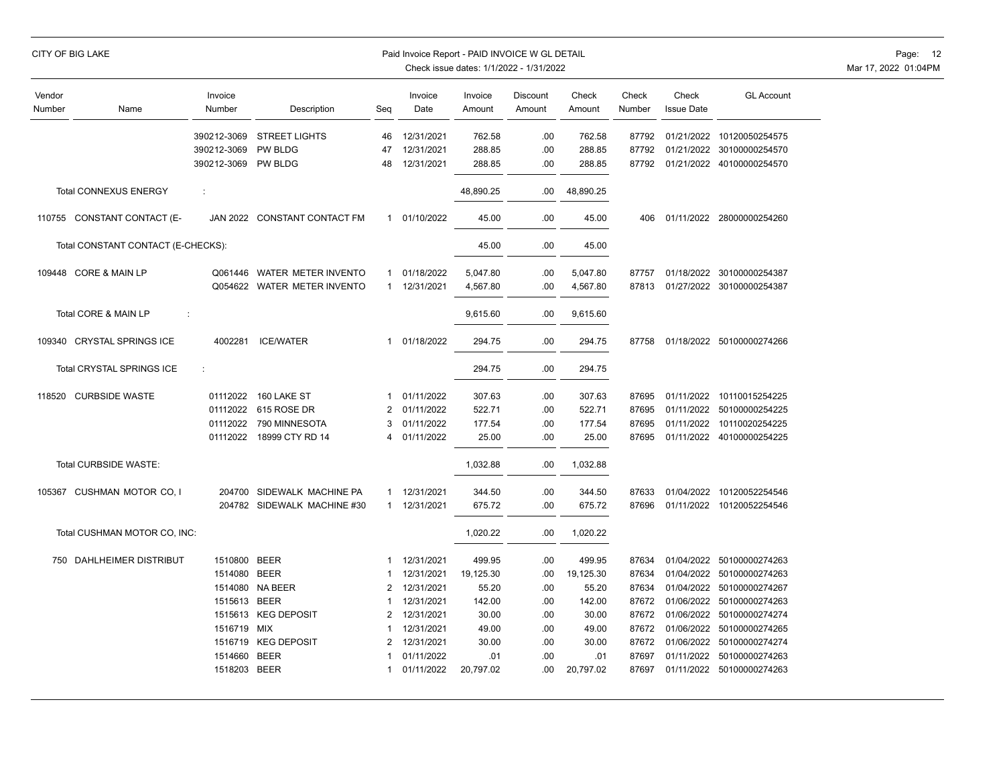|                  | CITY OF BIG LAKE                   |                     |                              |              | Paid Invoice Report - PAID INVOICE W GL DETAIL | Check issue dates: 1/1/2022 - 1/31/2022 |                    |                 |                 |                            |                                 | Page: 12<br>Mar 17, 2022 01:04PM |
|------------------|------------------------------------|---------------------|------------------------------|--------------|------------------------------------------------|-----------------------------------------|--------------------|-----------------|-----------------|----------------------------|---------------------------------|----------------------------------|
| Vendor<br>Number | Name                               | Invoice<br>Number   | Description                  | Seq          | Invoice<br>Date                                | Invoice<br>Amount                       | Discount<br>Amount | Check<br>Amount | Check<br>Number | Check<br><b>Issue Date</b> | <b>GL Account</b>               |                                  |
|                  |                                    |                     | 390212-3069 STREET LIGHTS    | 46           | 12/31/2021                                     | 762.58                                  | .00                | 762.58          | 87792           |                            | 01/21/2022 10120050254575       |                                  |
|                  |                                    | 390212-3069 PW BLDG |                              | 47           | 12/31/2021                                     | 288.85                                  | .00                | 288.85          | 87792           |                            | 01/21/2022 30100000254570       |                                  |
|                  |                                    | 390212-3069 PW BLDG |                              | 48           | 12/31/2021                                     | 288.85                                  | .00                | 288.85          |                 |                            | 87792 01/21/2022 40100000254570 |                                  |
|                  | <b>Total CONNEXUS ENERGY</b>       | ÷                   |                              |              |                                                | 48,890.25                               | .00.               | 48,890.25       |                 |                            |                                 |                                  |
|                  | 110755 CONSTANT CONTACT (E-        |                     | JAN 2022 CONSTANT CONTACT FM |              | 1 01/10/2022                                   | 45.00                                   | .00                | 45.00           | 406             |                            | 01/11/2022 28000000254260       |                                  |
|                  | Total CONSTANT CONTACT (E-CHECKS): |                     |                              |              |                                                | 45.00                                   | .00                | 45.00           |                 |                            |                                 |                                  |
|                  | 109448 CORE & MAIN LP              |                     | Q061446 WATER METER INVENTO  |              | 1 01/18/2022                                   | 5,047.80                                | .00                | 5,047.80        | 87757           |                            | 01/18/2022 30100000254387       |                                  |
|                  |                                    |                     | Q054622 WATER METER INVENTO  |              | 1 12/31/2021                                   | 4,567.80                                | .00                | 4,567.80        | 87813           |                            | 01/27/2022 30100000254387       |                                  |
|                  | Total CORE & MAIN LP               | ÷                   |                              |              |                                                | 9,615.60                                | .00.               | 9,615.60        |                 |                            |                                 |                                  |
|                  | 109340 CRYSTAL SPRINGS ICE         | 4002281             | <b>ICE/WATER</b>             | $\mathbf{1}$ | 01/18/2022                                     | 294.75                                  | .00                | 294.75          | 87758           |                            | 01/18/2022 50100000274266       |                                  |
|                  | Total CRYSTAL SPRINGS ICE          | ÷                   |                              |              |                                                | 294.75                                  | .00                | 294.75          |                 |                            |                                 |                                  |
|                  | 118520 CURBSIDE WASTE              |                     | 01112022 160 LAKE ST         | $\mathbf{1}$ | 01/11/2022                                     | 307.63                                  | .00                | 307.63          | 87695           |                            | 01/11/2022 10110015254225       |                                  |
|                  |                                    |                     | 01112022 615 ROSE DR         | 2            | 01/11/2022                                     | 522.71                                  | .00                | 522.71          | 87695           |                            | 01/11/2022 50100000254225       |                                  |
|                  |                                    |                     | 01112022 790 MINNESOTA       | 3            | 01/11/2022                                     | 177.54                                  | .00                | 177.54          | 87695           |                            | 01/11/2022 10110020254225       |                                  |
|                  |                                    |                     | 01112022 18999 CTY RD 14     | 4            | 01/11/2022                                     | 25.00                                   | .00                | 25.00           | 87695           |                            | 01/11/2022 40100000254225       |                                  |
|                  | Total CURBSIDE WASTE:              |                     |                              |              |                                                | 1,032.88                                | .00.               | 1,032.88        |                 |                            |                                 |                                  |
|                  | 105367 CUSHMAN MOTOR CO, I         |                     | 204700 SIDEWALK MACHINE PA   |              | 1 12/31/2021                                   | 344.50                                  | .00.               | 344.50          | 87633           |                            | 01/04/2022 10120052254546       |                                  |
|                  |                                    |                     | 204782 SIDEWALK MACHINE #30  |              | 1 12/31/2021                                   | 675.72                                  | .00.               | 675.72          | 87696           |                            | 01/11/2022 10120052254546       |                                  |
|                  | Total CUSHMAN MOTOR CO, INC:       |                     |                              |              |                                                | 1,020.22                                | .00.               | 1,020.22        |                 |                            |                                 |                                  |
|                  | 750 DAHLHEIMER DISTRIBUT           | 1510800 BEER        |                              | 1            | 12/31/2021                                     | 499.95                                  | .00                | 499.95          | 87634           |                            | 01/04/2022 50100000274263       |                                  |
|                  |                                    | 1514080 BEER        |                              | 1            | 12/31/2021                                     | 19,125.30                               | .00                | 19,125.30       | 87634           |                            | 01/04/2022 50100000274263       |                                  |
|                  |                                    |                     | 1514080 NA BEER              | 2            | 12/31/2021                                     | 55.20                                   | .00                | 55.20           | 87634           |                            | 01/04/2022 50100000274267       |                                  |
|                  |                                    | 1515613 BEER        |                              | 1            | 12/31/2021                                     | 142.00                                  | .00                | 142.00          | 87672           |                            | 01/06/2022 50100000274263       |                                  |
|                  |                                    |                     | 1515613 KEG DEPOSIT          |              | 2 12/31/2021                                   | 30.00                                   | .00                | 30.00           | 87672           |                            | 01/06/2022 50100000274274       |                                  |
|                  |                                    | 1516719 MIX         |                              | $\mathbf 1$  | 12/31/2021                                     | 49.00                                   | .00                | 49.00           | 87672           |                            | 01/06/2022 50100000274265       |                                  |
|                  |                                    |                     | 1516719 KEG DEPOSIT          | 2            | 12/31/2021                                     | 30.00                                   | .00.               | 30.00           | 87672           |                            | 01/06/2022 50100000274274       |                                  |
|                  |                                    | 1514660 BEER        |                              | 1            | 01/11/2022                                     | .01                                     | .00                | .01             | 87697           |                            | 01/11/2022 50100000274263       |                                  |
|                  |                                    | 1518203 BEER        |                              | $\mathbf{1}$ | 01/11/2022                                     | 20,797.02                               | .00.               | 20,797.02       | 87697           |                            | 01/11/2022 50100000274263       |                                  |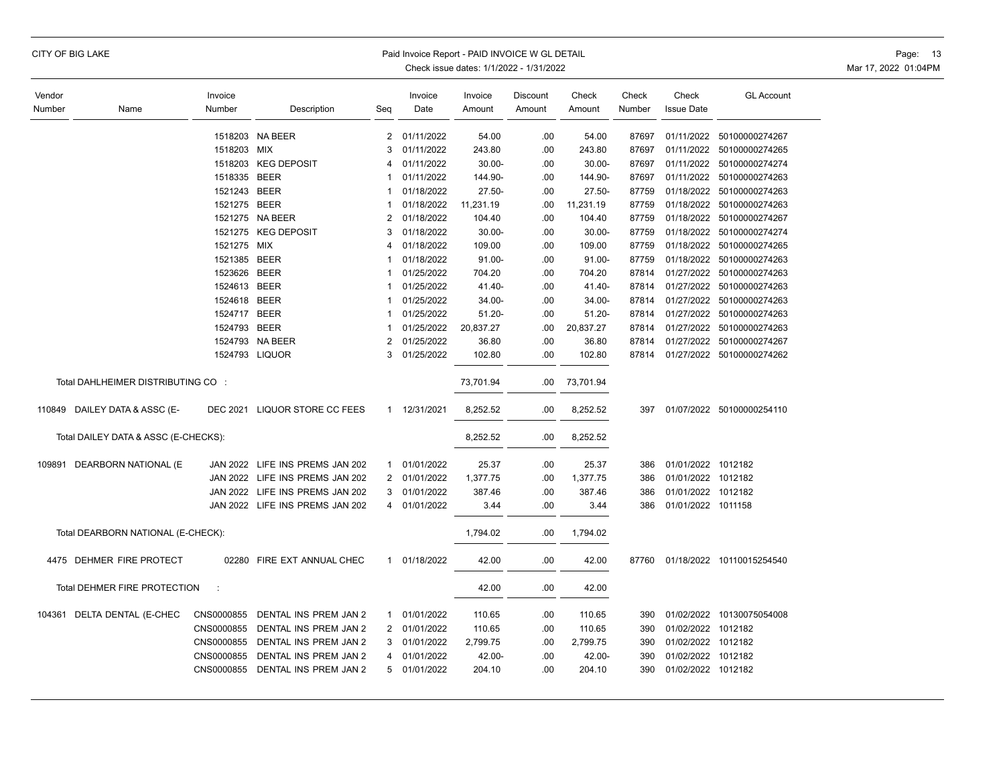|  |  |  | CITY OF BIG LAKE |
|--|--|--|------------------|
|--|--|--|------------------|

#### Paid Invoice Report - PAID INVOICE W GL DETAIL **Page: 13** Page: 13

| Vendor |                                      | Invoice              |                                  |                | Invoice      | Invoice   | Discount | Check     | Check  | Check              | <b>GL Account</b>         |
|--------|--------------------------------------|----------------------|----------------------------------|----------------|--------------|-----------|----------|-----------|--------|--------------------|---------------------------|
| Number | Name                                 | Number               | Description                      | Seq            | Date         | Amount    | Amount   | Amount    | Number | <b>Issue Date</b>  |                           |
|        |                                      |                      |                                  |                |              |           |          |           |        |                    |                           |
|        |                                      |                      | 1518203 NA BEER                  | 2              | 01/11/2022   | 54.00     | .00      | 54.00     | 87697  | 01/11/2022         | 50100000274267            |
|        |                                      | 1518203 MIX          |                                  | 3              | 01/11/2022   | 243.80    | .00      | 243.80    | 87697  | 01/11/2022         | 50100000274265            |
|        |                                      |                      | 1518203 KEG DEPOSIT              | 4              | 01/11/2022   | $30.00 -$ | .00      | $30.00 -$ | 87697  |                    | 01/11/2022 50100000274274 |
|        |                                      | 1518335 BEER         |                                  | -1             | 01/11/2022   | 144.90-   | .00      | 144.90-   | 87697  | 01/11/2022         | 50100000274263            |
|        |                                      | 1521243 BEER         |                                  | -1             | 01/18/2022   | $27.50 -$ | .00      | $27.50 -$ | 87759  | 01/18/2022         | 50100000274263            |
|        |                                      | 1521275 BEER         |                                  | -1             | 01/18/2022   | 11,231.19 | .00      | 11,231.19 | 87759  | 01/18/2022         | 50100000274263            |
|        |                                      |                      | 1521275 NA BEER                  | 2              | 01/18/2022   | 104.40    | .00      | 104.40    | 87759  |                    | 01/18/2022 50100000274267 |
|        |                                      |                      | 1521275 KEG DEPOSIT              | 3              | 01/18/2022   | $30.00 -$ | .00      | $30.00 -$ | 87759  |                    | 01/18/2022 50100000274274 |
|        |                                      | 1521275 MIX          |                                  | 4              | 01/18/2022   | 109.00    | .00      | 109.00    | 87759  |                    | 01/18/2022 50100000274265 |
|        |                                      | 1521385 BEER         |                                  | 1              | 01/18/2022   | $91.00 -$ | .00      | 91.00-    | 87759  |                    | 01/18/2022 50100000274263 |
|        |                                      | 1523626 BEER         |                                  | 1              | 01/25/2022   | 704.20    | .00      | 704.20    | 87814  |                    | 01/27/2022 50100000274263 |
|        |                                      | 1524613 BEER         |                                  | 1              | 01/25/2022   | 41.40-    | .00      | $41.40 -$ | 87814  |                    | 01/27/2022 50100000274263 |
|        |                                      | 1524618 BEER         |                                  |                | 01/25/2022   | 34.00-    | .00.     | $34.00 -$ | 87814  |                    | 01/27/2022 50100000274263 |
|        |                                      | 1524717 BEER         |                                  | 1              | 01/25/2022   | $51.20 -$ | .00      | $51.20 -$ | 87814  |                    | 01/27/2022 50100000274263 |
|        |                                      | 1524793 BEER         |                                  | 1              | 01/25/2022   | 20,837.27 | .00      | 20,837.27 | 87814  |                    | 01/27/2022 50100000274263 |
|        |                                      |                      | 1524793 NA BEER                  | 2              | 01/25/2022   | 36.80     | .00      | 36.80     | 87814  |                    | 01/27/2022 50100000274267 |
|        |                                      |                      | 1524793 LIQUOR                   | 3              | 01/25/2022   | 102.80    | .00      | 102.80    | 87814  |                    | 01/27/2022 50100000274262 |
|        |                                      |                      |                                  |                |              |           |          |           |        |                    |                           |
|        | Total DAHLHEIMER DISTRIBUTING CO :   |                      |                                  |                |              | 73,701.94 | .00      | 73,701.94 |        |                    |                           |
|        |                                      |                      |                                  |                |              |           |          |           |        |                    |                           |
| 110849 | DAILEY DATA & ASSC (E-               |                      | DEC 2021 LIQUOR STORE CC FEES    |                | 1 12/31/2021 | 8,252.52  | .00      | 8,252.52  | 397    |                    | 01/07/2022 50100000254110 |
|        |                                      |                      |                                  |                |              |           |          |           |        |                    |                           |
|        | Total DAILEY DATA & ASSC (E-CHECKS): |                      |                                  |                |              | 8,252.52  | .00      | 8,252.52  |        |                    |                           |
|        |                                      |                      |                                  |                |              |           |          |           |        |                    |                           |
| 109891 | DEARBORN NATIONAL (E                 |                      | JAN 2022 LIFE INS PREMS JAN 202  | $\mathbf{1}$   | 01/01/2022   | 25.37     | .00      | 25.37     | 386    | 01/01/2022 1012182 |                           |
|        |                                      |                      | JAN 2022 LIFE INS PREMS JAN 202  | 2              | 01/01/2022   | 1,377.75  | .00      | 1,377.75  | 386    | 01/01/2022 1012182 |                           |
|        |                                      |                      | JAN 2022 LIFE INS PREMS JAN 202  | 3              | 01/01/2022   | 387.46    | .00      | 387.46    | 386    | 01/01/2022 1012182 |                           |
|        |                                      |                      | JAN 2022 LIFE INS PREMS JAN 202  | $\overline{4}$ | 01/01/2022   | 3.44      | .00      | 3.44      | 386    | 01/01/2022 1011158 |                           |
|        |                                      |                      |                                  |                |              |           |          |           |        |                    |                           |
|        | Total DEARBORN NATIONAL (E-CHECK):   |                      |                                  |                |              | 1,794.02  | .00      | 1,794.02  |        |                    |                           |
|        |                                      |                      |                                  |                |              |           |          |           |        |                    |                           |
|        | 4475 DEHMER FIRE PROTECT             |                      | 02280 FIRE EXT ANNUAL CHEC       |                | 1 01/18/2022 | 42.00     | .00      | 42.00     | 87760  |                    | 01/18/2022 10110015254540 |
|        |                                      |                      |                                  |                |              |           |          |           |        |                    |                           |
|        | <b>Total DEHMER FIRE PROTECTION</b>  | $\ddot{\phantom{a}}$ |                                  |                |              | 42.00     | .00      | 42.00     |        |                    |                           |
|        |                                      |                      |                                  |                |              |           |          |           |        |                    |                           |
|        | 104361 DELTA DENTAL (E-CHEC          | CNS0000855           | DENTAL INS PREM JAN 2            | $\mathbf{1}$   | 01/01/2022   | 110.65    | .00      | 110.65    | 390    |                    | 01/02/2022 10130075054008 |
|        |                                      | CNS0000855           | DENTAL INS PREM JAN 2            | $\overline{2}$ | 01/01/2022   | 110.65    | .00      | 110.65    | 390    | 01/02/2022 1012182 |                           |
|        |                                      | CNS0000855           | DENTAL INS PREM JAN 2            | 3              | 01/01/2022   | 2,799.75  | .00      | 2,799.75  | 390    | 01/02/2022 1012182 |                           |
|        |                                      | CNS0000855           | DENTAL INS PREM JAN 2            | 4              | 01/01/2022   | 42.00-    | .00      | 42.00-    | 390    | 01/02/2022 1012182 |                           |
|        |                                      |                      | CNS0000855 DENTAL INS PREM JAN 2 |                | 5 01/01/2022 | 204.10    | .00      | 204.10    | 390    | 01/02/2022 1012182 |                           |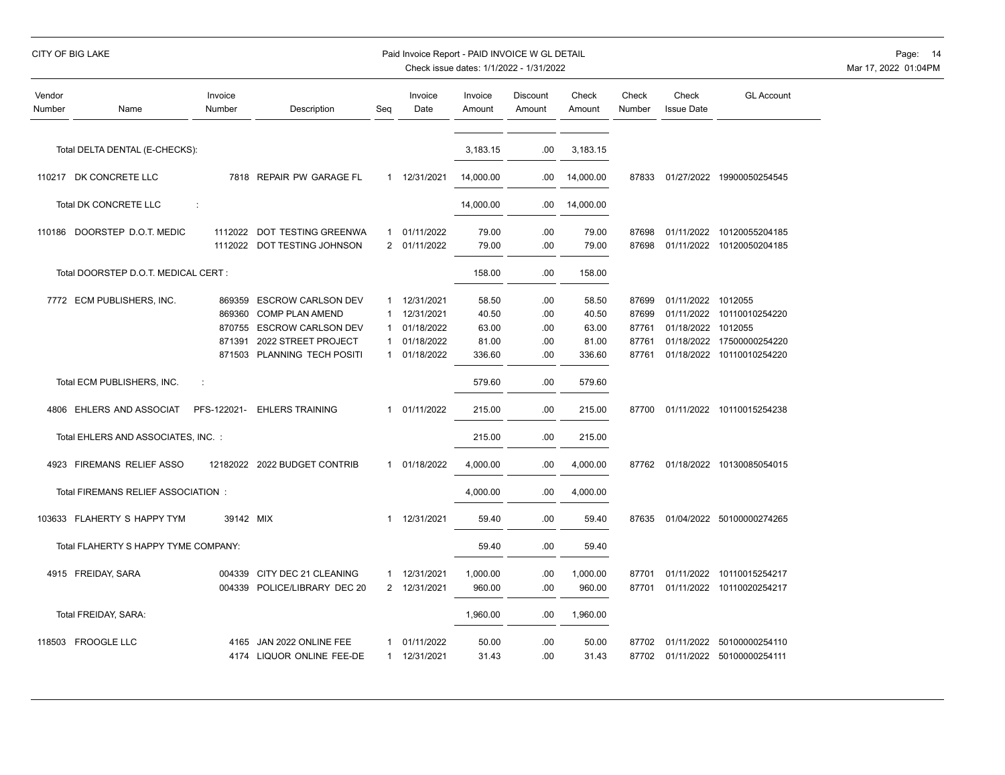# CITY OF BIG LAKE PAID INVOICE WORLD EXAMPLE PAID INVOICE WORLD DETAIL PAID INVOICE WORLD DETAIL PAGE: 14

| Vendor<br>Number | Name                                 | Invoice<br>Number | Description                  | Seg            | Invoice<br>Date | Invoice<br>Amount | Discount<br>Amount | Check<br>Amount | Check<br>Number | Check<br><b>Issue Date</b> | <b>GL Account</b>               |
|------------------|--------------------------------------|-------------------|------------------------------|----------------|-----------------|-------------------|--------------------|-----------------|-----------------|----------------------------|---------------------------------|
|                  | Total DELTA DENTAL (E-CHECKS):       |                   |                              |                |                 | 3,183.15          | .00                | 3,183.15        |                 |                            |                                 |
|                  |                                      |                   |                              |                |                 |                   |                    |                 |                 |                            |                                 |
|                  | 110217 DK CONCRETE LLC               |                   | 7818 REPAIR PW GARAGE FL     |                | 1 12/31/2021    | 14.000.00         | .00                | 14,000.00       | 87833           |                            | 01/27/2022 19900050254545       |
|                  | <b>Total DK CONCRETE LLC</b>         | ÷                 |                              |                |                 | 14,000.00         | .00                | 14,000.00       |                 |                            |                                 |
|                  | 110186 DOORSTEP D.O.T. MEDIC         |                   | 1112022 DOT TESTING GREENWA  | 1              | 01/11/2022      | 79.00             | .00                | 79.00           | 87698           | 01/11/2022                 | 10120055204185                  |
|                  |                                      |                   | 1112022 DOT TESTING JOHNSON  | $\overline{2}$ | 01/11/2022      | 79.00             | .00                | 79.00           | 87698           |                            | 01/11/2022 10120050204185       |
|                  | Total DOORSTEP D.O.T. MEDICAL CERT : |                   |                              |                |                 | 158.00            | .00                | 158.00          |                 |                            |                                 |
|                  | 7772 ECM PUBLISHERS, INC.            |                   | 869359 ESCROW CARLSON DEV    | -1             | 12/31/2021      | 58.50             | .00                | 58.50           | 87699           | 01/11/2022 1012055         |                                 |
|                  |                                      | 869360            | <b>COMP PLAN AMEND</b>       | -1             | 12/31/2021      | 40.50             | .00                | 40.50           | 87699           | 01/11/2022                 | 10110010254220                  |
|                  |                                      | 870755            | <b>ESCROW CARLSON DEV</b>    | -1             | 01/18/2022      | 63.00             | .00                | 63.00           | 87761           | 01/18/2022                 | 1012055                         |
|                  |                                      | 871391            | 2022 STREET PROJECT          | -1             | 01/18/2022      | 81.00             | .00.               | 81.00           | 87761           |                            | 01/18/2022 17500000254220       |
|                  |                                      |                   | 871503 PLANNING TECH POSITI  | $\mathbf 1$    | 01/18/2022      | 336.60            | .00                | 336.60          | 87761           |                            | 01/18/2022 10110010254220       |
|                  | Total ECM PUBLISHERS, INC.           | ÷                 |                              |                |                 | 579.60            | .00                | 579.60          |                 |                            |                                 |
|                  | 4806 EHLERS AND ASSOCIAT             | PFS-122021-       | <b>EHLERS TRAINING</b>       | 1              | 01/11/2022      | 215.00            | .00                | 215.00          | 87700           |                            | 01/11/2022 10110015254238       |
|                  | Total EHLERS AND ASSOCIATES, INC. :  |                   |                              |                |                 | 215.00            | .00                | 215.00          |                 |                            |                                 |
|                  | 4923 FIREMANS RELIEF ASSO            |                   | 12182022 2022 BUDGET CONTRIB |                | 1 01/18/2022    | 4,000.00          | .00                | 4,000.00        |                 |                            | 87762 01/18/2022 10130085054015 |
|                  | Total FIREMANS RELIEF ASSOCIATION:   |                   |                              |                |                 | 4,000.00          | .00                | 4,000.00        |                 |                            |                                 |
|                  | 103633 FLAHERTY S HAPPY TYM          | 39142 MIX         |                              | $\mathbf{1}$   | 12/31/2021      | 59.40             | .00                | 59.40           | 87635           |                            | 01/04/2022 50100000274265       |
|                  | Total FLAHERTY S HAPPY TYME COMPANY: |                   |                              |                |                 | 59.40             | .00                | 59.40           |                 |                            |                                 |
|                  | 4915 FREIDAY, SARA                   |                   | 004339 CITY DEC 21 CLEANING  | 1              | 12/31/2021      | 1,000.00          | .00                | 1,000.00        | 87701           |                            | 01/11/2022 10110015254217       |
|                  |                                      |                   | 004339 POLICE/LIBRARY DEC 20 | 2              | 12/31/2021      | 960.00            | .00                | 960.00          | 87701           |                            | 01/11/2022 10110020254217       |
|                  | Total FREIDAY, SARA:                 |                   |                              |                |                 | 1,960.00          | .00                | 1,960.00        |                 |                            |                                 |
|                  | 118503 FROOGLE LLC                   | 4165              | JAN 2022 ONLINE FEE          | 1              | 01/11/2022      | 50.00             | .00                | 50.00           | 87702           | 01/11/2022                 | 50100000254110                  |
|                  |                                      |                   | 4174 LIQUOR ONLINE FEE-DE    | 1              | 12/31/2021      | 31.43             | .00                | 31.43           | 87702           |                            | 01/11/2022 50100000254111       |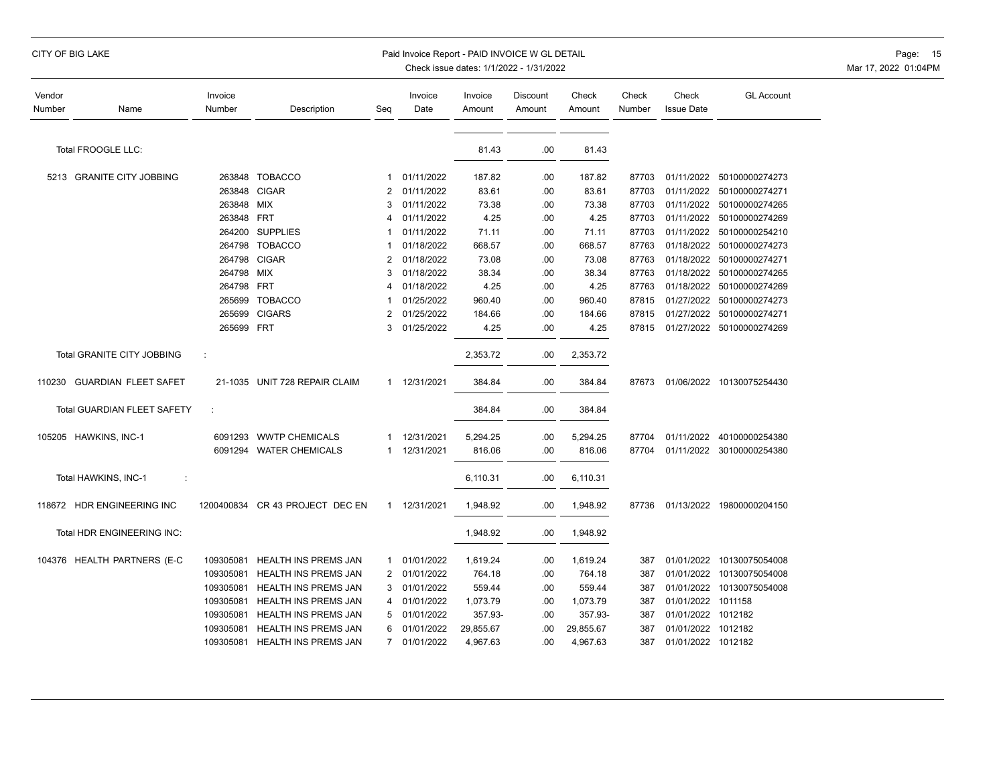# CITY OF BIG LAKE PAID INVOICE WORLD EXAMPLE PAID INVOICE WORLD DETAIL PAID INVOICE WORLD DETAIL PAGE: 15

| Vendor<br>Number | Name                              | Invoice<br>Number | Description                   | Seq | Invoice<br>Date | Invoice<br>Amount | Discount<br>Amount | Check<br>Amount | Check<br>Number | Check<br><b>Issue Date</b> | <b>GL Account</b>         |
|------------------|-----------------------------------|-------------------|-------------------------------|-----|-----------------|-------------------|--------------------|-----------------|-----------------|----------------------------|---------------------------|
|                  |                                   |                   |                               |     |                 |                   |                    |                 |                 |                            |                           |
|                  | Total FROOGLE LLC:                |                   |                               |     |                 | 81.43             | .00.               | 81.43           |                 |                            |                           |
|                  | 5213 GRANITE CITY JOBBING         |                   | 263848 TOBACCO                | 1   | 01/11/2022      | 187.82            | .00.               | 187.82          | 87703           |                            | 01/11/2022 50100000274273 |
|                  |                                   | 263848            | <b>CIGAR</b>                  | 2   | 01/11/2022      | 83.61             | .00                | 83.61           | 87703           |                            | 01/11/2022 50100000274271 |
|                  |                                   | 263848            | MIX                           | 3   | 01/11/2022      | 73.38             | .00.               | 73.38           | 87703           |                            | 01/11/2022 50100000274265 |
|                  |                                   | 263848 FRT        |                               | 4   | 01/11/2022      | 4.25              | .00.               | 4.25            | 87703           | 01/11/2022                 | 50100000274269            |
|                  |                                   |                   | 264200 SUPPLIES               |     | 01/11/2022      | 71.11             | .00.               | 71.11           | 87703           | 01/11/2022                 | 50100000254210            |
|                  |                                   |                   | 264798 TOBACCO                |     | 01/18/2022      | 668.57            | .00.               | 668.57          | 87763           |                            | 01/18/2022 50100000274273 |
|                  |                                   |                   | 264798 CIGAR                  | 2   | 01/18/2022      | 73.08             | .00.               | 73.08           | 87763           |                            | 01/18/2022 50100000274271 |
|                  |                                   | 264798 MIX        |                               | 3   | 01/18/2022      | 38.34             | .00.               | 38.34           | 87763           |                            | 01/18/2022 50100000274265 |
|                  |                                   | 264798 FRT        |                               | 4   | 01/18/2022      | 4.25              | .00.               | 4.25            | 87763           |                            | 01/18/2022 50100000274269 |
|                  |                                   | 265699            | <b>TOBACCO</b>                |     | 01/25/2022      | 960.40            | .00.               | 960.40          | 87815           | 01/27/2022                 | 50100000274273            |
|                  |                                   | 265699            | <b>CIGARS</b>                 | 2   | 01/25/2022      | 184.66            | .00.               | 184.66          | 87815           |                            | 01/27/2022 50100000274271 |
|                  |                                   | 265699 FRT        |                               | 3   | 01/25/2022      | 4.25              | .00.               | 4.25            | 87815           |                            | 01/27/2022 50100000274269 |
|                  | <b>Total GRANITE CITY JOBBING</b> | ÷                 |                               |     |                 | 2,353.72          | .00                | 2,353.72        |                 |                            |                           |
|                  | 110230 GUARDIAN FLEET SAFET       |                   | 21-1035 UNIT 728 REPAIR CLAIM |     | 1 12/31/2021    | 384.84            | .00.               | 384.84          | 87673           |                            | 01/06/2022 10130075254430 |
|                  | Total GUARDIAN FLEET SAFETY       |                   |                               |     |                 | 384.84            | .00.               | 384.84          |                 |                            |                           |
|                  | 105205 HAWKINS, INC-1             |                   | 6091293 WWTP CHEMICALS        |     | 12/31/2021      | 5,294.25          | .00                | 5,294.25        | 87704           |                            | 01/11/2022 40100000254380 |
|                  |                                   |                   | 6091294 WATER CHEMICALS       | 1   | 12/31/2021      | 816.06            | .00.               | 816.06          | 87704           |                            | 01/11/2022 30100000254380 |
|                  | Total HAWKINS, INC-1<br>÷         |                   |                               |     |                 | 6,110.31          | .00                | 6,110.31        |                 |                            |                           |
|                  | 118672 HDR ENGINEERING INC        | 1200400834        | CR 43 PROJECT DEC EN          |     | 1 12/31/2021    | 1,948.92          | .00                | 1,948.92        | 87736           |                            | 01/13/2022 19800000204150 |
|                  | Total HDR ENGINEERING INC:        |                   |                               |     |                 | 1,948.92          | .00                | 1,948.92        |                 |                            |                           |
|                  | 104376 HEALTH PARTNERS (E-C       | 109305081         | HEALTH INS PREMS JAN          | 1   | 01/01/2022      | 1,619.24          | .00                | 1,619.24        | 387             |                            | 01/01/2022 10130075054008 |
|                  |                                   | 109305081         | <b>HEALTH INS PREMS JAN</b>   | 2   | 01/01/2022      | 764.18            | .00                | 764.18          | 387             |                            | 01/01/2022 10130075054008 |
|                  |                                   | 109305081         | HEALTH INS PREMS JAN          | 3   | 01/01/2022      | 559.44            | .00.               | 559.44          | 387             |                            | 01/01/2022 10130075054008 |
|                  |                                   | 109305081         | HEALTH INS PREMS JAN          | 4   | 01/01/2022      | 1,073.79          | .00                | 1,073.79        | 387             | 01/01/2022 1011158         |                           |
|                  |                                   | 109305081         | HEALTH INS PREMS JAN          | 5   | 01/01/2022      | 357.93-           | .00.               | 357.93-         | 387             | 01/01/2022 1012182         |                           |
|                  |                                   | 109305081         | HEALTH INS PREMS JAN          | 6   | 01/01/2022      | 29,855.67         | .00                | 29,855.67       | 387             | 01/01/2022 1012182         |                           |
|                  |                                   | 109305081         | HEALTH INS PREMS JAN          |     | 7 01/01/2022    | 4,967.63          | .00                | 4,967.63        | 387             | 01/01/2022 1012182         |                           |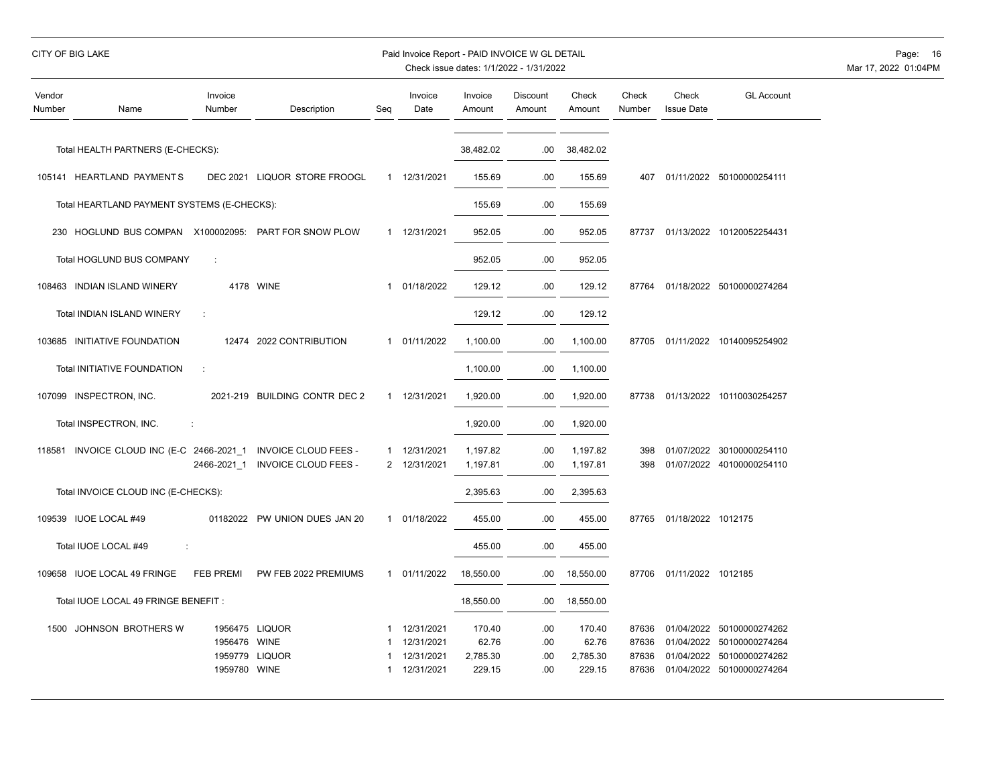|  | CITY OF BIG LAKE |
|--|------------------|
|  |                  |

# Paid Invoice Report - PAID INVOICE W GL DETAIL **Page:** 16

| Vendor<br>Number | Name                                        | Invoice<br>Number                  | Description                                                | Seg    | Invoice<br>Date                                      | Invoice<br>Amount                     | Discount<br>Amount       | Check<br>Amount                       | Check<br>Number                  | Check<br><b>Issue Date</b>             | <b>GL Account</b>                                                               |
|------------------|---------------------------------------------|------------------------------------|------------------------------------------------------------|--------|------------------------------------------------------|---------------------------------------|--------------------------|---------------------------------------|----------------------------------|----------------------------------------|---------------------------------------------------------------------------------|
|                  | Total HEALTH PARTNERS (E-CHECKS):           |                                    |                                                            |        |                                                      | 38,482.02                             | .00                      | 38,482.02                             |                                  |                                        |                                                                                 |
|                  | 105141 HEARTLAND PAYMENTS                   |                                    | DEC 2021 LIQUOR STORE FROOGL                               |        | 1 12/31/2021                                         | 155.69                                | .00                      | 155.69                                | 407                              |                                        | 01/11/2022 50100000254111                                                       |
|                  | Total HEARTLAND PAYMENT SYSTEMS (E-CHECKS): |                                    |                                                            |        |                                                      | 155.69                                | .00                      | 155.69                                |                                  |                                        |                                                                                 |
|                  | 230 HOGLUND BUS COMPAN                      |                                    | X100002095: PART FOR SNOW PLOW                             |        | 1 12/31/2021                                         | 952.05                                | .00                      | 952.05                                | 87737                            |                                        | 01/13/2022 10120052254431                                                       |
|                  | Total HOGLUND BUS COMPANY                   | ÷                                  |                                                            |        |                                                      | 952.05                                | .00                      | 952.05                                |                                  |                                        |                                                                                 |
|                  | 108463 INDIAN ISLAND WINERY                 |                                    | 4178 WINE                                                  | 1      | 01/18/2022                                           | 129.12                                | .00                      | 129.12                                | 87764                            |                                        | 01/18/2022 50100000274264                                                       |
|                  | Total INDIAN ISLAND WINERY                  | ÷                                  |                                                            |        |                                                      | 129.12                                | .00                      | 129.12                                |                                  |                                        |                                                                                 |
|                  | 103685 INITIATIVE FOUNDATION                |                                    | 12474 2022 CONTRIBUTION                                    |        | 1 01/11/2022                                         | 1,100.00                              | .00                      | 1,100.00                              | 87705                            |                                        | 01/11/2022 10140095254902                                                       |
|                  | Total INITIATIVE FOUNDATION                 | ÷                                  |                                                            |        |                                                      | 1,100.00                              | .00                      | 1,100.00                              |                                  |                                        |                                                                                 |
|                  | 107099 INSPECTRON, INC.                     |                                    | 2021-219 BUILDING CONTR DEC 2                              | 1      | 12/31/2021                                           | 1,920.00                              | .00                      | 1,920.00                              | 87738                            |                                        | 01/13/2022 10110030254257                                                       |
|                  | Total INSPECTRON, INC.                      | ÷                                  |                                                            |        |                                                      | 1,920.00                              | .00                      | 1,920.00                              |                                  |                                        |                                                                                 |
| 118581           | INVOICE CLOUD INC (E-C 2466-2021 1          | 2466-2021 1                        | <b>INVOICE CLOUD FEES -</b><br><b>INVOICE CLOUD FEES -</b> | 1<br>2 | 12/31/2021<br>12/31/2021                             | 1,197.82<br>1,197.81                  | .00<br>.00               | 1,197.82<br>1,197.81                  | 398<br>398                       | 01/07/2022                             | 30100000254110<br>01/07/2022 40100000254110                                     |
|                  | Total INVOICE CLOUD INC (E-CHECKS):         |                                    |                                                            |        |                                                      | 2,395.63                              | .00                      | 2,395.63                              |                                  |                                        |                                                                                 |
|                  | 109539 IUOE LOCAL #49                       | 01182022                           | PW UNION DUES JAN 20                                       |        | 1 01/18/2022                                         | 455.00                                | .00                      | 455.00                                | 87765                            | 01/18/2022 1012175                     |                                                                                 |
|                  | Total IUOE LOCAL #49<br>÷                   |                                    |                                                            |        |                                                      | 455.00                                | .00                      | 455.00                                |                                  |                                        |                                                                                 |
|                  | 109658 IUOE LOCAL 49 FRINGE                 | <b>FEB PREMI</b>                   | PW FEB 2022 PREMIUMS                                       | 1      | 01/11/2022                                           | 18,550.00                             | .00                      | 18,550.00                             | 87706                            | 01/11/2022 1012185                     |                                                                                 |
|                  | Total IUOE LOCAL 49 FRINGE BENEFIT :        |                                    |                                                            |        |                                                      | 18,550.00                             | .00                      | 18,550.00                             |                                  |                                        |                                                                                 |
|                  | 1500 JOHNSON BROTHERS W                     | 1956476<br>1959779<br>1959780 WINE | 1956475 LIQUOR<br>WINE<br><b>LIQUOR</b>                    | 1      | 12/31/2021<br>12/31/2021<br>12/31/2021<br>12/31/2021 | 170.40<br>62.76<br>2,785.30<br>229.15 | .00<br>.00<br>.00<br>.00 | 170.40<br>62.76<br>2,785.30<br>229.15 | 87636<br>87636<br>87636<br>87636 | 01/04/2022<br>01/04/2022<br>01/04/2022 | 50100000274262<br>50100000274264<br>50100000274262<br>01/04/2022 50100000274264 |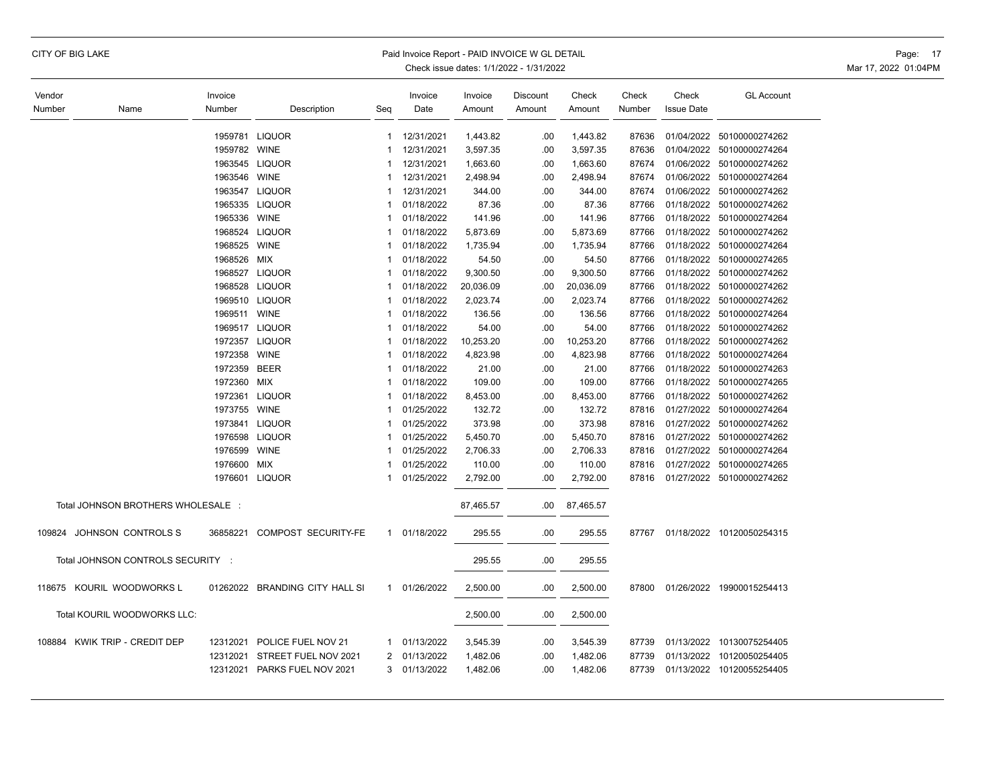|  |  |  | CITY OF BIG LAKE |
|--|--|--|------------------|
|--|--|--|------------------|

#### Paid Invoice Report - PAID INVOICE W GL DETAIL **Page: 17** Page: 17

| Vendor |                                    | Invoice      |                                |              | Invoice    | Invoice   | Discount | Check     | Check  | Check             | <b>GL Account</b>         |
|--------|------------------------------------|--------------|--------------------------------|--------------|------------|-----------|----------|-----------|--------|-------------------|---------------------------|
| Number | Name                               | Number       | Description                    | Seg          | Date       | Amount    | Amount   | Amount    | Number | <b>Issue Date</b> |                           |
|        |                                    |              |                                |              |            |           |          |           |        |                   |                           |
|        |                                    |              | 1959781 LIQUOR                 | 1            | 12/31/2021 | 1,443.82  | .00      | 1,443.82  | 87636  | 01/04/2022        | 50100000274262            |
|        |                                    | 1959782 WINE |                                | 1            | 12/31/2021 | 3,597.35  | .00      | 3,597.35  | 87636  |                   | 01/04/2022 50100000274264 |
|        |                                    |              | 1963545 LIQUOR                 | -1           | 12/31/2021 | 1,663.60  | .00      | 1,663.60  | 87674  | 01/06/2022        | 50100000274262            |
|        |                                    | 1963546 WINE |                                | -1           | 12/31/2021 | 2,498.94  | .00      | 2,498.94  | 87674  |                   | 01/06/2022 50100000274264 |
|        |                                    |              | 1963547 LIQUOR                 | 1            | 12/31/2021 | 344.00    | .00      | 344.00    | 87674  | 01/06/2022        | 50100000274262            |
|        |                                    |              | 1965335 LIQUOR                 | 1            | 01/18/2022 | 87.36     | .00      | 87.36     | 87766  | 01/18/2022        | 50100000274262            |
|        |                                    | 1965336      | <b>WINE</b>                    | -1           | 01/18/2022 | 141.96    | .00      | 141.96    | 87766  | 01/18/2022        | 50100000274264            |
|        |                                    |              | 1968524 LIQUOR                 | 1            | 01/18/2022 | 5,873.69  | .00      | 5,873.69  | 87766  | 01/18/2022        | 50100000274262            |
|        |                                    | 1968525      | <b>WINE</b>                    | 1            | 01/18/2022 | 1,735.94  | .00      | 1,735.94  | 87766  | 01/18/2022        | 50100000274264            |
|        |                                    | 1968526      | MIX                            | 1            | 01/18/2022 | 54.50     | .00      | 54.50     | 87766  | 01/18/2022        | 50100000274265            |
|        |                                    |              | 1968527 LIQUOR                 | -1           | 01/18/2022 | 9,300.50  | .00      | 9,300.50  | 87766  |                   | 01/18/2022 50100000274262 |
|        |                                    | 1968528      | <b>LIQUOR</b>                  | 1            | 01/18/2022 | 20,036.09 | .00      | 20,036.09 | 87766  | 01/18/2022        | 50100000274262            |
|        |                                    |              | 1969510 LIQUOR                 | 1            | 01/18/2022 | 2,023.74  | .00      | 2,023.74  | 87766  |                   | 01/18/2022 50100000274262 |
|        |                                    | 1969511      | <b>WINE</b>                    | 1            | 01/18/2022 | 136.56    | .00      | 136.56    | 87766  |                   | 01/18/2022 50100000274264 |
|        |                                    |              | 1969517 LIQUOR                 | -1           | 01/18/2022 | 54.00     | .00      | 54.00     | 87766  |                   | 01/18/2022 50100000274262 |
|        |                                    | 1972357      | <b>LIQUOR</b>                  | -1           | 01/18/2022 | 10,253.20 | .00      | 10,253.20 | 87766  | 01/18/2022        | 50100000274262            |
|        |                                    | 1972358      | <b>WINE</b>                    | $\mathbf{1}$ | 01/18/2022 | 4,823.98  | .00      | 4,823.98  | 87766  | 01/18/2022        | 50100000274264            |
|        |                                    | 1972359      | <b>BEER</b>                    | $\mathbf{1}$ | 01/18/2022 | 21.00     | .00      | 21.00     | 87766  |                   | 01/18/2022 50100000274263 |
|        |                                    | 1972360      | <b>MIX</b>                     | $\mathbf{1}$ | 01/18/2022 | 109.00    | .00      | 109.00    | 87766  |                   | 01/18/2022 50100000274265 |
|        |                                    |              | 1972361 LIQUOR                 | -1           | 01/18/2022 | 8,453.00  | .00      | 8,453.00  | 87766  |                   | 01/18/2022 50100000274262 |
|        |                                    | 1973755 WINE |                                | 1            | 01/25/2022 | 132.72    | .00      | 132.72    | 87816  | 01/27/2022        | 50100000274264            |
|        |                                    |              | 1973841 LIQUOR                 | 1            | 01/25/2022 | 373.98    | .00      | 373.98    | 87816  |                   | 01/27/2022 50100000274262 |
|        |                                    | 1976598      | <b>LIQUOR</b>                  | 1            | 01/25/2022 | 5,450.70  | .00      | 5,450.70  | 87816  | 01/27/2022        | 50100000274262            |
|        |                                    | 1976599      | <b>WINE</b>                    | -1           | 01/25/2022 | 2,706.33  | .00      | 2,706.33  | 87816  | 01/27/2022        | 50100000274264            |
|        |                                    | 1976600      | <b>MIX</b>                     | -1           | 01/25/2022 | 110.00    | .00      | 110.00    | 87816  | 01/27/2022        | 50100000274265            |
|        |                                    |              | 1976601 LIQUOR                 | $\mathbf{1}$ | 01/25/2022 | 2,792.00  | .00      | 2,792.00  | 87816  |                   | 01/27/2022 50100000274262 |
|        | Total JOHNSON BROTHERS WHOLESALE : |              |                                |              |            | 87,465.57 | .00      | 87,465.57 |        |                   |                           |
|        | 109824 JOHNSON CONTROLS S          | 36858221     | COMPOST SECURITY-FE            | $\mathbf{1}$ | 01/18/2022 | 295.55    | .00      | 295.55    | 87767  |                   | 01/18/2022 10120050254315 |
|        | Total JOHNSON CONTROLS SECURITY :  |              |                                |              |            | 295.55    | .00      | 295.55    |        |                   |                           |
|        | 118675 KOURIL WOODWORKS L          |              | 01262022 BRANDING CITY HALL SI | $\mathbf{1}$ | 01/26/2022 | 2,500.00  | .00      | 2,500.00  | 87800  |                   | 01/26/2022 19900015254413 |
|        | Total KOURIL WOODWORKS LLC:        |              |                                |              |            | 2,500.00  | .00      | 2,500.00  |        |                   |                           |
|        | 108884 KWIK TRIP - CREDIT DEP      | 12312021     | POLICE FUEL NOV 21             | 1            | 01/13/2022 | 3,545.39  | .00      | 3,545.39  | 87739  |                   | 01/13/2022 10130075254405 |
|        |                                    | 12312021     | STREET FUEL NOV 2021           | 2            | 01/13/2022 | 1,482.06  | .00      | 1,482.06  | 87739  |                   | 01/13/2022 10120050254405 |
|        |                                    |              | 12312021 PARKS FUEL NOV 2021   | 3            | 01/13/2022 | 1,482.06  | .00      | 1,482.06  | 87739  |                   | 01/13/2022 10120055254405 |
|        |                                    |              |                                |              |            |           |          |           |        |                   |                           |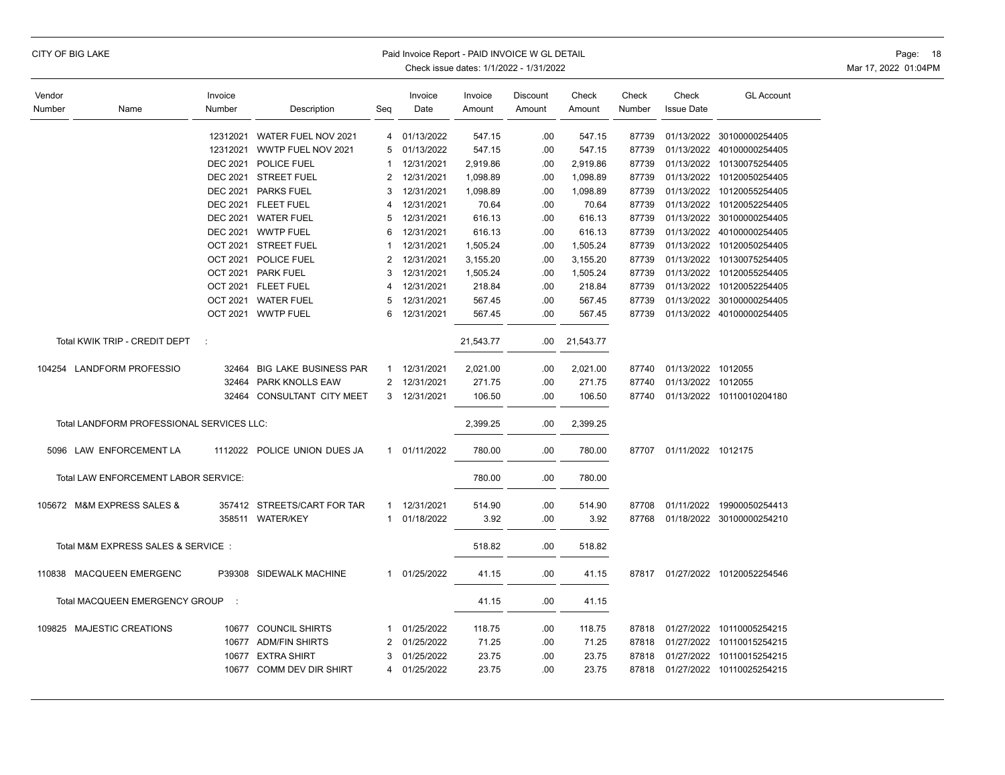| <b>CITY OF BIG LAKE</b><br>Paid Invoice Report - PAID INVOICE W GL DETAIL<br>Check issue dates: 1/1/2022 - 1/31/2022 |                                           |                   |                              |                |                 |                   |                    |                 |                 | Page: 18<br>Mar 17, 2022 01:04PM |                                 |  |
|----------------------------------------------------------------------------------------------------------------------|-------------------------------------------|-------------------|------------------------------|----------------|-----------------|-------------------|--------------------|-----------------|-----------------|----------------------------------|---------------------------------|--|
| Vendor<br>Number                                                                                                     | Name                                      | Invoice<br>Number | Description                  | Seq            | Invoice<br>Date | Invoice<br>Amount | Discount<br>Amount | Check<br>Amount | Check<br>Number | Check<br><b>Issue Date</b>       | <b>GL Account</b>               |  |
|                                                                                                                      |                                           |                   | 12312021 WATER FUEL NOV 2021 | 4              | 01/13/2022      | 547.15            | .00                | 547.15          | 87739           |                                  | 01/13/2022 30100000254405       |  |
|                                                                                                                      |                                           |                   | 12312021 WWTP FUEL NOV 2021  | 5              | 01/13/2022      | 547.15            | .00                | 547.15          | 87739           |                                  | 01/13/2022 40100000254405       |  |
|                                                                                                                      |                                           |                   | DEC 2021 POLICE FUEL         | $\mathbf{1}$   | 12/31/2021      | 2,919.86          | .00                | 2,919.86        | 87739           |                                  | 01/13/2022 10130075254405       |  |
|                                                                                                                      |                                           |                   | DEC 2021 STREET FUEL         | 2              | 12/31/2021      | 1,098.89          | .00                | 1,098.89        | 87739           |                                  | 01/13/2022 10120050254405       |  |
|                                                                                                                      |                                           |                   | DEC 2021 PARKS FUEL          | 3              | 12/31/2021      | 1,098.89          | .00                | 1,098.89        | 87739           | 01/13/2022                       | 10120055254405                  |  |
|                                                                                                                      |                                           |                   | DEC 2021 FLEET FUEL          | 4              | 12/31/2021      | 70.64             | .00                | 70.64           | 87739           |                                  | 01/13/2022 10120052254405       |  |
|                                                                                                                      |                                           |                   | DEC 2021 WATER FUEL          | 5              | 12/31/2021      | 616.13            | .00                | 616.13          | 87739           |                                  | 01/13/2022 30100000254405       |  |
|                                                                                                                      |                                           |                   | DEC 2021 WWTP FUEL           | 6              | 12/31/2021      | 616.13            | .00                | 616.13          | 87739           |                                  | 01/13/2022 40100000254405       |  |
|                                                                                                                      |                                           |                   | OCT 2021 STREET FUEL         | $\mathbf{1}$   | 12/31/2021      | 1,505.24          | .00                | 1,505.24        | 87739           | 01/13/2022                       | 10120050254405                  |  |
|                                                                                                                      |                                           |                   | OCT 2021 POLICE FUEL         | $\overline{2}$ | 12/31/2021      | 3,155.20          | .00                | 3,155.20        | 87739           |                                  | 01/13/2022 10130075254405       |  |
|                                                                                                                      |                                           |                   | OCT 2021 PARK FUEL           | 3              | 12/31/2021      | 1,505.24          | .00                | 1,505.24        | 87739           |                                  | 01/13/2022 10120055254405       |  |
|                                                                                                                      |                                           |                   | OCT 2021 FLEET FUEL          | 4              | 12/31/2021      | 218.84            | .00                | 218.84          | 87739           |                                  | 01/13/2022 10120052254405       |  |
|                                                                                                                      |                                           |                   | OCT 2021 WATER FUEL          | 5              | 12/31/2021      | 567.45            | .00                | 567.45          | 87739           |                                  | 01/13/2022 30100000254405       |  |
|                                                                                                                      |                                           |                   | OCT 2021 WWTP FUEL           | 6              | 12/31/2021      | 567.45            | .00                | 567.45          |                 |                                  | 87739 01/13/2022 40100000254405 |  |
|                                                                                                                      | Total KWIK TRIP - CREDIT DEPT             | $\cdot$ :         |                              |                |                 | 21,543.77         | $.00\,$            | 21,543.77       |                 |                                  |                                 |  |
|                                                                                                                      | 104254 LANDFORM PROFESSIO                 |                   | 32464 BIG LAKE BUSINESS PAR  | $\mathbf{1}$   | 12/31/2021      | 2,021.00          | .00                | 2,021.00        | 87740           | 01/13/2022 1012055               |                                 |  |
|                                                                                                                      |                                           |                   | 32464 PARK KNOLLS EAW        |                | 2 12/31/2021    | 271.75            | .00                | 271.75          | 87740           | 01/13/2022 1012055               |                                 |  |
|                                                                                                                      |                                           |                   | 32464 CONSULTANT CITY MEET   |                | 3 12/31/2021    | 106.50            | .00                | 106.50          |                 |                                  | 87740 01/13/2022 10110010204180 |  |
|                                                                                                                      | Total LANDFORM PROFESSIONAL SERVICES LLC: |                   |                              |                |                 | 2,399.25          | .00                | 2,399.25        |                 |                                  |                                 |  |
|                                                                                                                      | 5096 LAW ENFORCEMENT LA                   |                   | 1112022 POLICE UNION DUES JA |                | 1 01/11/2022    | 780.00            | .00                | 780.00          |                 | 87707 01/11/2022 1012175         |                                 |  |
|                                                                                                                      | Total LAW ENFORCEMENT LABOR SERVICE:      |                   |                              |                |                 | 780.00            | .00                | 780.00          |                 |                                  |                                 |  |
|                                                                                                                      | 105672 M&M EXPRESS SALES &                |                   | 357412 STREETS/CART FOR TAR  |                | 1 12/31/2021    | 514.90            | .00                | 514.90          |                 |                                  | 87708 01/11/2022 19900050254413 |  |
|                                                                                                                      |                                           |                   | 358511 WATER/KEY             |                | 1 01/18/2022    | 3.92              | .00                | 3.92            |                 |                                  | 87768 01/18/2022 30100000254210 |  |
|                                                                                                                      | Total M&M EXPRESS SALES & SERVICE:        |                   |                              |                |                 | 518.82            | .00                | 518.82          |                 |                                  |                                 |  |
|                                                                                                                      | 110838 MACQUEEN EMERGENC                  |                   | P39308 SIDEWALK MACHINE      |                | 1 01/25/2022    | 41.15             | .00                | 41.15           |                 |                                  | 87817 01/27/2022 10120052254546 |  |
|                                                                                                                      | Total MACQUEEN EMERGENCY GROUP :          |                   |                              |                |                 | 41.15             | .00.               | 41.15           |                 |                                  |                                 |  |
|                                                                                                                      | 109825 MAJESTIC CREATIONS                 |                   | 10677 COUNCIL SHIRTS         | $\mathbf{1}$   | 01/25/2022      | 118.75            | .00                | 118.75          | 87818           |                                  | 01/27/2022 10110005254215       |  |
|                                                                                                                      |                                           |                   | 10677 ADM/FIN SHIRTS         | 2              | 01/25/2022      | 71.25             | .00                | 71.25           | 87818           |                                  | 01/27/2022 10110015254215       |  |
|                                                                                                                      |                                           |                   | 10677 EXTRA SHIRT            | 3              | 01/25/2022      | 23.75             | .00                | 23.75           | 87818           |                                  | 01/27/2022 10110015254215       |  |
|                                                                                                                      |                                           |                   | 10677 COMM DEV DIR SHIRT     |                | 4 01/25/2022    | 23.75             | .00                | 23.75           |                 |                                  | 87818 01/27/2022 10110025254215 |  |
|                                                                                                                      |                                           |                   |                              |                |                 |                   |                    |                 |                 |                                  |                                 |  |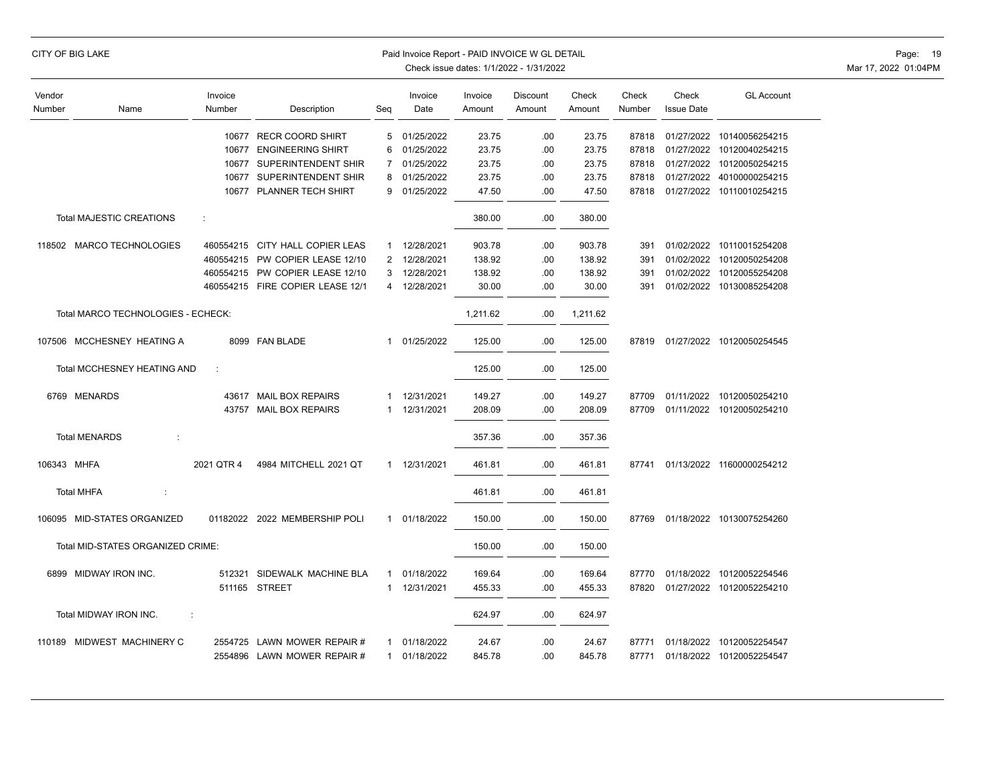|                  | CITY OF BIG LAKE                         |                   |                                  |                | Paid Invoice Report - PAID INVOICE W GL DETAIL | Check issue dates: 1/1/2022 - 1/31/2022 | Page: 19<br>Mar 17, 2022 01:04PM |                 |                 |                            |                                 |  |
|------------------|------------------------------------------|-------------------|----------------------------------|----------------|------------------------------------------------|-----------------------------------------|----------------------------------|-----------------|-----------------|----------------------------|---------------------------------|--|
| Vendor<br>Number | Name                                     | Invoice<br>Number | Description                      | Seq            | Invoice<br>Date                                | Invoice<br>Amount                       | Discount<br>Amount               | Check<br>Amount | Check<br>Number | Check<br><b>Issue Date</b> | <b>GL Account</b>               |  |
|                  |                                          | 10677             | <b>RECR COORD SHIRT</b>          | 5              | 01/25/2022                                     | 23.75                                   | .00                              | 23.75           | 87818           | 01/27/2022                 | 10140056254215                  |  |
|                  |                                          |                   | 10677 ENGINEERING SHIRT          | 6              | 01/25/2022                                     | 23.75                                   | .00                              | 23.75           | 87818           | 01/27/2022                 | 10120040254215                  |  |
|                  |                                          | 10677             | SUPERINTENDENT SHIR              | $\overline{7}$ | 01/25/2022                                     | 23.75                                   | .00                              | 23.75           | 87818           | 01/27/2022                 | 10120050254215                  |  |
|                  |                                          | 10677             | SUPERINTENDENT SHIR              | 8              | 01/25/2022                                     | 23.75                                   | .00                              | 23.75           | 87818           | 01/27/2022                 | 40100000254215                  |  |
|                  |                                          |                   | 10677 PLANNER TECH SHIRT         | 9              | 01/25/2022                                     | 47.50                                   | .00                              | 47.50           | 87818           |                            | 01/27/2022 10110010254215       |  |
|                  | <b>Total MAJESTIC CREATIONS</b>          | ÷                 |                                  |                |                                                | 380.00                                  | .00                              | 380.00          |                 |                            |                                 |  |
|                  | 118502 MARCO TECHNOLOGIES                |                   | 460554215 CITY HALL COPIER LEAS  | 1              | 12/28/2021                                     | 903.78                                  | .00                              | 903.78          | 391             |                            | 01/02/2022 10110015254208       |  |
|                  |                                          |                   | 460554215 PW COPIER LEASE 12/10  |                | 2 12/28/2021                                   | 138.92                                  | .00                              | 138.92          | 391             |                            | 01/02/2022 10120050254208       |  |
|                  |                                          |                   | 460554215 PW COPIER LEASE 12/10  | 3              | 12/28/2021                                     | 138.92                                  | .00                              | 138.92          | 391             |                            | 01/02/2022 10120055254208       |  |
|                  |                                          |                   | 460554215 FIRE COPIER LEASE 12/1 | 4              | 12/28/2021                                     | 30.00                                   | .00                              | 30.00           | 391             |                            | 01/02/2022 10130085254208       |  |
|                  | Total MARCO TECHNOLOGIES - ECHECK:       |                   |                                  |                |                                                | 1,211.62                                | .00.                             | 1,211.62        |                 |                            |                                 |  |
|                  | 107506 MCCHESNEY HEATING A               |                   | 8099 FAN BLADE                   | $\mathbf{1}$   | 01/25/2022                                     | 125.00                                  | .00                              | 125.00          |                 |                            | 87819 01/27/2022 10120050254545 |  |
|                  | Total MCCHESNEY HEATING AND              | ÷                 |                                  |                |                                                | 125.00                                  | .00                              | 125.00          |                 |                            |                                 |  |
|                  | 6769 MENARDS                             |                   | 43617 MAIL BOX REPAIRS           | 1              | 12/31/2021                                     | 149.27                                  | .00                              | 149.27          | 87709           |                            | 01/11/2022 10120050254210       |  |
|                  |                                          |                   | 43757 MAIL BOX REPAIRS           | 1              | 12/31/2021                                     | 208.09                                  | .00                              | 208.09          | 87709           |                            | 01/11/2022 10120050254210       |  |
|                  | <b>Total MENARDS</b><br>$\cdot$ :        |                   |                                  |                |                                                | 357.36                                  | .00                              | 357.36          |                 |                            |                                 |  |
| 106343 MHFA      |                                          | 2021 QTR 4        | 4984 MITCHELL 2021 QT            |                | 1 12/31/2021                                   | 461.81                                  | .00                              | 461.81          | 87741           |                            | 01/13/2022 11600000254212       |  |
|                  | <b>Total MHFA</b><br>÷                   |                   |                                  |                |                                                | 461.81                                  | .00                              | 461.81          |                 |                            |                                 |  |
|                  | 106095 MID-STATES ORGANIZED              |                   | 01182022 2022 MEMBERSHIP POLI    | $\mathbf{1}$   | 01/18/2022                                     | 150.00                                  | .00                              | 150.00          | 87769           |                            | 01/18/2022 10130075254260       |  |
|                  | Total MID-STATES ORGANIZED CRIME:        |                   |                                  |                |                                                | 150.00                                  | .00                              | 150.00          |                 |                            |                                 |  |
|                  | 6899 MIDWAY IRON INC.                    |                   | 512321 SIDEWALK MACHINE BLA      | $\mathbf{1}$   | 01/18/2022                                     | 169.64                                  | .00                              | 169.64          | 87770           |                            | 01/18/2022 10120052254546       |  |
|                  |                                          |                   | 511165 STREET                    | $\mathbf{1}$   | 12/31/2021                                     | 455.33                                  | .00                              | 455.33          | 87820           |                            | 01/27/2022 10120052254210       |  |
|                  | Total MIDWAY IRON INC.<br>$\ddot{\cdot}$ |                   |                                  |                |                                                | 624.97                                  | .00                              | 624.97          |                 |                            |                                 |  |
|                  | 110189 MIDWEST MACHINERY C               |                   | 2554725 LAWN MOWER REPAIR #      | $\mathbf{1}$   | 01/18/2022                                     | 24.67                                   | .00                              | 24.67           | 87771           |                            | 01/18/2022 10120052254547       |  |
|                  |                                          |                   | 2554896 LAWN MOWER REPAIR #      |                | 1 01/18/2022                                   | 845.78                                  | .00                              | 845.78          | 87771           |                            | 01/18/2022 10120052254547       |  |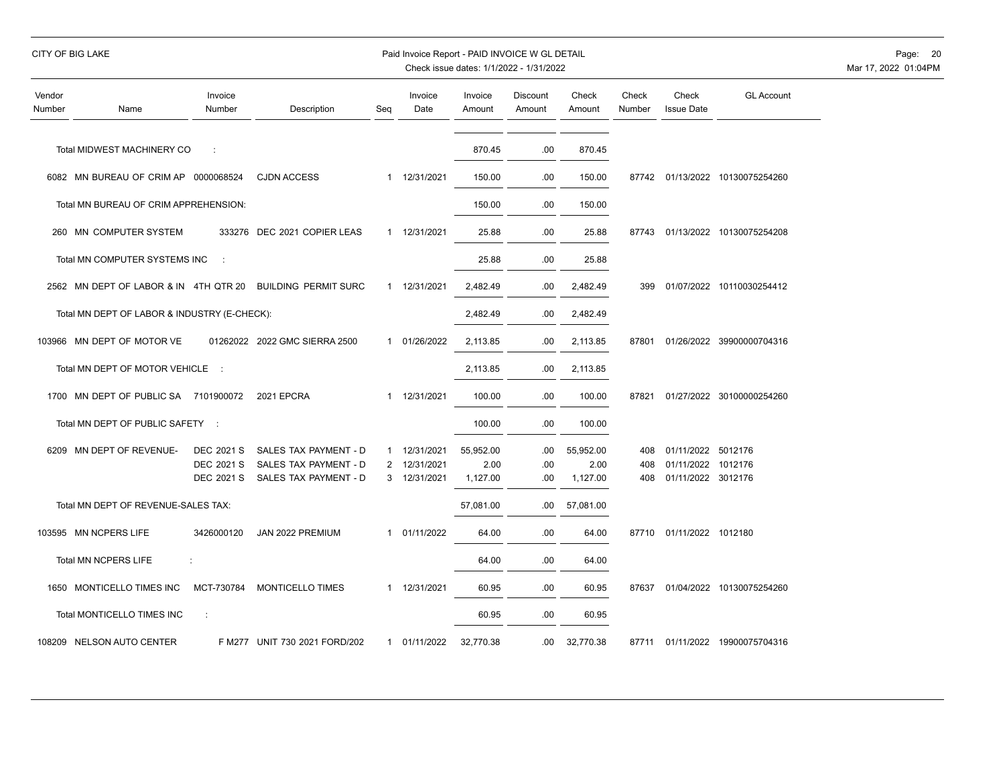| Vendor<br>Number | Name                                         | Invoice<br>Number | Description                   | Seq          | Invoice<br>Date | Invoice<br>Amount | <b>Discount</b><br>Amount | Check<br>Amount | Check<br>Number | Check<br><b>Issue Date</b> | <b>GL Account</b>               |
|------------------|----------------------------------------------|-------------------|-------------------------------|--------------|-----------------|-------------------|---------------------------|-----------------|-----------------|----------------------------|---------------------------------|
|                  |                                              |                   |                               |              |                 |                   |                           |                 |                 |                            |                                 |
|                  | Total MIDWEST MACHINERY CO                   |                   |                               |              |                 | 870.45            | .00                       | 870.45          |                 |                            |                                 |
|                  | 6082 MN BUREAU OF CRIM AP                    | 0000068524        | <b>CJDN ACCESS</b>            | 1            | 12/31/2021      | 150.00            | .00                       | 150.00          |                 |                            | 87742 01/13/2022 10130075254260 |
|                  | Total MN BUREAU OF CRIM APPREHENSION:        |                   |                               |              |                 | 150.00            | .00                       | 150.00          |                 |                            |                                 |
|                  | 260 MN COMPUTER SYSTEM                       |                   | 333276 DEC 2021 COPIER LEAS   |              | 1 12/31/2021    | 25.88             | .00                       | 25.88           |                 |                            | 87743 01/13/2022 10130075254208 |
|                  | Total MN COMPUTER SYSTEMS INC                | ÷                 |                               |              |                 | 25.88             | .00                       | 25.88           |                 |                            |                                 |
|                  | 2562 MN DEPT OF LABOR & IN 4TH QTR 20        |                   | <b>BUILDING PERMIT SURC</b>   | 1            | 12/31/2021      | 2,482.49          | .00                       | 2,482.49        | 399             |                            | 01/07/2022 10110030254412       |
|                  | Total MN DEPT OF LABOR & INDUSTRY (E-CHECK): |                   |                               |              |                 | 2,482.49          | .00                       | 2,482.49        |                 |                            |                                 |
|                  | 103966 MN DEPT OF MOTOR VE                   |                   | 01262022 2022 GMC SIERRA 2500 | 1            | 01/26/2022      | 2,113.85          | .00                       | 2,113.85        | 87801           |                            | 01/26/2022 39900000704316       |
|                  | Total MN DEPT OF MOTOR VEHICLE :             |                   |                               |              |                 | 2,113.85          | .00                       | 2,113.85        |                 |                            |                                 |
|                  | 1700 MN DEPT OF PUBLIC SA 7101900072         |                   | <b>2021 EPCRA</b>             | 1            | 12/31/2021      | 100.00            | .00                       | 100.00          | 87821           |                            | 01/27/2022 30100000254260       |
|                  | Total MN DEPT OF PUBLIC SAFETY               | $\sim$ 1          |                               |              |                 | 100.00            | .00                       | 100.00          |                 |                            |                                 |
|                  | 6209 MN DEPT OF REVENUE-                     | <b>DEC 2021 S</b> | SALES TAX PAYMENT - D         | 1            | 12/31/2021      | 55,952.00         | .00                       | 55,952.00       | 408             | 01/11/2022 5012176         |                                 |
|                  |                                              | <b>DEC 2021 S</b> | SALES TAX PAYMENT - D         |              | 2 12/31/2021    | 2.00              | .00                       | 2.00            | 408             | 01/11/2022                 | 1012176                         |
|                  |                                              | <b>DEC 2021 S</b> | SALES TAX PAYMENT - D         |              | 3 12/31/2021    | 1,127.00          | .00                       | 1,127.00        | 408             | 01/11/2022 3012176         |                                 |
|                  | Total MN DEPT OF REVENUE-SALES TAX:          |                   |                               |              |                 | 57,081.00         | .00                       | 57,081.00       |                 |                            |                                 |
|                  | 103595 MN NCPERS LIFE                        | 3426000120        | JAN 2022 PREMIUM              | $\mathbf{1}$ | 01/11/2022      | 64.00             | .00                       | 64.00           | 87710           | 01/11/2022 1012180         |                                 |
|                  | <b>Total MN NCPERS LIFE</b>                  | ÷                 |                               |              |                 | 64.00             | .00                       | 64.00           |                 |                            |                                 |
|                  | 1650 MONTICELLO TIMES INC                    | MCT-730784        | <b>MONTICELLO TIMES</b>       | $\mathbf{1}$ | 12/31/2021      | 60.95             | .00                       | 60.95           | 87637           |                            | 01/04/2022 10130075254260       |
|                  | Total MONTICELLO TIMES INC                   | ÷                 |                               |              |                 | 60.95             | .00                       | 60.95           |                 |                            |                                 |
|                  | 108209 NELSON AUTO CENTER                    |                   | F M277 UNIT 730 2021 FORD/202 | $\mathbf{1}$ | 01/11/2022      | 32,770.38         | .00                       | 32,770.38       | 87711           |                            | 01/11/2022 19900075704316       |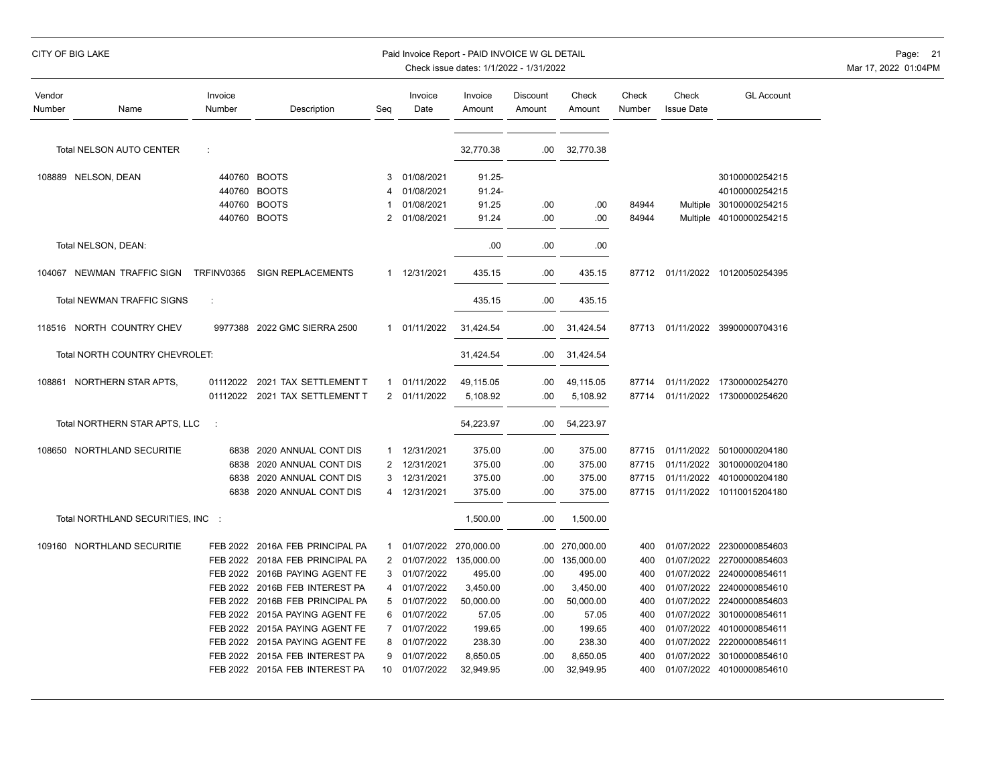| Vendor<br>Number | Name                              | Invoice<br>Number | Description                    | Seq            | Invoice<br>Date | Invoice<br>Amount     | Discount<br>Amount | Check<br>Amount | Check<br>Number | Check<br><b>Issue Date</b> | <b>GL Account</b>               |
|------------------|-----------------------------------|-------------------|--------------------------------|----------------|-----------------|-----------------------|--------------------|-----------------|-----------------|----------------------------|---------------------------------|
|                  | <b>Total NELSON AUTO CENTER</b>   | ÷                 |                                |                |                 | 32,770.38             | .00                | 32,770.38       |                 |                            |                                 |
|                  | 108889 NELSON, DEAN               |                   | 440760 BOOTS                   | 3              | 01/08/2021      | $91.25 -$             |                    |                 |                 |                            | 30100000254215                  |
|                  |                                   | 440760            | <b>BOOTS</b>                   | 4              | 01/08/2021      | 91.24-                |                    |                 |                 |                            | 40100000254215                  |
|                  |                                   | 440760            | <b>BOOTS</b>                   |                | 01/08/2021      | 91.25                 | .00                | .00             | 84944           |                            | Multiple 30100000254215         |
|                  |                                   | 440760            | <b>BOOTS</b>                   | 2              | 01/08/2021      | 91.24                 | .00                | .00             | 84944           |                            | Multiple 40100000254215         |
|                  | Total NELSON, DEAN:               |                   |                                |                |                 | .00                   | .00                | .00             |                 |                            |                                 |
|                  | 104067 NEWMAN TRAFFIC SIGN        | TRFINV0365        | <b>SIGN REPLACEMENTS</b>       |                | 1 12/31/2021    | 435.15                | .00                | 435.15          |                 |                            | 87712 01/11/2022 10120050254395 |
|                  | <b>Total NEWMAN TRAFFIC SIGNS</b> | ÷                 |                                |                |                 | 435.15                | .00                | 435.15          |                 |                            |                                 |
|                  | 118516 NORTH COUNTRY CHEV         |                   | 9977388 2022 GMC SIERRA 2500   |                | 1 01/11/2022    | 31,424.54             | .00                | 31,424.54       | 87713           |                            | 01/11/2022 39900000704316       |
|                  | Total NORTH COUNTRY CHEVROLET:    |                   |                                |                |                 | 31,424.54             | .00                | 31,424.54       |                 |                            |                                 |
|                  | 108861 NORTHERN STAR APTS,        | 01112022          | 2021 TAX SETTLEMENT T          | $\mathbf{1}$   | 01/11/2022      | 49,115.05             | .00                | 49,115.05       | 87714           |                            | 01/11/2022 17300000254270       |
|                  |                                   | 01112022          | 2021 TAX SETTLEMENT T          | $\overline{2}$ | 01/11/2022      | 5,108.92              | .00                | 5,108.92        | 87714           |                            | 01/11/2022 17300000254620       |
|                  | Total NORTHERN STAR APTS, LLC     | $\cdot$ :         |                                |                |                 | 54,223.97             | .00                | 54,223.97       |                 |                            |                                 |
|                  | 108650 NORTHLAND SECURITIE        | 6838              | 2020 ANNUAL CONT DIS           | 1              | 12/31/2021      | 375.00                | .00                | 375.00          | 87715           |                            | 01/11/2022 50100000204180       |
|                  |                                   | 6838              | 2020 ANNUAL CONT DIS           | $\overline{c}$ | 12/31/2021      | 375.00                | .00                | 375.00          | 87715           | 01/11/2022                 | 30100000204180                  |
|                  |                                   | 6838              | 2020 ANNUAL CONT DIS           | 3              | 12/31/2021      | 375.00                | .00                | 375.00          | 87715           | 01/11/2022                 | 40100000204180                  |
|                  |                                   | 6838              | 2020 ANNUAL CONT DIS           | 4              | 12/31/2021      | 375.00                | .00                | 375.00          | 87715           |                            | 01/11/2022 10110015204180       |
|                  | Total NORTHLAND SECURITIES, INC : |                   |                                |                |                 | 1,500.00              | .00                | 1,500.00        |                 |                            |                                 |
|                  | 109160 NORTHLAND SECURITIE        | FEB 2022          | 2016A FEB PRINCIPAL PA         | 1              |                 | 01/07/2022 270,000.00 | .00.               | 270,000.00      | 400             | 01/07/2022                 | 22300000854603                  |
|                  |                                   | FEB 2022          | 2018A FEB PRINCIPAL PA         | 2              |                 | 01/07/2022 135,000.00 | .00                | 135,000.00      | 400             | 01/07/2022                 | 22700000854603                  |
|                  |                                   | FEB 2022          | 2016B PAYING AGENT FE          | 3              | 01/07/2022      | 495.00                | .00                | 495.00          | 400             | 01/07/2022                 | 22400000854611                  |
|                  |                                   | FEB 2022          | 2016B FEB INTEREST PA          | 4              | 01/07/2022      | 3,450.00              | .00                | 3,450.00        | 400             | 01/07/2022                 | 22400000854610                  |
|                  |                                   | FEB 2022          | 2016B FEB PRINCIPAL PA         | 5              | 01/07/2022      | 50,000.00             | .00                | 50,000.00       | 400             | 01/07/2022                 | 22400000854603                  |
|                  |                                   | <b>FEB 2022</b>   | 2015A PAYING AGENT FE          | 6              | 01/07/2022      | 57.05                 | .00                | 57.05           | 400             | 01/07/2022                 | 30100000854611                  |
|                  |                                   | FEB 2022          | 2015A PAYING AGENT FE          | 7              | 01/07/2022      | 199.65                | .00                | 199.65          | 400             | 01/07/2022                 | 40100000854611                  |
|                  |                                   | FEB 2022          | 2015A PAYING AGENT FE          | 8              | 01/07/2022      | 238.30                | .00                | 238.30          | 400             | 01/07/2022                 | 22200000854611                  |
|                  |                                   | FEB 2022          | 2015A FEB INTEREST PA          | 9              | 01/07/2022      | 8,650.05              | .00                | 8,650.05        | 400             | 01/07/2022                 | 30100000854610                  |
|                  |                                   |                   | FEB 2022 2015A FEB INTEREST PA | 10             | 01/07/2022      | 32,949.95             | .00                | 32,949.95       | 400             |                            | 01/07/2022 40100000854610       |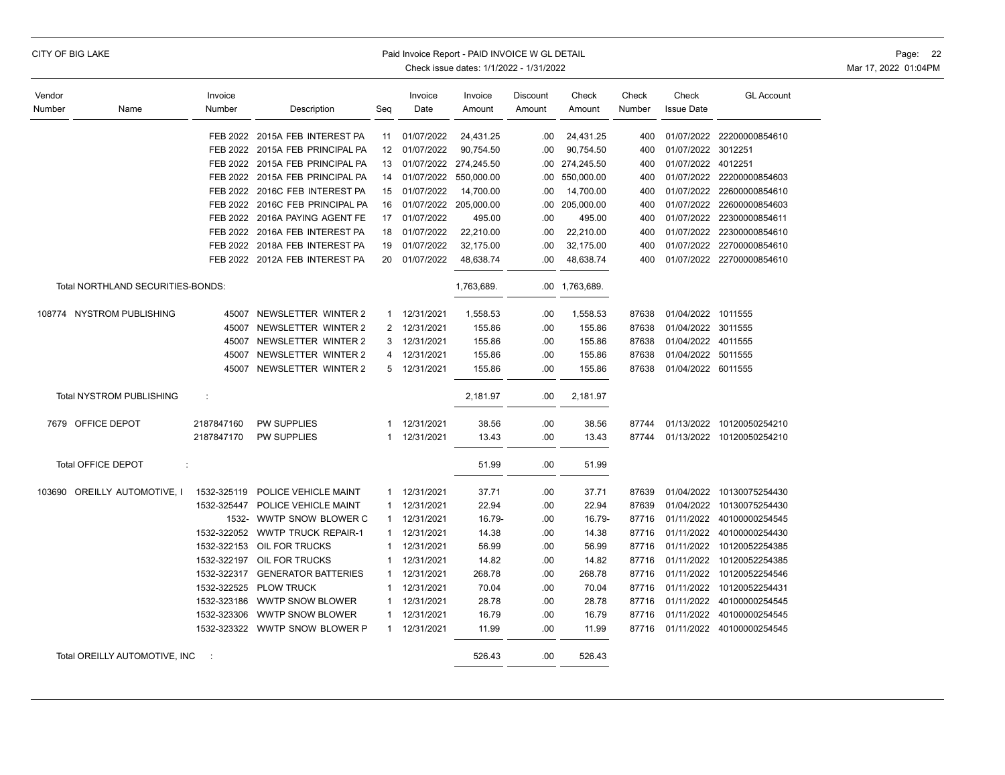|  |  |  | CITY OF BIG LAKE |
|--|--|--|------------------|
|--|--|--|------------------|

#### Paid Invoice Report - PAID INVOICE W GL DETAIL **Page: 22** Page: 22

| Vendor |                                   | Invoice     |                                 |              | Invoice      | Invoice               | Discount | Check          | Check  | Check              | <b>GL Account</b>         |
|--------|-----------------------------------|-------------|---------------------------------|--------------|--------------|-----------------------|----------|----------------|--------|--------------------|---------------------------|
| Number | Name                              | Number      | Description                     | Seq          | Date         | Amount                | Amount   | Amount         | Number | <b>Issue Date</b>  |                           |
|        |                                   |             |                                 |              |              |                       |          |                |        |                    |                           |
|        |                                   | FEB 2022    | 2015A FEB INTEREST PA           | 11           | 01/07/2022   | 24,431.25             | .00.     | 24,431.25      | 400    |                    | 01/07/2022 22200000854610 |
|        |                                   |             | FEB 2022 2015A FEB PRINCIPAL PA | 12           | 01/07/2022   | 90,754.50             | .00      | 90,754.50      | 400    | 01/07/2022 3012251 |                           |
|        |                                   | FEB 2022    | 2015A FEB PRINCIPAL PA          | 13           |              | 01/07/2022 274,245.50 | .00      | 274,245.50     | 400    | 01/07/2022 4012251 |                           |
|        |                                   |             | FEB 2022 2015A FEB PRINCIPAL PA | 14           | 01/07/2022   | 550,000.00            | .00.     | 550,000.00     | 400    |                    | 01/07/2022 22200000854603 |
|        |                                   | FEB 2022    | 2016C FEB INTEREST PA           | 15           | 01/07/2022   | 14,700.00             | .00      | 14,700.00      | 400    |                    | 01/07/2022 22600000854610 |
|        |                                   |             | FEB 2022 2016C FEB PRINCIPAL PA | 16           |              | 01/07/2022 205,000.00 | .00.     | 205,000.00     | 400    |                    | 01/07/2022 22600000854603 |
|        |                                   | FEB 2022    | 2016A PAYING AGENT FE           | 17           | 01/07/2022   | 495.00                | .00      | 495.00         | 400    |                    | 01/07/2022 22300000854611 |
|        |                                   |             | FEB 2022 2016A FEB INTEREST PA  | 18           | 01/07/2022   | 22,210.00             | .00      | 22,210.00      | 400    |                    | 01/07/2022 22300000854610 |
|        |                                   |             | FEB 2022 2018A FEB INTEREST PA  | 19           | 01/07/2022   | 32,175.00             | .00      | 32,175.00      | 400    |                    | 01/07/2022 22700000854610 |
|        |                                   |             | FEB 2022 2012A FEB INTEREST PA  | 20           | 01/07/2022   | 48,638.74             | .00      | 48,638.74      | 400    |                    | 01/07/2022 22700000854610 |
|        | Total NORTHLAND SECURITIES-BONDS: |             |                                 |              |              | 1,763,689.            |          | .00 1,763,689. |        |                    |                           |
|        | 108774 NYSTROM PUBLISHING         | 45007       | NEWSLETTER WINTER 2             | 1            | 12/31/2021   | 1,558.53              | .00      | 1,558.53       | 87638  | 01/04/2022 1011555 |                           |
|        |                                   | 45007       | NEWSLETTER WINTER 2             | 2            | 12/31/2021   | 155.86                | .00      | 155.86         | 87638  | 01/04/2022 3011555 |                           |
|        |                                   | 45007       | NEWSLETTER WINTER 2             | 3            | 12/31/2021   | 155.86                | .00      | 155.86         | 87638  | 01/04/2022 4011555 |                           |
|        |                                   | 45007       | NEWSLETTER WINTER 2             | 4            | 12/31/2021   | 155.86                | .00.     | 155.86         | 87638  | 01/04/2022 5011555 |                           |
|        |                                   |             | 45007 NEWSLETTER WINTER 2       | 5            | 12/31/2021   | 155.86                | .00      | 155.86         | 87638  | 01/04/2022 6011555 |                           |
|        |                                   |             |                                 |              |              |                       |          |                |        |                    |                           |
|        | Total NYSTROM PUBLISHING          | ÷           |                                 |              |              | 2,181.97              | .00      | 2,181.97       |        |                    |                           |
|        | 7679 OFFICE DEPOT                 | 2187847160  | <b>PW SUPPLIES</b>              | 1            | 12/31/2021   | 38.56                 | .00.     | 38.56          | 87744  |                    | 01/13/2022 10120050254210 |
|        |                                   | 2187847170  | <b>PW SUPPLIES</b>              | 1            | 12/31/2021   | 13.43                 | .00      | 13.43          | 87744  |                    | 01/13/2022 10120050254210 |
|        | Total OFFICE DEPOT<br>÷           |             |                                 |              |              | 51.99                 | .00.     | 51.99          |        |                    |                           |
|        | 103690 OREILLY AUTOMOTIVE, I      | 1532-325119 | POLICE VEHICLE MAINT            |              | 1 12/31/2021 | 37.71                 | .00.     | 37.71          | 87639  |                    | 01/04/2022 10130075254430 |
|        |                                   | 1532-325447 | POLICE VEHICLE MAINT            | $\mathbf{1}$ | 12/31/2021   | 22.94                 | .00      | 22.94          | 87639  | 01/04/2022         | 10130075254430            |
|        |                                   | 1532-       | WWTP SNOW BLOWER C              | $\mathbf{1}$ | 12/31/2021   | 16.79-                | .00.     | 16.79-         | 87716  |                    | 01/11/2022 40100000254545 |
|        |                                   | 1532-322052 | <b>WWTP TRUCK REPAIR-1</b>      | $\mathbf{1}$ | 12/31/2021   | 14.38                 | .00      | 14.38          | 87716  | 01/11/2022         | 40100000254430            |
|        |                                   | 1532-322153 | OIL FOR TRUCKS                  | $\mathbf{1}$ | 12/31/2021   | 56.99                 | .00.     | 56.99          | 87716  | 01/11/2022         | 10120052254385            |
|        |                                   | 1532-322197 | OIL FOR TRUCKS                  | 1            | 12/31/2021   | 14.82                 | .00.     | 14.82          | 87716  | 01/11/2022         | 10120052254385            |
|        |                                   | 1532-322317 | <b>GENERATOR BATTERIES</b>      | 1            | 12/31/2021   | 268.78                | .00.     | 268.78         | 87716  | 01/11/2022         | 10120052254546            |
|        |                                   | 1532-322525 | <b>PLOW TRUCK</b>               | 1            | 12/31/2021   | 70.04                 | .00      | 70.04          | 87716  | 01/11/2022         | 10120052254431            |
|        |                                   | 1532-323186 | <b>WWTP SNOW BLOWER</b>         | $\mathbf{1}$ | 12/31/2021   | 28.78                 | .00      | 28.78          | 87716  | 01/11/2022         | 40100000254545            |
|        |                                   | 1532-323306 | <b>WWTP SNOW BLOWER</b>         | 1            | 12/31/2021   | 16.79                 | .00      | 16.79          | 87716  | 01/11/2022         | 40100000254545            |
|        |                                   |             | 1532-323322 WWTP SNOW BLOWER P  | $\mathbf{1}$ | 12/31/2021   | 11.99                 | .00      | 11.99          | 87716  |                    | 01/11/2022 40100000254545 |
|        | Total OREILLY AUTOMOTIVE, INC     | ÷           |                                 |              |              | 526.43                | .00      | 526.43         |        |                    |                           |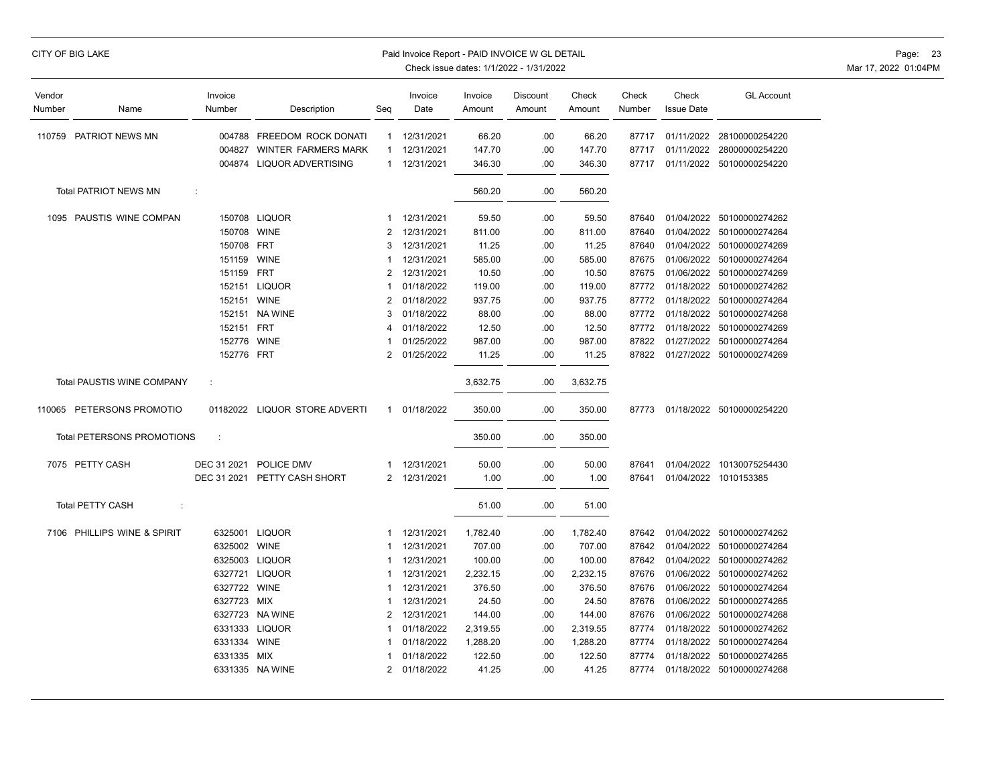|  |  |  | CITY OF BIG LAKE |
|--|--|--|------------------|
|--|--|--|------------------|

#### Paid Invoice Report - PAID INVOICE W GL DETAIL **Page: 23** Page: 23

| Vendor<br>Number | Name                              | Invoice<br>Number | Description                   | Seg            | Invoice<br>Date | Invoice<br>Amount | Discount<br>Amount | Check<br>Amount | Check<br>Number | Check<br><b>Issue Date</b> | <b>GL Account</b>         |
|------------------|-----------------------------------|-------------------|-------------------------------|----------------|-----------------|-------------------|--------------------|-----------------|-----------------|----------------------------|---------------------------|
|                  | 110759 PATRIOT NEWS MN            | 004788            | FREEDOM ROCK DONATI           | $\mathbf{1}$   | 12/31/2021      | 66.20             | .00                | 66.20           | 87717           | 01/11/2022                 | 28100000254220            |
|                  |                                   | 004827            | <b>WINTER FARMERS MARK</b>    | $\mathbf{1}$   | 12/31/2021      | 147.70            | .00                | 147.70          | 87717           | 01/11/2022                 | 28000000254220            |
|                  |                                   | 004874            | <b>LIQUOR ADVERTISING</b>     | $\mathbf{1}$   | 12/31/2021      | 346.30            | .00                | 346.30          | 87717           |                            | 01/11/2022 50100000254220 |
|                  |                                   |                   |                               |                |                 |                   |                    |                 |                 |                            |                           |
|                  | <b>Total PATRIOT NEWS MN</b>      | ÷                 |                               |                |                 | 560.20            | .00                | 560.20          |                 |                            |                           |
| 1095             | PAUSTIS WINE COMPAN               |                   | 150708 LIQUOR                 | 1              | 12/31/2021      | 59.50             | .00                | 59.50           | 87640           | 01/04/2022                 | 50100000274262            |
|                  |                                   | 150708 WINE       |                               | 2              | 12/31/2021      | 811.00            | .00                | 811.00          | 87640           | 01/04/2022                 | 50100000274264            |
|                  |                                   | 150708            | <b>FRT</b>                    | 3              | 12/31/2021      | 11.25             | .00                | 11.25           | 87640           | 01/04/2022                 | 50100000274269            |
|                  |                                   | 151159            | <b>WINE</b>                   | 1              | 12/31/2021      | 585.00            | .00                | 585.00          | 87675           |                            | 01/06/2022 50100000274264 |
|                  |                                   | 151159            | <b>FRT</b>                    | 2              | 12/31/2021      | 10.50             | .00                | 10.50           | 87675           | 01/06/2022                 | 50100000274269            |
|                  |                                   |                   | 152151 LIQUOR                 |                | 01/18/2022      | 119.00            | .00                | 119.00          | 87772           |                            | 01/18/2022 50100000274262 |
|                  |                                   | 152151            | <b>WINE</b>                   | $\overline{2}$ | 01/18/2022      | 937.75            | .00                | 937.75          | 87772           |                            | 01/18/2022 50100000274264 |
|                  |                                   | 152151            | <b>NA WINE</b>                | 3              | 01/18/2022      | 88.00             | .00                | 88.00           | 87772           | 01/18/2022                 | 50100000274268            |
|                  |                                   | 152151 FRT        |                               | 4              | 01/18/2022      | 12.50             | .00                | 12.50           | 87772           |                            | 01/18/2022 50100000274269 |
|                  |                                   | 152776            | <b>WINE</b>                   | 1              | 01/25/2022      | 987.00            | .00                | 987.00          | 87822           | 01/27/2022                 | 50100000274264            |
|                  |                                   | 152776 FRT        |                               | 2              | 01/25/2022      | 11.25             | .00                | 11.25           | 87822           |                            | 01/27/2022 50100000274269 |
|                  | Total PAUSTIS WINE COMPANY        | ÷                 |                               |                |                 | 3,632.75          | .00                | 3,632.75        |                 |                            |                           |
|                  | 110065 PETERSONS PROMOTIO         |                   | 01182022 LIQUOR STORE ADVERTI | $\mathbf{1}$   | 01/18/2022      | 350.00            | .00                | 350.00          | 87773           |                            | 01/18/2022 50100000254220 |
|                  | <b>Total PETERSONS PROMOTIONS</b> | ÷                 |                               |                |                 | 350.00            | .00                | 350.00          |                 |                            |                           |
|                  | 7075 PETTY CASH                   | DEC 31 2021       | POLICE DMV                    | 1              | 12/31/2021      | 50.00             | .00                | 50.00           | 87641           |                            | 01/04/2022 10130075254430 |
|                  |                                   | DEC 31 2021       | PETTY CASH SHORT              | $\overline{c}$ | 12/31/2021      | 1.00              | .00                | 1.00            | 87641           |                            | 01/04/2022 1010153385     |
|                  | <b>Total PETTY CASH</b><br>÷      |                   |                               |                |                 | 51.00             | .00                | 51.00           |                 |                            |                           |
|                  | 7106 PHILLIPS WINE & SPIRIT       |                   | 6325001 LIQUOR                | 1              | 12/31/2021      | 1,782.40          | .00                | 1,782.40        | 87642           | 01/04/2022                 | 50100000274262            |
|                  |                                   | 6325002 WINE      |                               | 1              | 12/31/2021      | 707.00            | .00                | 707.00          | 87642           |                            | 01/04/2022 50100000274264 |
|                  |                                   |                   | 6325003 LIQUOR                | $\mathbf{1}$   | 12/31/2021      | 100.00            | .00                | 100.00          | 87642           | 01/04/2022                 | 50100000274262            |
|                  |                                   |                   | 6327721 LIQUOR                | 1              | 12/31/2021      | 2,232.15          | .00                | 2,232.15        | 87676           |                            | 01/06/2022 50100000274262 |
|                  |                                   | 6327722 WINE      |                               | 1              | 12/31/2021      | 376.50            | .00                | 376.50          | 87676           |                            | 01/06/2022 50100000274264 |
|                  |                                   | 6327723 MIX       |                               | 1              | 12/31/2021      | 24.50             | .00                | 24.50           | 87676           | 01/06/2022                 | 50100000274265            |
|                  |                                   |                   | 6327723 NA WINE               | 2              | 12/31/2021      | 144.00            | .00                | 144.00          | 87676           |                            | 01/06/2022 50100000274268 |
|                  |                                   |                   | 6331333 LIQUOR                | 1              | 01/18/2022      | 2,319.55          | .00                | 2,319.55        | 87774           | 01/18/2022                 | 50100000274262            |
|                  |                                   | 6331334           | <b>WINE</b>                   | 1              | 01/18/2022      | 1,288.20          | .00                | 1,288.20        | 87774           |                            | 01/18/2022 50100000274264 |
|                  |                                   | 6331335 MIX       |                               | 1              | 01/18/2022      | 122.50            | .00                | 122.50          | 87774           | 01/18/2022                 | 50100000274265            |
|                  |                                   |                   | 6331335 NA WINE               | 2              | 01/18/2022      | 41.25             | .00                | 41.25           | 87774           |                            | 01/18/2022 50100000274268 |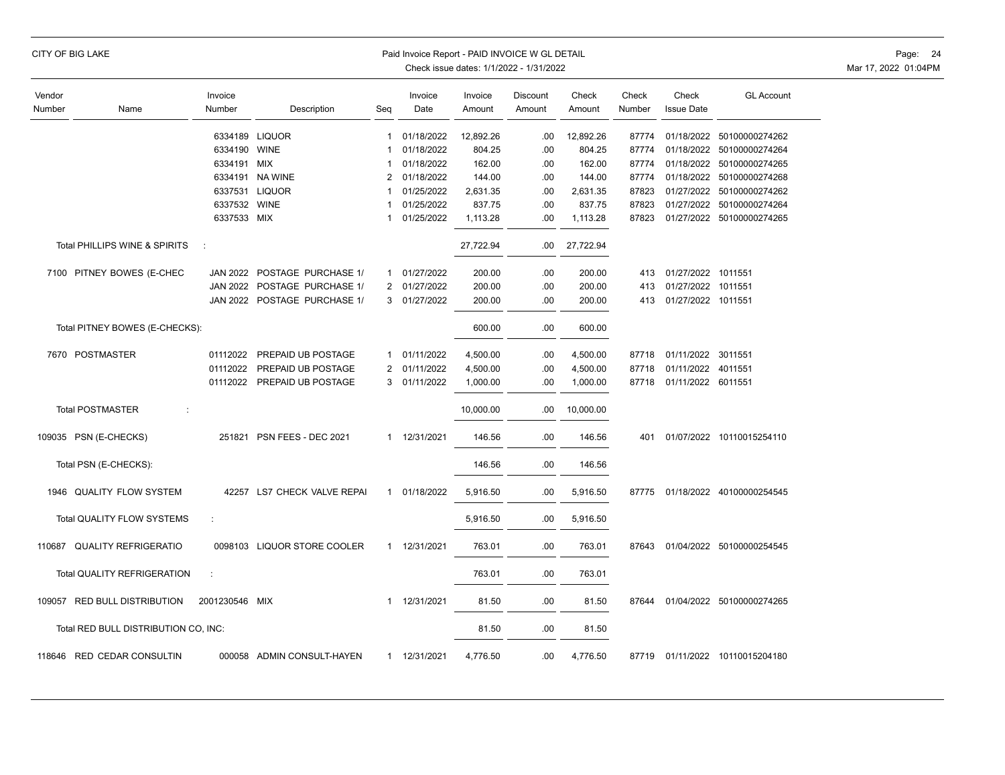|                  | CITY OF BIG LAKE                                |                      |                              |              | Paid Invoice Report - PAID INVOICE W GL DETAIL |                   | Check issue dates: 1/1/2022 - 1/31/2022 |                 |                 |                            |                                 | Page: 24<br>Mar 17, 2022 01:04PM |
|------------------|-------------------------------------------------|----------------------|------------------------------|--------------|------------------------------------------------|-------------------|-----------------------------------------|-----------------|-----------------|----------------------------|---------------------------------|----------------------------------|
| Vendor<br>Number | Name                                            | Invoice<br>Number    | Description                  | Seg          | Invoice<br>Date                                | Invoice<br>Amount | Discount<br>Amount                      | Check<br>Amount | Check<br>Number | Check<br><b>Issue Date</b> | <b>GL Account</b>               |                                  |
|                  |                                                 |                      | 6334189 LIQUOR               | $\mathbf{1}$ | 01/18/2022                                     | 12,892.26         | .00                                     | 12,892.26       | 87774           |                            | 01/18/2022 50100000274262       |                                  |
|                  |                                                 | 6334190 WINE         |                              | -1           | 01/18/2022                                     | 804.25            | .00                                     | 804.25          | 87774           |                            | 01/18/2022 50100000274264       |                                  |
|                  |                                                 | 6334191 MIX          |                              | -1           | 01/18/2022                                     | 162.00            | .00.                                    | 162.00          |                 |                            | 87774 01/18/2022 50100000274265 |                                  |
|                  |                                                 |                      | 6334191 NA WINE              | 2            | 01/18/2022                                     | 144.00            | .00.                                    | 144.00          | 87774           |                            | 01/18/2022 50100000274268       |                                  |
|                  |                                                 |                      | 6337531 LIQUOR               | $\mathbf 1$  | 01/25/2022                                     | 2,631.35          | .00                                     | 2,631.35        | 87823           |                            | 01/27/2022 50100000274262       |                                  |
|                  |                                                 | 6337532 WINE         |                              | 1            | 01/25/2022                                     | 837.75            | .00                                     | 837.75          | 87823           |                            | 01/27/2022 50100000274264       |                                  |
|                  |                                                 | 6337533 MIX          |                              | 1            | 01/25/2022                                     | 1,113.28          | .00                                     | 1,113.28        |                 |                            | 87823 01/27/2022 50100000274265 |                                  |
|                  | Total PHILLIPS WINE & SPIRITS                   | $\ddot{\phantom{a}}$ |                              |              |                                                | 27,722.94         | .00                                     | 27,722.94       |                 |                            |                                 |                                  |
|                  | 7100 PITNEY BOWES (E-CHEC                       |                      | JAN 2022 POSTAGE PURCHASE 1/ | $\mathbf{1}$ | 01/27/2022                                     | 200.00            | .00                                     | 200.00          | 413             | 01/27/2022 1011551         |                                 |                                  |
|                  |                                                 |                      | JAN 2022 POSTAGE PURCHASE 1/ |              | 2 01/27/2022                                   | 200.00            | .00                                     | 200.00          | 413             | 01/27/2022 1011551         |                                 |                                  |
|                  |                                                 |                      | JAN 2022 POSTAGE PURCHASE 1/ |              | 3 01/27/2022                                   | 200.00            | .00                                     | 200.00          |                 | 413 01/27/2022 1011551     |                                 |                                  |
|                  | Total PITNEY BOWES (E-CHECKS):                  |                      |                              |              |                                                | 600.00            | .00                                     | 600.00          |                 |                            |                                 |                                  |
|                  | 7670 POSTMASTER                                 | 01112022             | PREPAID UB POSTAGE           | $\mathbf{1}$ | 01/11/2022                                     | 4,500.00          | .00                                     | 4,500.00        |                 | 87718 01/11/2022 3011551   |                                 |                                  |
|                  |                                                 | 01112022             | PREPAID UB POSTAGE           |              | 2 01/11/2022                                   | 4,500.00          | .00                                     | 4,500.00        |                 | 87718 01/11/2022 4011551   |                                 |                                  |
|                  |                                                 |                      | 01112022 PREPAID UB POSTAGE  | 3            | 01/11/2022                                     | 1,000.00          | .00                                     | 1,000.00        |                 | 87718 01/11/2022 6011551   |                                 |                                  |
|                  | <b>Total POSTMASTER</b><br>$\ddot{\phantom{a}}$ |                      |                              |              |                                                | 10,000.00         | .00                                     | 10,000.00       |                 |                            |                                 |                                  |
|                  | 109035 PSN (E-CHECKS)                           |                      | 251821 PSN FEES - DEC 2021   | $\mathbf{1}$ | 12/31/2021                                     | 146.56            | .00                                     | 146.56          | 401             |                            | 01/07/2022 10110015254110       |                                  |
|                  | Total PSN (E-CHECKS):                           |                      |                              |              |                                                | 146.56            | .00                                     | 146.56          |                 |                            |                                 |                                  |
|                  | 1946 QUALITY FLOW SYSTEM                        |                      | 42257 LS7 CHECK VALVE REPAI  |              | 1 01/18/2022                                   | 5,916.50          | .00                                     | 5,916.50        |                 |                            | 87775 01/18/2022 40100000254545 |                                  |
|                  | Total QUALITY FLOW SYSTEMS                      |                      |                              |              |                                                | 5,916.50          | .00                                     | 5,916.50        |                 |                            |                                 |                                  |
|                  | 110687 QUALITY REFRIGERATIO                     |                      | 0098103 LIQUOR STORE COOLER  | $\mathbf{1}$ | 12/31/2021                                     | 763.01            | .00                                     | 763.01          |                 |                            | 87643 01/04/2022 50100000254545 |                                  |
|                  | Total QUALITY REFRIGERATION                     | $\mathcal{L}$        |                              |              |                                                | 763.01            | .00                                     | 763.01          |                 |                            |                                 |                                  |
|                  | 109057 RED BULL DISTRIBUTION                    | 2001230546 MIX       |                              | $\mathbf{1}$ | 12/31/2021                                     | 81.50             | .00                                     | 81.50           |                 |                            | 87644 01/04/2022 50100000274265 |                                  |
|                  | Total RED BULL DISTRIBUTION CO, INC:            |                      |                              |              |                                                | 81.50             | .00                                     | 81.50           |                 |                            |                                 |                                  |
|                  | 118646 RED CEDAR CONSULTIN                      |                      | 000058 ADMIN CONSULT-HAYEN   |              | 1 12/31/2021                                   | 4,776.50          | .00                                     | 4,776.50        |                 |                            | 87719 01/11/2022 10110015204180 |                                  |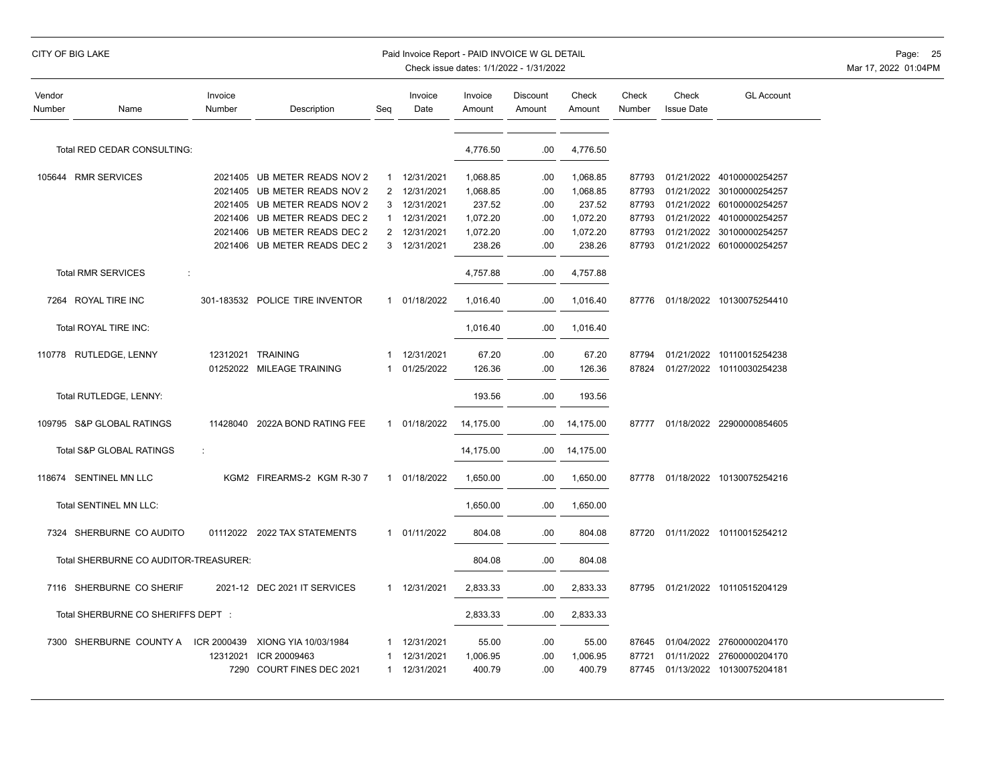| Vendor<br>Number | Name                                  | Invoice<br>Number | Description                     | Seq          | Invoice<br>Date | Invoice<br>Amount | Discount<br>Amount | Check<br>Amount | Check<br>Number | Check<br><b>Issue Date</b> | <b>GL Account</b>         |
|------------------|---------------------------------------|-------------------|---------------------------------|--------------|-----------------|-------------------|--------------------|-----------------|-----------------|----------------------------|---------------------------|
|                  | Total RED CEDAR CONSULTING:           |                   |                                 |              |                 | 4,776.50          | .00                | 4,776.50        |                 |                            |                           |
|                  |                                       |                   |                                 |              |                 |                   |                    |                 |                 |                            |                           |
|                  | 105644 RMR SERVICES                   | 2021405           | UB METER READS NOV 2            | $\mathbf{1}$ | 12/31/2021      | 1,068.85          | .00                | 1,068.85        | 87793           | 01/21/2022                 | 40100000254257            |
|                  |                                       | 2021405           | UB METER READS NOV 2            | 2            | 12/31/2021      | 1,068.85          | .00                | 1,068.85        | 87793           | 01/21/2022                 | 30100000254257            |
|                  |                                       | 2021405           | UB METER READS NOV 2            | 3            | 12/31/2021      | 237.52            | .00                | 237.52          | 87793           | 01/21/2022                 | 60100000254257            |
|                  |                                       | 2021406           | UB METER READS DEC 2            | -1           | 12/31/2021      | 1,072.20          | .00                | 1,072.20        | 87793           | 01/21/2022                 | 40100000254257            |
|                  |                                       | 2021406           | UB METER READS DEC 2            | 2            | 12/31/2021      | 1,072.20          | .00                | 1,072.20        | 87793           | 01/21/2022                 | 30100000254257            |
|                  |                                       | 2021406           | UB METER READS DEC 2            | 3            | 12/31/2021      | 238.26            | .00                | 238.26          | 87793           | 01/21/2022                 | 60100000254257            |
|                  | <b>Total RMR SERVICES</b><br>÷        |                   |                                 |              |                 | 4,757.88          | .00                | 4,757.88        |                 |                            |                           |
|                  | 7264 ROYAL TIRE INC                   |                   | 301-183532 POLICE TIRE INVENTOR |              | 1 01/18/2022    | 1,016.40          | .00                | 1,016.40        | 87776           |                            | 01/18/2022 10130075254410 |
|                  | Total ROYAL TIRE INC:                 |                   |                                 |              |                 | 1,016.40          | .00                | 1,016.40        |                 |                            |                           |
|                  | 110778 RUTLEDGE, LENNY                |                   | 12312021 TRAINING               | -1           | 12/31/2021      | 67.20             | .00                | 67.20           | 87794           | 01/21/2022                 | 10110015254238            |
|                  |                                       |                   | 01252022 MILEAGE TRAINING       | 1            | 01/25/2022      | 126.36            | .00                | 126.36          | 87824           |                            | 01/27/2022 10110030254238 |
|                  | Total RUTLEDGE, LENNY:                |                   |                                 |              |                 | 193.56            | .00                | 193.56          |                 |                            |                           |
|                  |                                       |                   |                                 |              |                 |                   |                    |                 |                 |                            |                           |
|                  | 109795 S&P GLOBAL RATINGS             | 11428040          | 2022A BOND RATING FEE           | $\mathbf{1}$ | 01/18/2022      | 14,175.00         | .00                | 14,175.00       | 87777           |                            | 01/18/2022 22900000854605 |
|                  | Total S&P GLOBAL RATINGS              | ÷                 |                                 |              |                 | 14,175.00         | .00                | 14,175.00       |                 |                            |                           |
|                  | 118674 SENTINEL MN LLC                |                   | KGM2 FIREARMS-2 KGM R-30 7      | $\mathbf{1}$ | 01/18/2022      | 1,650.00          | .00                | 1,650.00        | 87778           |                            | 01/18/2022 10130075254216 |
|                  | Total SENTINEL MN LLC:                |                   |                                 |              |                 | 1,650.00          | .00                | 1,650.00        |                 |                            |                           |
|                  | 7324 SHERBURNE CO AUDITO              |                   | 01112022 2022 TAX STATEMENTS    | 1            | 01/11/2022      | 804.08            | .00                | 804.08          | 87720           | 01/11/2022                 | 10110015254212            |
|                  | Total SHERBURNE CO AUDITOR-TREASURER: |                   |                                 |              |                 | 804.08            | .00                | 804.08          |                 |                            |                           |
|                  | 7116 SHERBURNE CO SHERIF              |                   | 2021-12 DEC 2021 IT SERVICES    |              | 1 12/31/2021    | 2,833.33          | .00                | 2,833.33        | 87795           |                            | 01/21/2022 10110515204129 |
|                  | Total SHERBURNE CO SHERIFFS DEPT :    |                   |                                 |              |                 | 2,833.33          | .00                | 2,833.33        |                 |                            |                           |
|                  |                                       |                   |                                 |              |                 |                   |                    |                 |                 |                            |                           |
|                  | 7300 SHERBURNE COUNTY A               | ICR 2000439       | XIONG YIA 10/03/1984            |              | 12/31/2021      | 55.00             | .00                | 55.00           | 87645           |                            | 01/04/2022 27600000204170 |
|                  |                                       | 12312021          | ICR 20009463                    |              | 12/31/2021      | 1,006.95          | .00                | 1,006.95        | 87721           | 01/11/2022                 | 27600000204170            |
|                  |                                       | 7290              | COURT FINES DEC 2021            | 1            | 12/31/2021      | 400.79            | .00                | 400.79          | 87745           |                            | 01/13/2022 10130075204181 |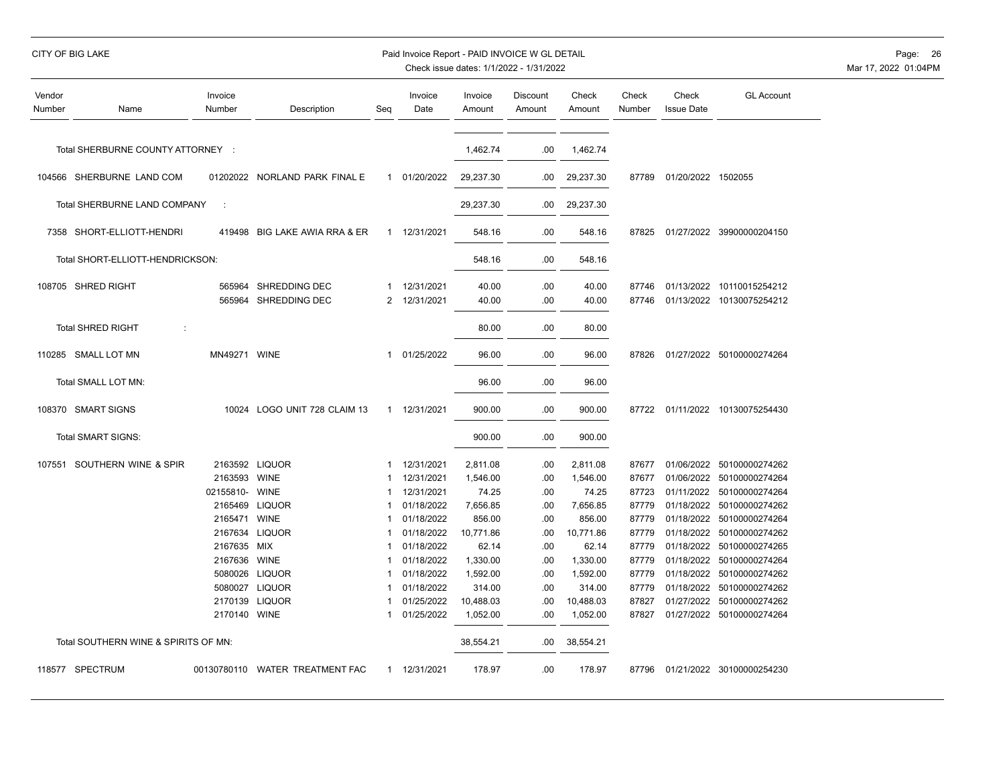|  | CITY OF BIG LAKE |  |
|--|------------------|--|
|  |                  |  |

# Paid Invoice Report - PAID INVOICE W GL DETAIL **Page:** 26

| Vendor<br>Number | Name                                 | Invoice<br>Number | Description                                  | Seg            | Invoice<br>Date          | Invoice<br>Amount | Discount<br>Amount | Check<br>Amount | Check<br>Number | Check<br><b>Issue Date</b> | <b>GL Account</b>                                      |
|------------------|--------------------------------------|-------------------|----------------------------------------------|----------------|--------------------------|-------------------|--------------------|-----------------|-----------------|----------------------------|--------------------------------------------------------|
|                  | Total SHERBURNE COUNTY ATTORNEY :    |                   |                                              |                |                          | 1,462.74          | .00                | 1,462.74        |                 |                            |                                                        |
|                  | 104566 SHERBURNE LAND COM            |                   | 01202022 NORLAND PARK FINAL E                |                | 1 01/20/2022             | 29,237.30         | .00                | 29,237.30       | 87789           | 01/20/2022 1502055         |                                                        |
|                  | Total SHERBURNE LAND COMPANY         | ÷                 |                                              |                |                          | 29,237.30         | .00                | 29,237.30       |                 |                            |                                                        |
|                  | 7358 SHORT-ELLIOTT-HENDRI            | 419498            | BIG LAKE AWIA RRA & ER                       |                | 1 12/31/2021             | 548.16            | .00                | 548.16          | 87825           |                            | 01/27/2022 39900000204150                              |
|                  | Total SHORT-ELLIOTT-HENDRICKSON:     |                   |                                              |                |                          | 548.16            | .00                | 548.16          |                 |                            |                                                        |
|                  | 108705 SHRED RIGHT                   |                   | 565964 SHREDDING DEC<br>565964 SHREDDING DEC | $\overline{2}$ | 12/31/2021<br>12/31/2021 | 40.00<br>40.00    | .00<br>.00         | 40.00<br>40.00  | 87746<br>87746  |                            | 01/13/2022 10110015254212<br>01/13/2022 10130075254212 |
|                  | <b>Total SHRED RIGHT</b><br>÷        |                   |                                              |                |                          | 80.00             | .00                | 80.00           |                 |                            |                                                        |
|                  | 110285 SMALL LOT MN                  | MN49271 WINE      |                                              | $\mathbf{1}$   | 01/25/2022               | 96.00             | .00                | 96.00           | 87826           |                            | 01/27/2022 50100000274264                              |
|                  | Total SMALL LOT MN:                  |                   |                                              |                |                          | 96.00             | .00                | 96.00           |                 |                            |                                                        |
|                  | 108370 SMART SIGNS                   |                   | 10024 LOGO UNIT 728 CLAIM 13                 |                | 1 12/31/2021             | 900.00            | .00                | 900.00          |                 |                            | 87722 01/11/2022 10130075254430                        |
|                  | Total SMART SIGNS:                   |                   |                                              |                |                          | 900.00            | .00                | 900.00          |                 |                            |                                                        |
|                  | 107551 SOUTHERN WINE & SPIR          |                   | 2163592 LIQUOR                               | 1              | 12/31/2021               | 2,811.08          | .00                | 2,811.08        | 87677           |                            | 01/06/2022 50100000274262                              |
|                  |                                      | 2163593 WINE      |                                              |                | 12/31/2021               | 1,546.00          | .00                | 1,546.00        | 87677           | 01/06/2022                 | 50100000274264                                         |
|                  |                                      | 02155810- WINE    |                                              |                | 12/31/2021               | 74.25             | .00                | 74.25           | 87723           |                            | 01/11/2022 50100000274264                              |
|                  |                                      | 2165469           | <b>LIQUOR</b>                                |                | 01/18/2022               | 7,656.85          | .00                | 7,656.85        | 87779           |                            | 01/18/2022 50100000274262                              |
|                  |                                      | 2165471           | <b>WINE</b>                                  | 1              | 01/18/2022               | 856.00            | .00                | 856.00          | 87779           | 01/18/2022                 | 50100000274264                                         |
|                  |                                      | 2167634           | <b>LIQUOR</b>                                |                | 01/18/2022               | 10,771.86         | .00                | 10,771.86       | 87779           | 01/18/2022                 | 50100000274262                                         |
|                  |                                      | 2167635 MIX       |                                              |                | 01/18/2022               | 62.14             | .00                | 62.14           | 87779           |                            | 01/18/2022 50100000274265                              |
|                  |                                      | 2167636           | <b>WINE</b>                                  | 1              | 01/18/2022               | 1,330.00          | .00                | 1,330.00        | 87779           | 01/18/2022                 | 50100000274264                                         |
|                  |                                      |                   | 5080026 LIQUOR                               |                | 01/18/2022               | 1,592.00          | .00                | 1,592.00        | 87779           | 01/18/2022                 | 50100000274262                                         |
|                  |                                      | 5080027           | <b>LIQUOR</b>                                |                | 01/18/2022               | 314.00            | .00                | 314.00          | 87779           | 01/18/2022                 | 50100000274262                                         |
|                  |                                      | 2170139           | <b>LIQUOR</b>                                |                | 01/25/2022               | 10,488.03         | .00                | 10,488.03       | 87827           |                            | 01/27/2022 50100000274262                              |
|                  |                                      | 2170140           | WINE                                         | 1              | 01/25/2022               | 1,052.00          | .00                | 1,052.00        | 87827           |                            | 01/27/2022 50100000274264                              |
|                  | Total SOUTHERN WINE & SPIRITS OF MN: |                   |                                              |                |                          | 38,554.21         | .00                | 38,554.21       |                 |                            |                                                        |
|                  | 118577 SPECTRUM                      |                   | 00130780110 WATER TREATMENT FAC              |                | 1 12/31/2021             | 178.97            | .00                | 178.97          | 87796           |                            | 01/21/2022 30100000254230                              |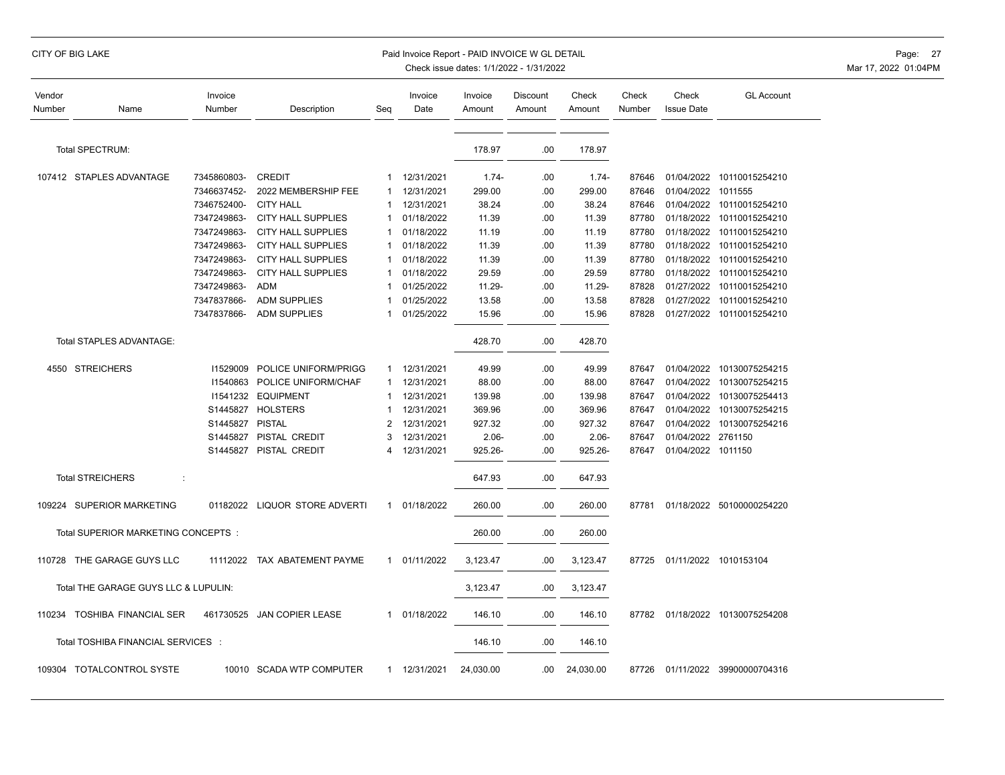| Vendor<br>Number | Name                                 | Invoice<br>Number | Description               | Seg | Invoice<br>Date | Invoice<br>Amount | Discount<br>Amount | Check<br>Amount | Check<br>Number | Check<br><b>Issue Date</b> | <b>GL Account</b>         |
|------------------|--------------------------------------|-------------------|---------------------------|-----|-----------------|-------------------|--------------------|-----------------|-----------------|----------------------------|---------------------------|
|                  | Total SPECTRUM:                      |                   |                           |     |                 | 178.97            | .00                | 178.97          |                 |                            |                           |
|                  | 107412 STAPLES ADVANTAGE             | 7345860803-       | <b>CREDIT</b>             | 1   | 12/31/2021      | $1.74 -$          | .00                | $1.74 -$        | 87646           |                            | 01/04/2022 10110015254210 |
|                  |                                      | 7346637452-       | 2022 MEMBERSHIP FEE       |     | 12/31/2021      | 299.00            | .00                | 299.00          | 87646           | 01/04/2022 1011555         |                           |
|                  |                                      | 7346752400-       | <b>CITY HALL</b>          | 1   | 12/31/2021      | 38.24             | .00                | 38.24           | 87646           |                            | 01/04/2022 10110015254210 |
|                  |                                      | 7347249863-       | <b>CITY HALL SUPPLIES</b> |     | 01/18/2022      | 11.39             | .00                | 11.39           | 87780           | 01/18/2022                 | 10110015254210            |
|                  |                                      | 7347249863-       | <b>CITY HALL SUPPLIES</b> | 1   | 01/18/2022      | 11.19             | .00                | 11.19           | 87780           | 01/18/2022                 | 10110015254210            |
|                  |                                      | 7347249863-       | <b>CITY HALL SUPPLIES</b> |     | 01/18/2022      | 11.39             | .00                | 11.39           | 87780           | 01/18/2022                 | 10110015254210            |
|                  |                                      | 7347249863-       | <b>CITY HALL SUPPLIES</b> |     | 01/18/2022      | 11.39             | .00                | 11.39           | 87780           |                            | 01/18/2022 10110015254210 |
|                  |                                      | 7347249863-       | <b>CITY HALL SUPPLIES</b> | 1   | 01/18/2022      | 29.59             | .00                | 29.59           | 87780           | 01/18/2022                 | 10110015254210            |
|                  |                                      | 7347249863-       | <b>ADM</b>                |     | 01/25/2022      | 11.29-            | .00                | 11.29-          | 87828           |                            | 01/27/2022 10110015254210 |
|                  |                                      | 7347837866-       | <b>ADM SUPPLIES</b>       |     | 01/25/2022      | 13.58             | .00                | 13.58           | 87828           | 01/27/2022                 | 10110015254210            |
|                  |                                      | 7347837866-       | <b>ADM SUPPLIES</b>       |     | 01/25/2022      | 15.96             | .00                | 15.96           | 87828           |                            | 01/27/2022 10110015254210 |
|                  | Total STAPLES ADVANTAGE:             |                   |                           |     |                 | 428.70            | .00                | 428.70          |                 |                            |                           |
|                  | 4550 STREICHERS                      | 11529009          | POLICE UNIFORM/PRIGG      | 1   | 12/31/2021      | 49.99             | .00                | 49.99           | 87647           | 01/04/2022                 | 10130075254215            |
|                  |                                      | 11540863          | POLICE UNIFORM/CHAF       | 1   | 12/31/2021      | 88.00             | .00                | 88.00           | 87647           | 01/04/2022                 | 10130075254215            |
|                  |                                      | 11541232          | <b>EQUIPMENT</b>          |     | 12/31/2021      | 139.98            | .00                | 139.98          | 87647           | 01/04/2022                 | 10130075254413            |
|                  |                                      | S1445827          | <b>HOLSTERS</b>           |     | 12/31/2021      | 369.96            | .00                | 369.96          | 87647           | 01/04/2022                 | 10130075254215            |
|                  |                                      | S1445827          | <b>PISTAL</b>             | 2   | 12/31/2021      | 927.32            | .00                | 927.32          | 87647           | 01/04/2022                 | 10130075254216            |
|                  |                                      | S1445827          | PISTAL CREDIT             | 3   | 12/31/2021      | $2.06 -$          | .00                | $2.06 -$        | 87647           | 01/04/2022 2761150         |                           |
|                  |                                      | S1445827          | PISTAL CREDIT             | 4   | 12/31/2021      | 925.26-           | .00                | 925.26-         | 87647           | 01/04/2022 1011150         |                           |
|                  | <b>Total STREICHERS</b><br>÷         |                   |                           |     |                 | 647.93            | .00                | 647.93          |                 |                            |                           |
|                  | 109224 SUPERIOR MARKETING            | 01182022          | LIQUOR STORE ADVERTI      | 1   | 01/18/2022      | 260.00            | .00                | 260.00          | 87781           |                            | 01/18/2022 50100000254220 |
|                  | Total SUPERIOR MARKETING CONCEPTS:   |                   |                           |     |                 | 260.00            | .00                | 260.00          |                 |                            |                           |
|                  | 110728 THE GARAGE GUYS LLC           | 11112022          | TAX ABATEMENT PAYME       | 1   | 01/11/2022      | 3,123.47          | .00                | 3,123.47        | 87725           |                            | 01/11/2022 1010153104     |
|                  | Total THE GARAGE GUYS LLC & LUPULIN: |                   |                           |     |                 | 3,123.47          | .00                | 3,123.47        |                 |                            |                           |
|                  | 110234 TOSHIBA FINANCIAL SER         | 461730525         | <b>JAN COPIER LEASE</b>   | 1   | 01/18/2022      | 146.10            | .00                | 146.10          | 87782           |                            | 01/18/2022 10130075254208 |
|                  | Total TOSHIBA FINANCIAL SERVICES :   |                   |                           |     |                 | 146.10            | .00                | 146.10          |                 |                            |                           |
|                  | 109304 TOTALCONTROL SYSTE            |                   | 10010 SCADA WTP COMPUTER  | 1   | 12/31/2021      | 24,030.00         | .00                | 24,030.00       | 87726           |                            | 01/11/2022 39900000704316 |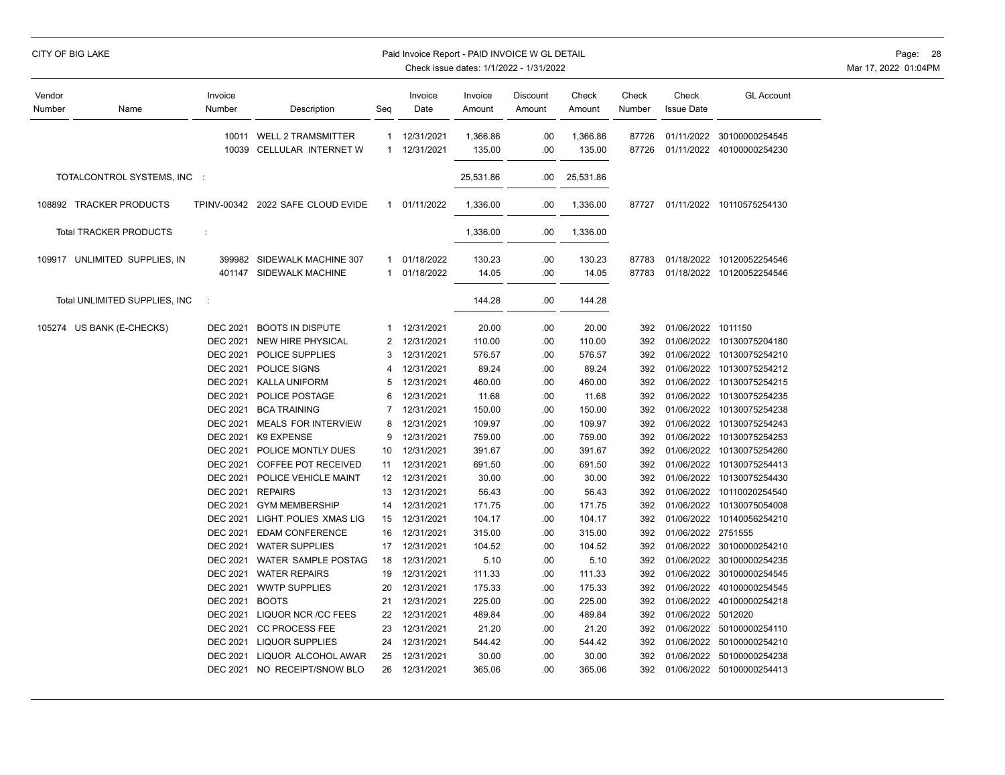| Vendor<br>Number | Name                          | Invoice<br>Number | Description                                            | Seg               | Invoice<br>Date          | Invoice<br>Amount  | Discount<br>Amount | Check<br>Amount    | Check<br>Number | Check<br><b>Issue Date</b> | <b>GL Account</b>                           |
|------------------|-------------------------------|-------------------|--------------------------------------------------------|-------------------|--------------------------|--------------------|--------------------|--------------------|-----------------|----------------------------|---------------------------------------------|
|                  |                               | 10039             | 10011 WELL 2 TRAMSMITTER<br>CELLULAR INTERNET W        | 1<br>$\mathbf{1}$ | 12/31/2021<br>12/31/2021 | 1,366.86<br>135.00 | .00.<br>.00        | 1,366.86<br>135.00 | 87726<br>87726  | 01/11/2022                 | 30100000254545<br>01/11/2022 40100000254230 |
|                  | TOTALCONTROL SYSTEMS, INC :   |                   |                                                        |                   |                          | 25,531.86          | .00                | 25,531.86          |                 |                            |                                             |
|                  | 108892 TRACKER PRODUCTS       |                   | TPINV-00342 2022 SAFE CLOUD EVIDE                      | $\mathbf{1}$      | 01/11/2022               | 1,336.00           | .00.               | 1,336.00           | 87727           |                            | 01/11/2022 10110575254130                   |
|                  | <b>Total TRACKER PRODUCTS</b> | ÷                 |                                                        |                   |                          | 1,336.00           | .00.               | 1,336.00           |                 |                            |                                             |
|                  | 109917 UNLIMITED SUPPLIES, IN |                   | 399982 SIDEWALK MACHINE 307<br>401147 SIDEWALK MACHINE | 1<br>$\mathbf{1}$ | 01/18/2022<br>01/18/2022 | 130.23<br>14.05    | .00.<br>.00.       | 130.23<br>14.05    | 87783<br>87783  | 01/18/2022<br>01/18/2022   | 10120052254546<br>10120052254546            |
|                  | Total UNLIMITED SUPPLIES, INC | ÷                 |                                                        |                   |                          | 144.28             | .00.               | 144.28             |                 |                            |                                             |
|                  | 105274 US BANK (E-CHECKS)     | <b>DEC 2021</b>   | <b>BOOTS IN DISPUTE</b>                                | $\overline{1}$    | 12/31/2021               | 20.00              | .00.               | 20.00              | 392             | 01/06/2022 1011150         |                                             |
|                  |                               | <b>DEC 2021</b>   | <b>NEW HIRE PHYSICAL</b>                               | $\overline{2}$    | 12/31/2021               | 110.00             | .00.               | 110.00             | 392             | 01/06/2022                 | 10130075204180                              |
|                  |                               | <b>DEC 2021</b>   | POLICE SUPPLIES                                        | 3                 | 12/31/2021               | 576.57             | .00.               | 576.57             | 392             | 01/06/2022                 | 10130075254210                              |
|                  |                               | <b>DEC 2021</b>   | POLICE SIGNS                                           | 4                 | 12/31/2021               | 89.24              | .00.               | 89.24              | 392             | 01/06/2022                 | 10130075254212                              |
|                  |                               | <b>DEC 2021</b>   | <b>KALLA UNIFORM</b>                                   | 5                 | 12/31/2021               | 460.00             | .00.               | 460.00             | 392             | 01/06/2022                 | 10130075254215                              |
|                  |                               | <b>DEC 2021</b>   | POLICE POSTAGE                                         | 6                 | 12/31/2021               | 11.68              | .00.               | 11.68              | 392             | 01/06/2022                 | 10130075254235                              |
|                  |                               | <b>DEC 2021</b>   | <b>BCA TRAINING</b>                                    | $\overline{7}$    | 12/31/2021               | 150.00             | .00                | 150.00             | 392             | 01/06/2022                 | 10130075254238                              |
|                  |                               | <b>DEC 2021</b>   | <b>MEALS FOR INTERVIEW</b>                             | 8                 | 12/31/2021               | 109.97             | .00.               | 109.97             | 392             | 01/06/2022                 | 10130075254243                              |
|                  |                               | <b>DEC 2021</b>   | K9 EXPENSE                                             | g                 | 12/31/2021               | 759.00             | .00                | 759.00             | 392             | 01/06/2022                 | 10130075254253                              |
|                  |                               | <b>DEC 2021</b>   | POLICE MONTLY DUES                                     | 10                | 12/31/2021               | 391.67             | .00.               | 391.67             | 392             | 01/06/2022                 | 10130075254260                              |
|                  |                               | <b>DEC 2021</b>   | COFFEE POT RECEIVED                                    | 11                | 12/31/2021               | 691.50             | .00.               | 691.50             | 392             | 01/06/2022                 | 10130075254413                              |
|                  |                               | <b>DEC 2021</b>   | POLICE VEHICLE MAINT                                   | 12                | 12/31/2021               | 30.00              | .00.               | 30.00              | 392             | 01/06/2022                 | 10130075254430                              |
|                  |                               | <b>DEC 2021</b>   | <b>REPAIRS</b>                                         | 13                | 12/31/2021               | 56.43              | .00.               | 56.43              | 392             | 01/06/2022                 | 10110020254540                              |
|                  |                               | <b>DEC 2021</b>   | <b>GYM MEMBERSHIP</b>                                  | 14                | 12/31/2021               | 171.75             | .00.               | 171.75             | 392             | 01/06/2022                 | 10130075054008                              |
|                  |                               | <b>DEC 2021</b>   | LIGHT POLIES XMAS LIG                                  | 15                | 12/31/2021               | 104.17             | .00.               | 104.17             | 392             | 01/06/2022                 | 10140056254210                              |
|                  |                               | <b>DEC 2021</b>   | <b>EDAM CONFERENCE</b>                                 | 16                | 12/31/2021               | 315.00             | .00.               | 315.00             | 392             | 01/06/2022                 | 2751555                                     |
|                  |                               | <b>DEC 2021</b>   | <b>WATER SUPPLIES</b>                                  | 17                | 12/31/2021               | 104.52             | .00.               | 104.52             | 392             | 01/06/2022                 | 30100000254210                              |
|                  |                               | <b>DEC 2021</b>   | WATER SAMPLE POSTAG                                    | 18                | 12/31/2021               | 5.10               | .00.               | 5.10               | 392             | 01/06/2022                 | 30100000254235                              |
|                  |                               | <b>DEC 2021</b>   | <b>WATER REPAIRS</b>                                   | 19                | 12/31/2021               | 111.33             | .00.               | 111.33             | 392             | 01/06/2022                 | 30100000254545                              |
|                  |                               | <b>DEC 2021</b>   | <b>WWTP SUPPLIES</b>                                   | 20                | 12/31/2021               | 175.33             | .00.               | 175.33             | 392             | 01/06/2022                 | 40100000254545                              |
|                  |                               | <b>DEC 2021</b>   | <b>BOOTS</b>                                           | 21                | 12/31/2021               | 225.00             | .00                | 225.00             | 392             | 01/06/2022                 | 40100000254218                              |
|                  |                               | <b>DEC 2021</b>   | LIQUOR NCR /CC FEES                                    | 22                | 12/31/2021               | 489.84             | .00.               | 489.84             | 392             | 01/06/2022                 | 5012020                                     |
|                  |                               | <b>DEC 2021</b>   | <b>CC PROCESS FEE</b>                                  | 23                | 12/31/2021               | 21.20              | .00.               | 21.20              | 392             | 01/06/2022                 | 50100000254110                              |
|                  |                               | <b>DEC 2021</b>   | <b>LIQUOR SUPPLIES</b>                                 | 24                | 12/31/2021               | 544.42             | .00.               | 544.42             | 392             | 01/06/2022                 | 50100000254210                              |
|                  |                               | <b>DEC 2021</b>   | LIQUOR ALCOHOL AWAR                                    | 25                | 12/31/2021               | 30.00              | .00                | 30.00              | 392             | 01/06/2022                 | 50100000254238                              |
|                  |                               | <b>DEC 2021</b>   | NO RECEIPT/SNOW BLO                                    | 26                | 12/31/2021               | 365.06             | .00.               | 365.06             | 392             | 01/06/2022                 | 50100000254413                              |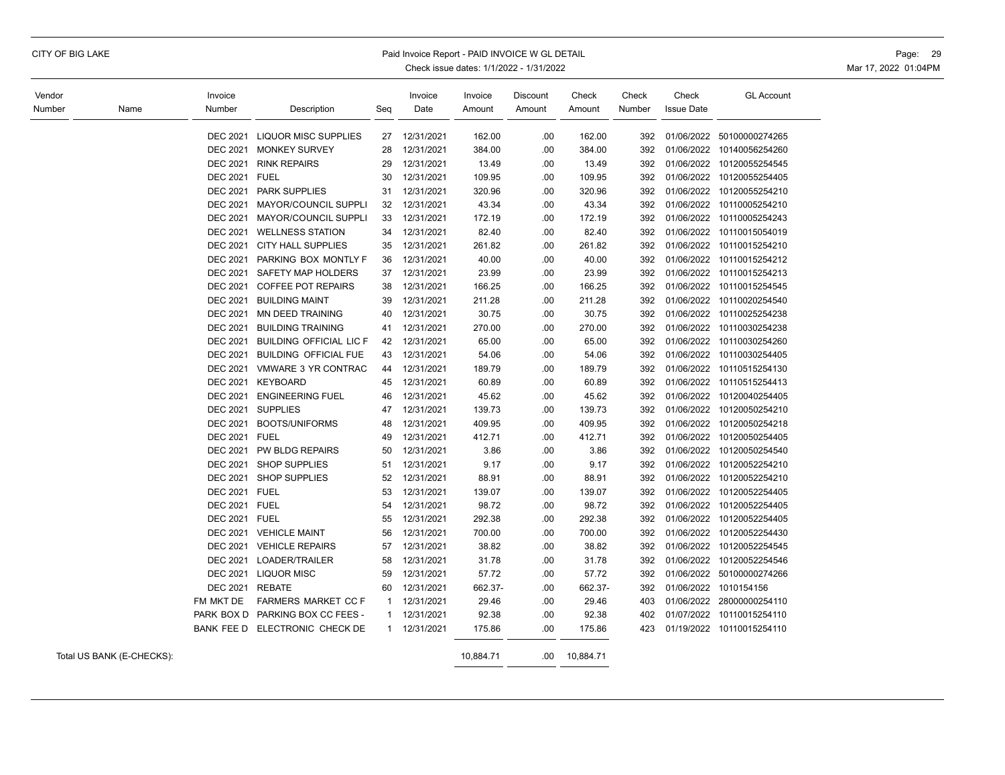| Vendor<br>Number<br>Name |                           | Invoice<br>Number                  | Description                      | Seq          | Invoice<br>Date | Invoice<br>Amount | Discount<br>Amount | Check<br>Amount | Check<br>Number | Check<br><b>Issue Date</b> | <b>GL Account</b>         |
|--------------------------|---------------------------|------------------------------------|----------------------------------|--------------|-----------------|-------------------|--------------------|-----------------|-----------------|----------------------------|---------------------------|
|                          |                           |                                    |                                  |              |                 |                   |                    |                 |                 |                            |                           |
|                          |                           |                                    | DEC 2021 LIQUOR MISC SUPPLIES    | 27           | 12/31/2021      | 162.00            | .00                | 162.00          | 392             |                            | 01/06/2022 50100000274265 |
|                          |                           | <b>DEC 2021</b><br><b>DEC 2021</b> | <b>MONKEY SURVEY</b>             | 28           | 12/31/2021      | 384.00            | .00                | 384.00          | 392             |                            | 01/06/2022 10140056254260 |
|                          |                           |                                    | <b>RINK REPAIRS</b>              | 29           | 12/31/2021      | 13.49             | .00                | 13.49           | 392             |                            | 01/06/2022 10120055254545 |
|                          |                           | DEC 2021 FUEL                      |                                  | 30           | 12/31/2021      | 109.95            | .00                | 109.95          | 392             | 01/06/2022                 | 10120055254405            |
|                          |                           | <b>DEC 2021</b>                    | <b>PARK SUPPLIES</b>             | 31           | 12/31/2021      | 320.96            | .00                | 320.96          | 392             | 01/06/2022                 | 10120055254210            |
|                          |                           | <b>DEC 2021</b>                    | MAYOR/COUNCIL SUPPLI             | 32           | 12/31/2021      | 43.34             | .00                | 43.34           | 392             | 01/06/2022                 | 10110005254210            |
|                          |                           | <b>DEC 2021</b>                    | MAYOR/COUNCIL SUPPLI             | 33           | 12/31/2021      | 172.19            | .00                | 172.19          | 392             | 01/06/2022                 | 10110005254243            |
|                          |                           | <b>DEC 2021</b>                    | <b>WELLNESS STATION</b>          | 34           | 12/31/2021      | 82.40             | .00                | 82.40           | 392             | 01/06/2022                 | 10110015054019            |
|                          |                           | <b>DEC 2021</b>                    | <b>CITY HALL SUPPLIES</b>        | 35           | 12/31/2021      | 261.82            | .00                | 261.82          | 392             |                            | 01/06/2022 10110015254210 |
|                          |                           | <b>DEC 2021</b>                    | PARKING BOX MONTLY F             | 36           | 12/31/2021      | 40.00             | .00                | 40.00           | 392             |                            | 01/06/2022 10110015254212 |
|                          |                           | <b>DEC 2021</b>                    | SAFETY MAP HOLDERS               | 37           | 12/31/2021      | 23.99             | .00                | 23.99           | 392             | 01/06/2022                 | 10110015254213            |
|                          |                           | <b>DEC 2021</b>                    | <b>COFFEE POT REPAIRS</b>        | 38           | 12/31/2021      | 166.25            | .00                | 166.25          | 392             | 01/06/2022                 | 10110015254545            |
|                          |                           | <b>DEC 2021</b>                    | <b>BUILDING MAINT</b>            | 39           | 12/31/2021      | 211.28            | .00                | 211.28          | 392             | 01/06/2022                 | 10110020254540            |
|                          |                           | <b>DEC 2021</b>                    | <b>MN DEED TRAINING</b>          | 40           | 12/31/2021      | 30.75             | .00                | 30.75           | 392             | 01/06/2022                 | 10110025254238            |
|                          |                           | <b>DEC 2021</b>                    | <b>BUILDING TRAINING</b>         | 41           | 12/31/2021      | 270.00            | .00                | 270.00          | 392             | 01/06/2022                 | 10110030254238            |
|                          |                           | <b>DEC 2021</b>                    | <b>BUILDING OFFICIAL LIC F</b>   | 42           | 12/31/2021      | 65.00             | .00                | 65.00           | 392             | 01/06/2022                 | 10110030254260            |
|                          |                           | <b>DEC 2021</b>                    | <b>BUILDING OFFICIAL FUE</b>     | 43           | 12/31/2021      | 54.06             | .00                | 54.06           | 392             |                            | 01/06/2022 10110030254405 |
|                          |                           | <b>DEC 2021</b>                    | VMWARE 3 YR CONTRAC              | 44           | 12/31/2021      | 189.79            | .00                | 189.79          | 392             |                            | 01/06/2022 10110515254130 |
|                          |                           | <b>DEC 2021</b>                    | <b>KEYBOARD</b>                  | 45           | 12/31/2021      | 60.89             | .00                | 60.89           | 392             | 01/06/2022                 | 10110515254413            |
|                          |                           | <b>DEC 2021</b>                    | <b>ENGINEERING FUEL</b>          | 46           | 12/31/2021      | 45.62             | .00                | 45.62           | 392             | 01/06/2022                 | 10120040254405            |
|                          |                           | <b>DEC 2021</b>                    | <b>SUPPLIES</b>                  | 47           | 12/31/2021      | 139.73            | .00                | 139.73          | 392             | 01/06/2022                 | 10120050254210            |
|                          |                           | <b>DEC 2021</b>                    | <b>BOOTS/UNIFORMS</b>            | 48           | 12/31/2021      | 409.95            | .00                | 409.95          | 392             |                            | 01/06/2022 10120050254218 |
|                          |                           | DEC 2021 FUEL                      |                                  | 49           | 12/31/2021      | 412.71            | .00                | 412.71          | 392             | 01/06/2022                 | 10120050254405            |
|                          |                           | <b>DEC 2021</b>                    | PW BLDG REPAIRS                  | 50           | 12/31/2021      | 3.86              | .00                | 3.86            | 392             | 01/06/2022                 | 10120050254540            |
|                          |                           | <b>DEC 2021</b>                    | SHOP SUPPLIES                    | 51           | 12/31/2021      | 9.17              | .00                | 9.17            | 392             | 01/06/2022                 | 10120052254210            |
|                          |                           | <b>DEC 2021</b>                    | <b>SHOP SUPPLIES</b>             | 52           | 12/31/2021      | 88.91             | .00                | 88.91           | 392             |                            | 01/06/2022 10120052254210 |
|                          |                           | DEC 2021 FUEL                      |                                  | 53           | 12/31/2021      | 139.07            | .00                | 139.07          | 392             | 01/06/2022                 | 10120052254405            |
|                          |                           | DEC 2021 FUEL                      |                                  | 54           | 12/31/2021      | 98.72             | .00                | 98.72           | 392             | 01/06/2022                 | 10120052254405            |
|                          |                           | DEC 2021 FUEL                      |                                  | 55           | 12/31/2021      | 292.38            | .00                | 292.38          | 392             |                            | 01/06/2022 10120052254405 |
|                          |                           | <b>DEC 2021</b>                    | <b>VEHICLE MAINT</b>             | 56           | 12/31/2021      | 700.00            | .00                | 700.00          | 392             |                            | 01/06/2022 10120052254430 |
|                          |                           | <b>DEC 2021</b>                    | <b>VEHICLE REPAIRS</b>           | 57           | 12/31/2021      | 38.82             | .00                | 38.82           | 392             | 01/06/2022                 | 10120052254545            |
|                          |                           |                                    | DEC 2021 LOADER/TRAILER          | 58           | 12/31/2021      | 31.78             | .00                | 31.78           | 392             |                            | 01/06/2022 10120052254546 |
|                          |                           | <b>DEC 2021</b>                    | <b>LIQUOR MISC</b>               | 59           | 12/31/2021      | 57.72             | .00                | 57.72           | 392             |                            | 01/06/2022 50100000274266 |
|                          |                           | <b>DEC 2021</b>                    | <b>REBATE</b>                    | 60           | 12/31/2021      | 662.37-           | .00                | 662.37-         | 392             |                            | 01/06/2022 1010154156     |
|                          |                           |                                    | FARMERS MARKET CC F              | -1           |                 |                   |                    |                 |                 |                            |                           |
|                          |                           | FM MKT DE                          | PARK BOX D PARKING BOX CC FEES - |              | 12/31/2021      | 29.46             | .00                | 29.46           | 403             | 01/07/2022                 | 01/06/2022 28000000254110 |
|                          |                           |                                    |                                  | 1            | 12/31/2021      | 92.38             | .00                | 92.38           | 402             |                            | 10110015254110            |
|                          |                           |                                    | BANK FEE D ELECTRONIC CHECK DE   | $\mathbf{1}$ | 12/31/2021      | 175.86            | .00                | 175.86          | 423             |                            | 01/19/2022 10110015254110 |
|                          | Total US BANK (E-CHECKS): |                                    |                                  |              |                 | 10,884.71         | .00                | 10,884.71       |                 |                            |                           |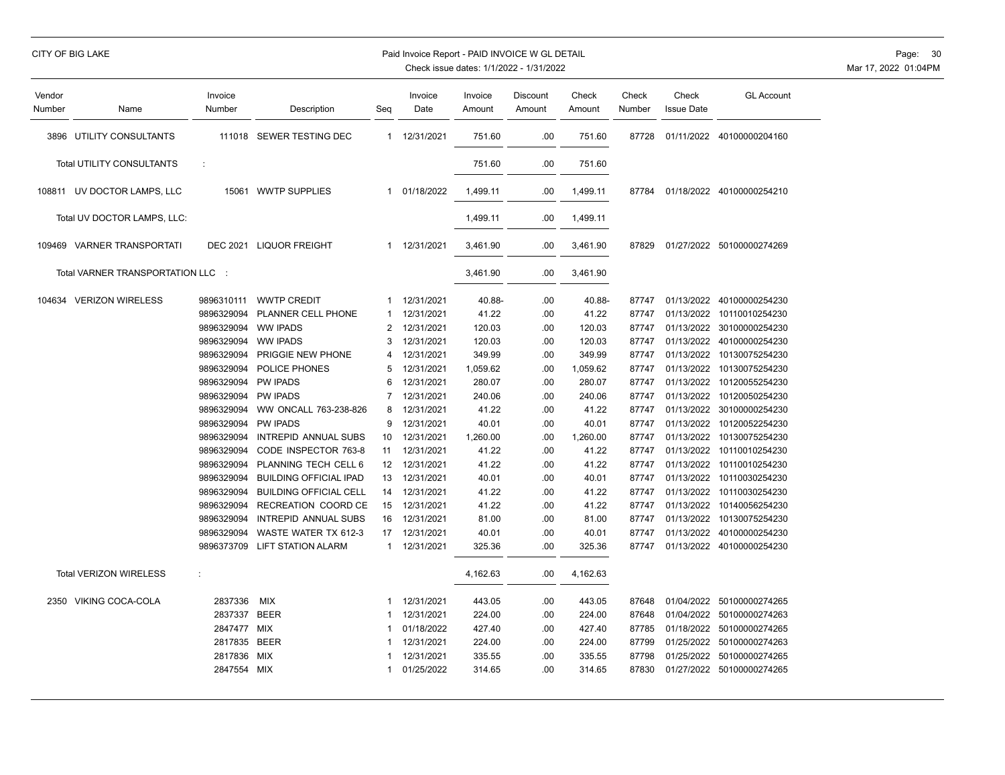# CITY OF BIG LAKE PAID INVOICE W GL DETAIL PAID INVOICE W GL DETAIL PAID INVOICE W GL DETAIL PAGE: 30

| Vendor<br>Number | Name                              | Invoice<br>Number | Description                   | Seq | Invoice<br>Date | Invoice<br>Amount | Discount<br>Amount | Check<br>Amount | Check<br>Number | Check<br><b>Issue Date</b> | <b>GL Account</b>         |
|------------------|-----------------------------------|-------------------|-------------------------------|-----|-----------------|-------------------|--------------------|-----------------|-----------------|----------------------------|---------------------------|
|                  | 3896 UTILITY CONSULTANTS          |                   | 111018 SEWER TESTING DEC      | 1   | 12/31/2021      | 751.60            | .00                | 751.60          | 87728           | 01/11/2022                 | 40100000204160            |
|                  | <b>Total UTILITY CONSULTANTS</b>  | ÷                 |                               |     |                 | 751.60            | .00                | 751.60          |                 |                            |                           |
|                  | 108811 UV DOCTOR LAMPS, LLC       | 15061             | <b>WWTP SUPPLIES</b>          | 1   | 01/18/2022      | 1,499.11          | .00.               | 1,499.11        | 87784           |                            | 01/18/2022 40100000254210 |
|                  | Total UV DOCTOR LAMPS, LLC:       |                   |                               |     |                 | 1,499.11          | .00                | 1,499.11        |                 |                            |                           |
|                  | 109469 VARNER TRANSPORTATI        | <b>DEC 2021</b>   | <b>LIQUOR FREIGHT</b>         |     | 1 12/31/2021    | 3,461.90          | .00                | 3,461.90        | 87829           |                            | 01/27/2022 50100000274269 |
|                  | Total VARNER TRANSPORTATION LLC : |                   |                               |     |                 | 3,461.90          | .00                | 3,461.90        |                 |                            |                           |
|                  | 104634 VERIZON WIRELESS           | 9896310111        | <b>WWTP CREDIT</b>            | 1   | 12/31/2021      | 40.88-            | .00                | 40.88-          | 87747           | 01/13/2022                 | 40100000254230            |
|                  |                                   | 9896329094        | PLANNER CELL PHONE            | -1  | 12/31/2021      | 41.22             | .00                | 41.22           | 87747           |                            | 01/13/2022 10110010254230 |
|                  |                                   | 9896329094        | <b>WW IPADS</b>               | 2   | 12/31/2021      | 120.03            | .00                | 120.03          | 87747           | 01/13/2022                 | 30100000254230            |
|                  |                                   | 9896329094        | <b>WW IPADS</b>               |     | 12/31/2021      | 120.03            | .00                | 120.03          | 87747           | 01/13/2022                 | 40100000254230            |
|                  |                                   | 9896329094        | PRIGGIE NEW PHONE             |     | 12/31/2021      | 349.99            | .00                | 349.99          | 87747           | 01/13/2022                 | 10130075254230            |
|                  |                                   | 9896329094        | POLICE PHONES                 | 5   | 12/31/2021      | 1,059.62          | .00                | 1,059.62        | 87747           | 01/13/2022                 | 10130075254230            |
|                  |                                   | 9896329094        | <b>PW IPADS</b>               | 6   | 12/31/2021      | 280.07            | .00                | 280.07          | 87747           | 01/13/2022                 | 10120055254230            |
|                  |                                   | 9896329094        | <b>PW IPADS</b>               |     | 12/31/2021      | 240.06            | .00                | 240.06          | 87747           | 01/13/2022                 | 10120050254230            |
|                  |                                   | 9896329094        | WW ONCALL 763-238-826         | 8   | 12/31/2021      | 41.22             | .00                | 41.22           | 87747           |                            | 01/13/2022 30100000254230 |
|                  |                                   | 9896329094        | <b>PW IPADS</b>               | 9   | 12/31/2021      | 40.01             | .00                | 40.01           | 87747           | 01/13/2022                 | 10120052254230            |
|                  |                                   | 9896329094        | INTREPID ANNUAL SUBS          | 10  | 12/31/2021      | 1,260.00          | .00                | 1,260.00        | 87747           | 01/13/2022                 | 10130075254230            |
|                  |                                   | 9896329094        | CODE INSPECTOR 763-8          | 11  | 12/31/2021      | 41.22             | .00                | 41.22           | 87747           | 01/13/2022                 | 10110010254230            |
|                  |                                   | 9896329094        | PLANNING TECH CELL 6          | 12  | 12/31/2021      | 41.22             | .00                | 41.22           | 87747           | 01/13/2022                 | 10110010254230            |
|                  |                                   | 9896329094        | <b>BUILDING OFFICIAL IPAD</b> | 13  | 12/31/2021      | 40.01             | .00                | 40.01           | 87747           | 01/13/2022                 | 10110030254230            |
|                  |                                   | 9896329094        | <b>BUILDING OFFICIAL CELL</b> | 14  | 12/31/2021      | 41.22             | .00                | 41.22           | 87747           | 01/13/2022                 | 10110030254230            |
|                  |                                   | 9896329094        | RECREATION COORD CE           | 15  | 12/31/2021      | 41.22             | .00                | 41.22           | 87747           | 01/13/2022                 | 10140056254230            |
|                  |                                   | 9896329094        | <b>INTREPID ANNUAL SUBS</b>   | 16  | 12/31/2021      | 81.00             | .00                | 81.00           | 87747           | 01/13/2022                 | 10130075254230            |
|                  |                                   | 9896329094        | WASTE WATER TX 612-3          | 17  | 12/31/2021      | 40.01             | .00                | 40.01           | 87747           | 01/13/2022                 | 40100000254230            |
|                  |                                   | 9896373709        | LIFT STATION ALARM            | 1   | 12/31/2021      | 325.36            | .00                | 325.36          | 87747           |                            | 01/13/2022 40100000254230 |
|                  | <b>Total VERIZON WIRELESS</b>     | ÷                 |                               |     |                 | 4,162.63          | .00                | 4,162.63        |                 |                            |                           |
|                  | 2350 VIKING COCA-COLA             | 2837336           | <b>MIX</b>                    | 1   | 12/31/2021      | 443.05            | .00                | 443.05          | 87648           | 01/04/2022                 | 50100000274265            |
|                  |                                   | 2837337           | <b>BEER</b>                   |     | 12/31/2021      | 224.00            | .00                | 224.00          | 87648           |                            | 01/04/2022 50100000274263 |
|                  |                                   | 2847477 MIX       |                               | -1  | 01/18/2022      | 427.40            | .00                | 427.40          | 87785           | 01/18/2022                 | 50100000274265            |
|                  |                                   | 2817835           | <b>BEER</b>                   |     | 12/31/2021      | 224.00            | .00                | 224.00          | 87799           |                            | 01/25/2022 50100000274263 |
|                  |                                   | 2817836           | MIX                           |     | 12/31/2021      | 335.55            | .00                | 335.55          | 87798           |                            | 01/25/2022 50100000274265 |
|                  |                                   | 2847554           | MIX                           | -1  | 01/25/2022      | 314.65            | .00.               | 314.65          | 87830           |                            | 01/27/2022 50100000274265 |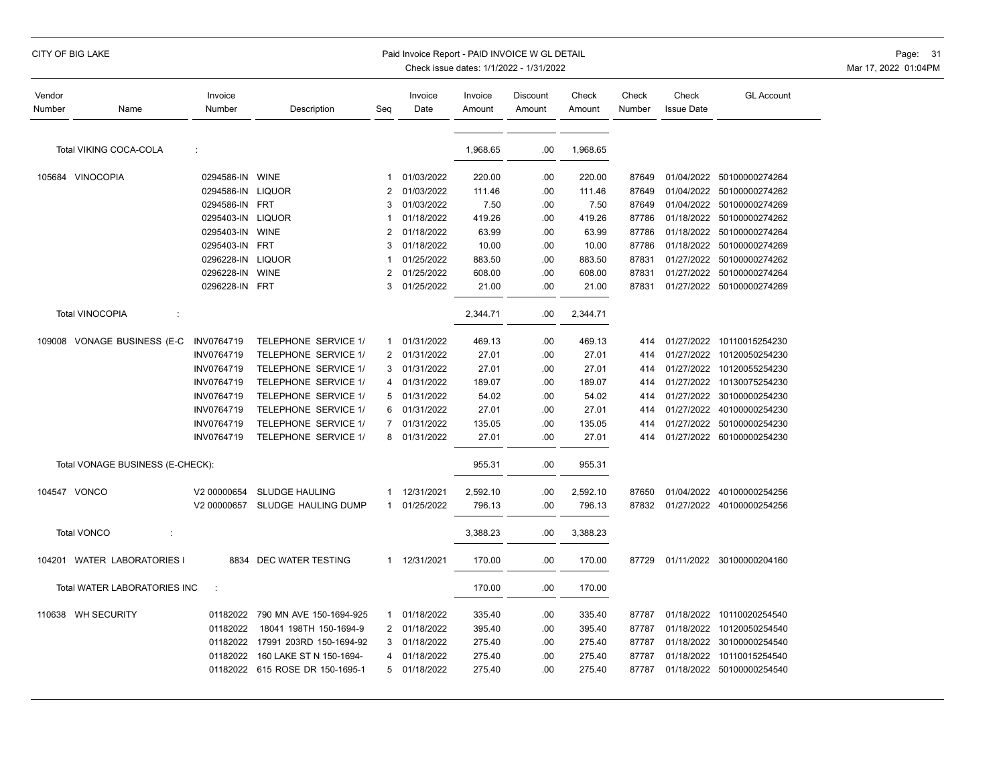| Vendor                            |                                  | Invoice           |                             |                | Invoice    | Invoice  | Discount | Check    | Check  | Check             | <b>GL Account</b>         |
|-----------------------------------|----------------------------------|-------------------|-----------------------------|----------------|------------|----------|----------|----------|--------|-------------------|---------------------------|
| Number                            | Name                             | Number            | Description                 | Seg            | Date       | Amount   | Amount   | Amount   | Number | <b>Issue Date</b> |                           |
| Total VIKING COCA-COLA<br>÷       |                                  |                   |                             |                | 1,968.65   | .00      | 1,968.65 |          |        |                   |                           |
|                                   | 105684 VINOCOPIA                 | 0294586-IN WINE   |                             | $\mathbf{1}$   | 01/03/2022 | 220.00   | .00      | 220.00   | 87649  |                   | 01/04/2022 50100000274264 |
|                                   |                                  | 0294586-IN LIQUOR |                             | 2              | 01/03/2022 | 111.46   | .00      | 111.46   | 87649  | 01/04/2022        | 50100000274262            |
|                                   |                                  | 0294586-IN        | <b>FRT</b>                  | 3              | 01/03/2022 | 7.50     | .00      | 7.50     | 87649  | 01/04/2022        | 50100000274269            |
|                                   |                                  | 0295403-IN        | <b>LIQUOR</b>               |                | 01/18/2022 | 419.26   | .00      | 419.26   | 87786  | 01/18/2022        | 50100000274262            |
|                                   |                                  | 0295403-IN        | <b>WINE</b>                 | $\overline{2}$ | 01/18/2022 | 63.99    | .00      | 63.99    | 87786  | 01/18/2022        | 50100000274264            |
|                                   |                                  | 0295403-IN        | <b>FRT</b>                  | 3              | 01/18/2022 | 10.00    | .00      | 10.00    | 87786  | 01/18/2022        | 50100000274269            |
|                                   |                                  | 0296228-IN        | <b>LIQUOR</b>               |                | 01/25/2022 | 883.50   | .00      | 883.50   | 87831  | 01/27/2022        | 50100000274262            |
|                                   |                                  | 0296228-IN        | <b>WINE</b>                 | 2              | 01/25/2022 | 608.00   | .00      | 608.00   | 87831  | 01/27/2022        | 50100000274264            |
|                                   |                                  | 0296228-IN FRT    |                             | 3              | 01/25/2022 | 21.00    | .00      | 21.00    | 87831  |                   | 01/27/2022 50100000274269 |
|                                   | <b>Total VINOCOPIA</b><br>÷      |                   |                             |                |            | 2,344.71 | .00      | 2,344.71 |        |                   |                           |
|                                   | 109008 VONAGE BUSINESS (E-C      | INV0764719        | <b>TELEPHONE SERVICE 1/</b> | 1              | 01/31/2022 | 469.13   | .00      | 469.13   | 414    |                   | 01/27/2022 10110015254230 |
|                                   |                                  | INV0764719        | TELEPHONE SERVICE 1/        | $\overline{2}$ | 01/31/2022 | 27.01    | .00      | 27.01    | 414    | 01/27/2022        | 10120050254230            |
|                                   |                                  | INV0764719        | TELEPHONE SERVICE 1/        | 3              | 01/31/2022 | 27.01    | .00      | 27.01    | 414    | 01/27/2022        | 10120055254230            |
|                                   |                                  | INV0764719        | TELEPHONE SERVICE 1/        | 4              | 01/31/2022 | 189.07   | .00      | 189.07   | 414    | 01/27/2022        | 10130075254230            |
|                                   |                                  | INV0764719        | TELEPHONE SERVICE 1/        | 5              | 01/31/2022 | 54.02    | .00      | 54.02    | 414    | 01/27/2022        | 30100000254230            |
|                                   |                                  | INV0764719        | TELEPHONE SERVICE 1/        | 6              | 01/31/2022 | 27.01    | .00      | 27.01    | 414    | 01/27/2022        | 40100000254230            |
|                                   |                                  | INV0764719        | TELEPHONE SERVICE 1/        | $\overline{7}$ | 01/31/2022 | 135.05   | .00      | 135.05   | 414    | 01/27/2022        | 50100000254230            |
|                                   |                                  | INV0764719        | TELEPHONE SERVICE 1/        | 8              | 01/31/2022 | 27.01    | .00      | 27.01    | 414    |                   | 01/27/2022 60100000254230 |
|                                   | Total VONAGE BUSINESS (E-CHECK): |                   |                             |                |            | 955.31   | .00      | 955.31   |        |                   |                           |
|                                   | 104547 VONCO                     | V2 00000654       | <b>SLUDGE HAULING</b>       | -1             | 12/31/2021 | 2,592.10 | .00      | 2,592.10 | 87650  | 01/04/2022        | 40100000254256            |
|                                   |                                  | V2 00000657       | SLUDGE HAULING DUMP         | $\mathbf{1}$   | 01/25/2022 | 796.13   | .00      | 796.13   | 87832  |                   | 01/27/2022 40100000254256 |
|                                   | <b>Total VONCO</b><br>÷          |                   |                             |                |            | 3,388.23 | .00      | 3,388.23 |        |                   |                           |
|                                   | 104201 WATER LABORATORIES I      |                   | 8834 DEC WATER TESTING      | 1              | 12/31/2021 | 170.00   | .00      | 170.00   | 87729  |                   | 01/11/2022 30100000204160 |
| Total WATER LABORATORIES INC<br>÷ |                                  |                   |                             | 170.00         | .00        | 170.00   |          |          |        |                   |                           |
|                                   | 110638 WH SECURITY               | 01182022          | 790 MN AVE 150-1694-925     | 1              | 01/18/2022 | 335.40   | .00      | 335.40   | 87787  | 01/18/2022        | 10110020254540            |
|                                   |                                  | 01182022          | 18041 198TH 150-1694-9      | 2              | 01/18/2022 | 395.40   | .00      | 395.40   | 87787  | 01/18/2022        | 10120050254540            |
|                                   |                                  | 01182022          | 17991 203RD 150-1694-92     | 3              | 01/18/2022 | 275.40   | .00      | 275.40   | 87787  | 01/18/2022        | 30100000254540            |
|                                   |                                  | 01182022          | 160 LAKE ST N 150-1694-     | 4              | 01/18/2022 | 275.40   | .00      | 275.40   | 87787  | 01/18/2022        | 10110015254540            |
|                                   |                                  | 01182022          | 615 ROSE DR 150-1695-1      | 5              | 01/18/2022 | 275.40   | .00      | 275.40   | 87787  | 01/18/2022        | 50100000254540            |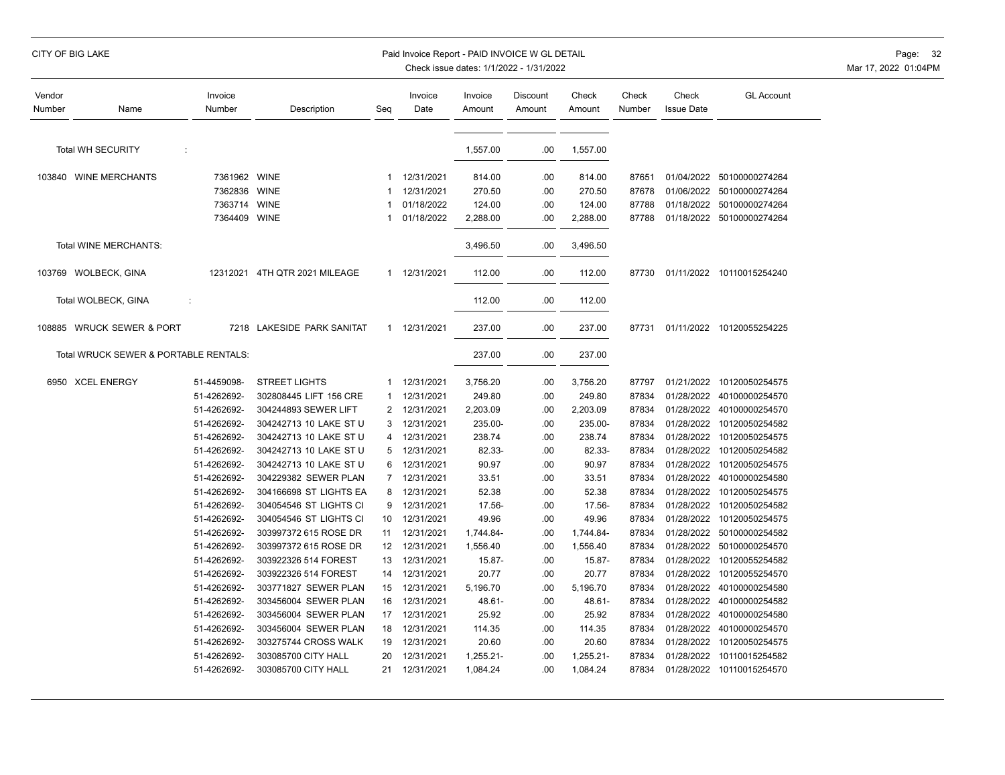# CITY OF BIG LAKE PAID INVOICE WORLD EXAMPLE PAID INVOICE WORLD DETAIL PAID INVOICE WORLD DETAIL PAGE: 32

| Vendor<br>Number                      | Name                         | Invoice<br>Number | Description                   | Seq            | Invoice<br>Date | Invoice<br>Amount | <b>Discount</b><br>Amount | Check<br>Amount | Check<br>Number | Check<br><b>Issue Date</b> | <b>GL Account</b>         |
|---------------------------------------|------------------------------|-------------------|-------------------------------|----------------|-----------------|-------------------|---------------------------|-----------------|-----------------|----------------------------|---------------------------|
| Total WH SECURITY<br>÷                |                              |                   |                               |                | 1,557.00        | .00               | 1,557.00                  |                 |                 |                            |                           |
|                                       | 103840 WINE MERCHANTS        | 7361962 WINE      |                               | $\mathbf{1}$   | 12/31/2021      | 814.00            | .00                       | 814.00          | 87651           | 01/04/2022                 | 50100000274264            |
|                                       |                              | 7362836           | <b>WINE</b>                   | -1             | 12/31/2021      | 270.50            | .00                       | 270.50          | 87678           | 01/06/2022                 | 50100000274264            |
|                                       |                              | 7363714           | <b>WINE</b>                   | $\mathbf 1$    | 01/18/2022      | 124.00            | .00                       | 124.00          | 87788           | 01/18/2022                 | 50100000274264            |
|                                       |                              | 7364409 WINE      |                               | -1             | 01/18/2022      | 2,288.00          | .00                       | 2,288.00        | 87788           | 01/18/2022                 | 50100000274264            |
|                                       | <b>Total WINE MERCHANTS:</b> |                   |                               |                |                 | 3,496.50          | .00                       | 3,496.50        |                 |                            |                           |
|                                       | 103769 WOLBECK, GINA         |                   | 12312021 4TH QTR 2021 MILEAGE |                | 1 12/31/2021    | 112.00            | .00                       | 112.00          | 87730           |                            | 01/11/2022 10110015254240 |
|                                       | Total WOLBECK, GINA          | ÷                 |                               |                |                 | 112.00            | .00                       | 112.00          |                 |                            |                           |
|                                       | 108885 WRUCK SEWER & PORT    | 7218              | LAKESIDE PARK SANITAT         |                | 1 12/31/2021    | 237.00            | .00                       | 237.00          | 87731           |                            | 01/11/2022 10120055254225 |
| Total WRUCK SEWER & PORTABLE RENTALS: |                              |                   |                               |                |                 | 237.00            | .00                       | 237.00          |                 |                            |                           |
|                                       | 6950 XCEL ENERGY             | 51-4459098-       | <b>STREET LIGHTS</b>          | $\mathbf{1}$   | 12/31/2021      | 3,756.20          | .00                       | 3,756.20        | 87797           | 01/21/2022                 | 10120050254575            |
|                                       |                              | 51-4262692-       | 302808445 LIFT 156 CRE        | $\mathbf 1$    | 12/31/2021      | 249.80            | .00                       | 249.80          | 87834           | 01/28/2022                 | 40100000254570            |
|                                       |                              | 51-4262692-       | 304244893 SEWER LIFT          | $\overline{2}$ | 12/31/2021      | 2,203.09          | .00                       | 2,203.09        | 87834           | 01/28/2022                 | 40100000254570            |
|                                       |                              | 51-4262692-       | 304242713 10 LAKE ST U        | 3              | 12/31/2021      | 235.00-           | .00                       | 235.00-         | 87834           | 01/28/2022                 | 10120050254582            |
|                                       |                              | 51-4262692-       | 304242713 10 LAKE ST U        | 4              | 12/31/2021      | 238.74            | .00                       | 238.74          | 87834           | 01/28/2022                 | 10120050254575            |
|                                       |                              | 51-4262692-       | 304242713 10 LAKE ST U        | 5              | 12/31/2021      | 82.33-            | .00                       | 82.33-          | 87834           | 01/28/2022                 | 10120050254582            |
|                                       |                              | 51-4262692-       | 304242713 10 LAKE ST U        | 6              | 12/31/2021      | 90.97             | .00                       | 90.97           | 87834           | 01/28/2022                 | 10120050254575            |
|                                       |                              | 51-4262692-       | 304229382 SEWER PLAN          | $\overline{7}$ | 12/31/2021      | 33.51             | .00                       | 33.51           | 87834           | 01/28/2022                 | 40100000254580            |
|                                       |                              | 51-4262692-       | 304166698 ST LIGHTS EA        | 8              | 12/31/2021      | 52.38             | .00                       | 52.38           | 87834           | 01/28/2022                 | 10120050254575            |
|                                       |                              | 51-4262692-       | 304054546 ST LIGHTS CI        | 9              | 12/31/2021      | 17.56-            | .00                       | 17.56-          | 87834           | 01/28/2022                 | 10120050254582            |
|                                       |                              | 51-4262692-       | 304054546 ST LIGHTS CI        | 10             | 12/31/2021      | 49.96             | .00                       | 49.96           | 87834           | 01/28/2022                 | 10120050254575            |
|                                       |                              | 51-4262692-       | 303997372 615 ROSE DR         | 11             | 12/31/2021      | 1,744.84-         | .00                       | 1,744.84-       | 87834           | 01/28/2022                 | 50100000254582            |
|                                       |                              | 51-4262692-       | 303997372 615 ROSE DR         | 12             | 12/31/2021      | 1,556.40          | .00                       | 1,556.40        | 87834           | 01/28/2022                 | 50100000254570            |
|                                       |                              | 51-4262692-       | 303922326 514 FOREST          | 13             | 12/31/2021      | 15.87-            | .00                       | 15.87-          | 87834           | 01/28/2022                 | 10120055254582            |
|                                       |                              | 51-4262692-       | 303922326 514 FOREST          | 14             | 12/31/2021      | 20.77             | .00                       | 20.77           | 87834           | 01/28/2022                 | 10120055254570            |
|                                       |                              | 51-4262692-       | 303771827 SEWER PLAN          | 15             | 12/31/2021      | 5,196.70          | .00                       | 5,196.70        | 87834           | 01/28/2022                 | 40100000254580            |
|                                       |                              | 51-4262692-       | 303456004 SEWER PLAN          | 16             | 12/31/2021      | 48.61-            | .00                       | 48.61-          | 87834           | 01/28/2022                 | 40100000254582            |
|                                       |                              | 51-4262692-       | 303456004 SEWER PLAN          | 17             | 12/31/2021      | 25.92             | .00                       | 25.92           | 87834           | 01/28/2022                 | 40100000254580            |
|                                       |                              | 51-4262692-       | 303456004 SEWER PLAN          | 18             | 12/31/2021      | 114.35            | .00                       | 114.35          | 87834           | 01/28/2022                 | 40100000254570            |
|                                       |                              | 51-4262692-       | 303275744 CROSS WALK          | 19             | 12/31/2021      | 20.60             | .00                       | 20.60           | 87834           | 01/28/2022                 | 10120050254575            |
|                                       |                              | 51-4262692-       | 303085700 CITY HALL           | 20             | 12/31/2021      | 1,255.21-         | .00                       | 1,255.21-       | 87834           | 01/28/2022                 | 10110015254582            |
|                                       |                              | 51-4262692-       | 303085700 CITY HALL           | 21             | 12/31/2021      | 1,084.24          | .00                       | 1,084.24        | 87834           | 01/28/2022                 | 10110015254570            |